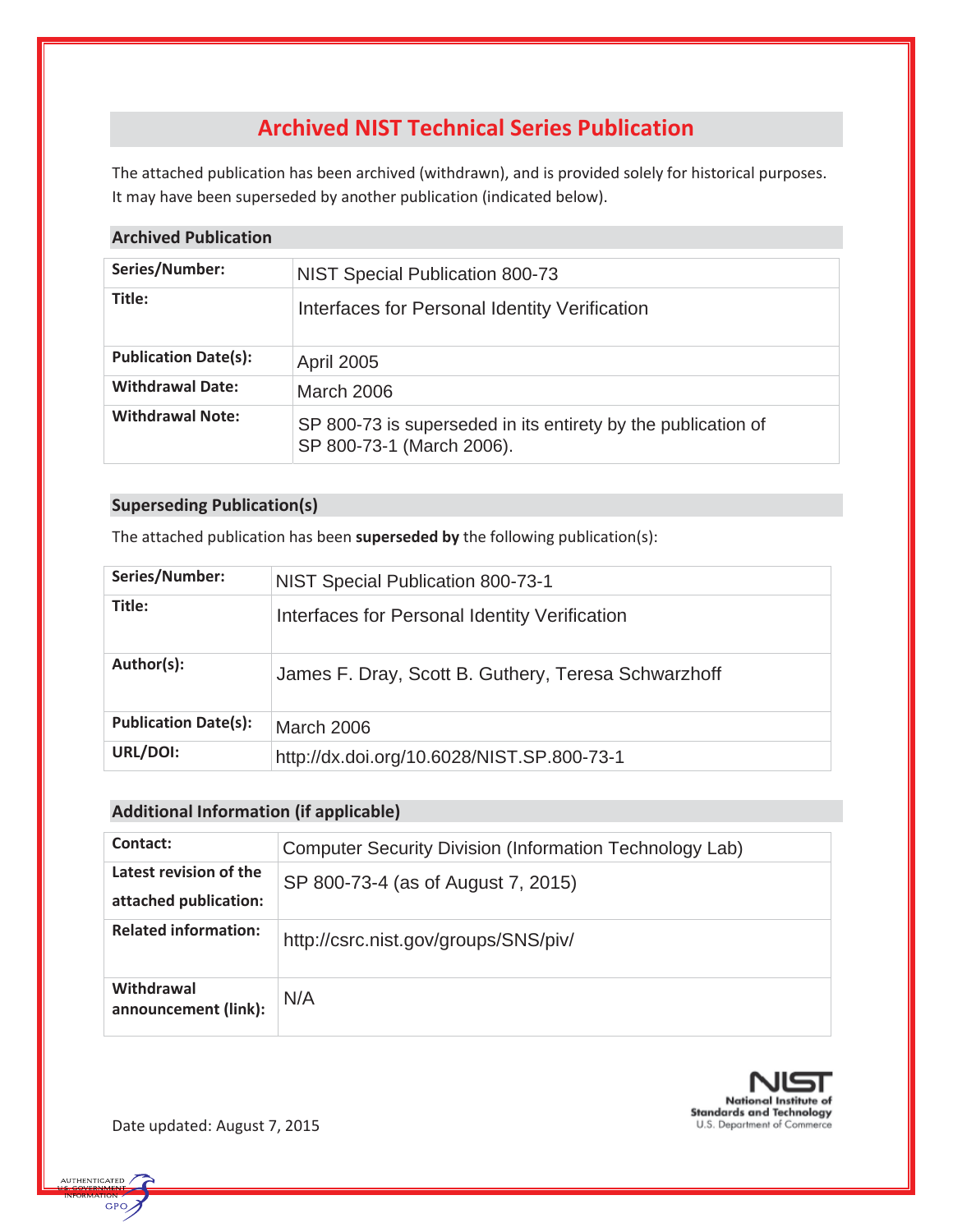# **Archived NIST Technical Series Publication**

The attached publication has been archived (withdrawn), and is provided solely for historical purposes. It may have been superseded by another publication (indicated below).

## **Archived Publication**

| Series/Number:              | NIST Special Publication 800-73                                                            |  |  |
|-----------------------------|--------------------------------------------------------------------------------------------|--|--|
| Title:                      | Interfaces for Personal Identity Verification                                              |  |  |
| <b>Publication Date(s):</b> | <b>April 2005</b>                                                                          |  |  |
| <b>Withdrawal Date:</b>     | March 2006                                                                                 |  |  |
| <b>Withdrawal Note:</b>     | SP 800-73 is superseded in its entirety by the publication of<br>SP 800-73-1 (March 2006). |  |  |

# **Superseding Publication(s)**

The attached publication has been **superseded by** the following publication(s):

| NIST Special Publication 800-73-1                   |
|-----------------------------------------------------|
| Interfaces for Personal Identity Verification       |
| James F. Dray, Scott B. Guthery, Teresa Schwarzhoff |
| <b>March 2006</b>                                   |
| http://dx.doi.org/10.6028/NIST.SP.800-73-1          |
|                                                     |

# **Additional Information (if applicable)**

| Contact:                                        | Computer Security Division (Information Technology Lab) |  |  |
|-------------------------------------------------|---------------------------------------------------------|--|--|
| Latest revision of the<br>attached publication: | SP 800-73-4 (as of August 7, 2015)                      |  |  |
| <b>Related information:</b>                     | http://csrc.nist.gov/groups/SNS/piv/                    |  |  |
| Withdrawal<br>announcement (link):              | N/A                                                     |  |  |



Date updated: August 7, 2015

**AUTHENTICATED** GPO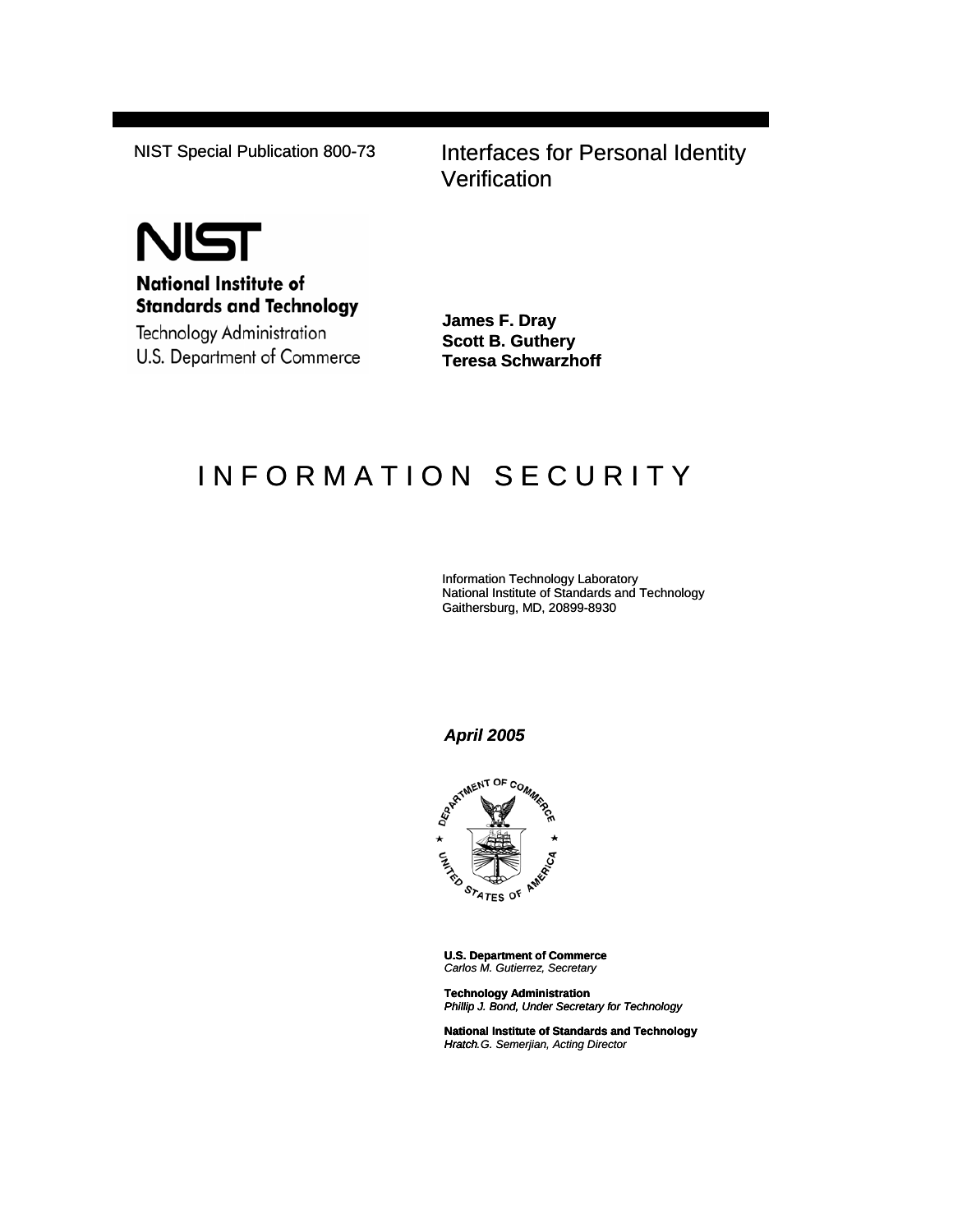NIST Special Publication 800-73 Interfaces for Personal Identity **Verification** 



**National Institute of Standards and Technology** 

Technology Administration U.S. Department of Commerce **James F. Dray Scott B. Guthery Teresa Schwarzhoff**

# INFORMATION SECURITY

Information Technology Laboratory National Institute of Standards and Technology Gaithersburg, MD, 20899-8930

#### *April 2005*



**U.S. Department of Commerce** *Carlos M. Gutierrez, Secretary*

**Technology Administration** *Phillip J. Bond, Under Secretary for Technology*

**National Institute of Standards and Technology** *Hratch. Hratch G. Semerjian, Acting Director*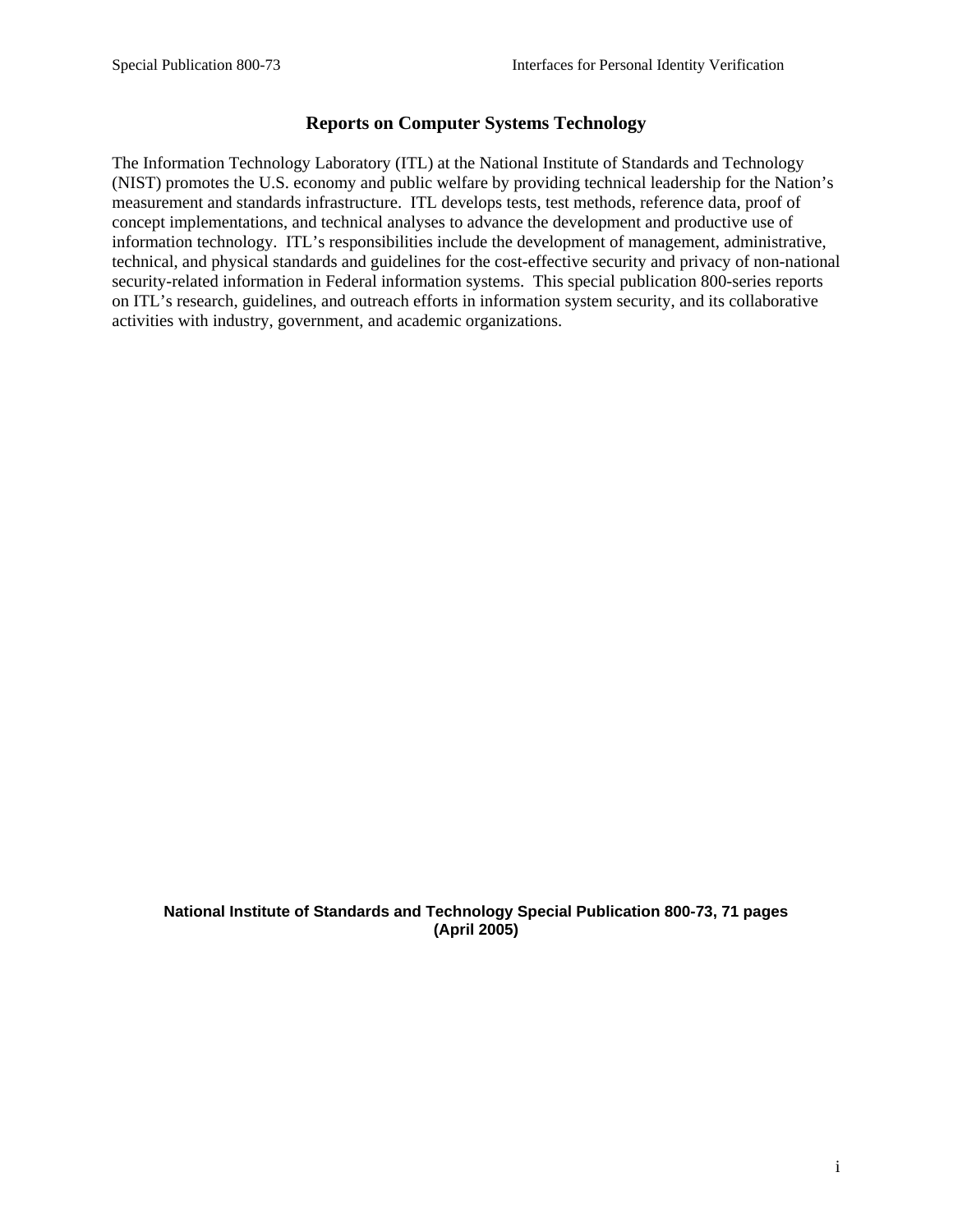# **Reports on Computer Systems Technology**

The Information Technology Laboratory (ITL) at the National Institute of Standards and Technology (NIST) promotes the U.S. economy and public welfare by providing technical leadership for the Nation's measurement and standards infrastructure. ITL develops tests, test methods, reference data, proof of concept implementations, and technical analyses to advance the development and productive use of information technology. ITL's responsibilities include the development of management, administrative, technical, and physical standards and guidelines for the cost-effective security and privacy of non-national security-related information in Federal information systems. This special publication 800-series reports on ITL's research, guidelines, and outreach efforts in information system security, and its collaborative activities with industry, government, and academic organizations.

#### **National Institute of Standards and Technology Special Publication 800-73, 71 pages (April 2005)**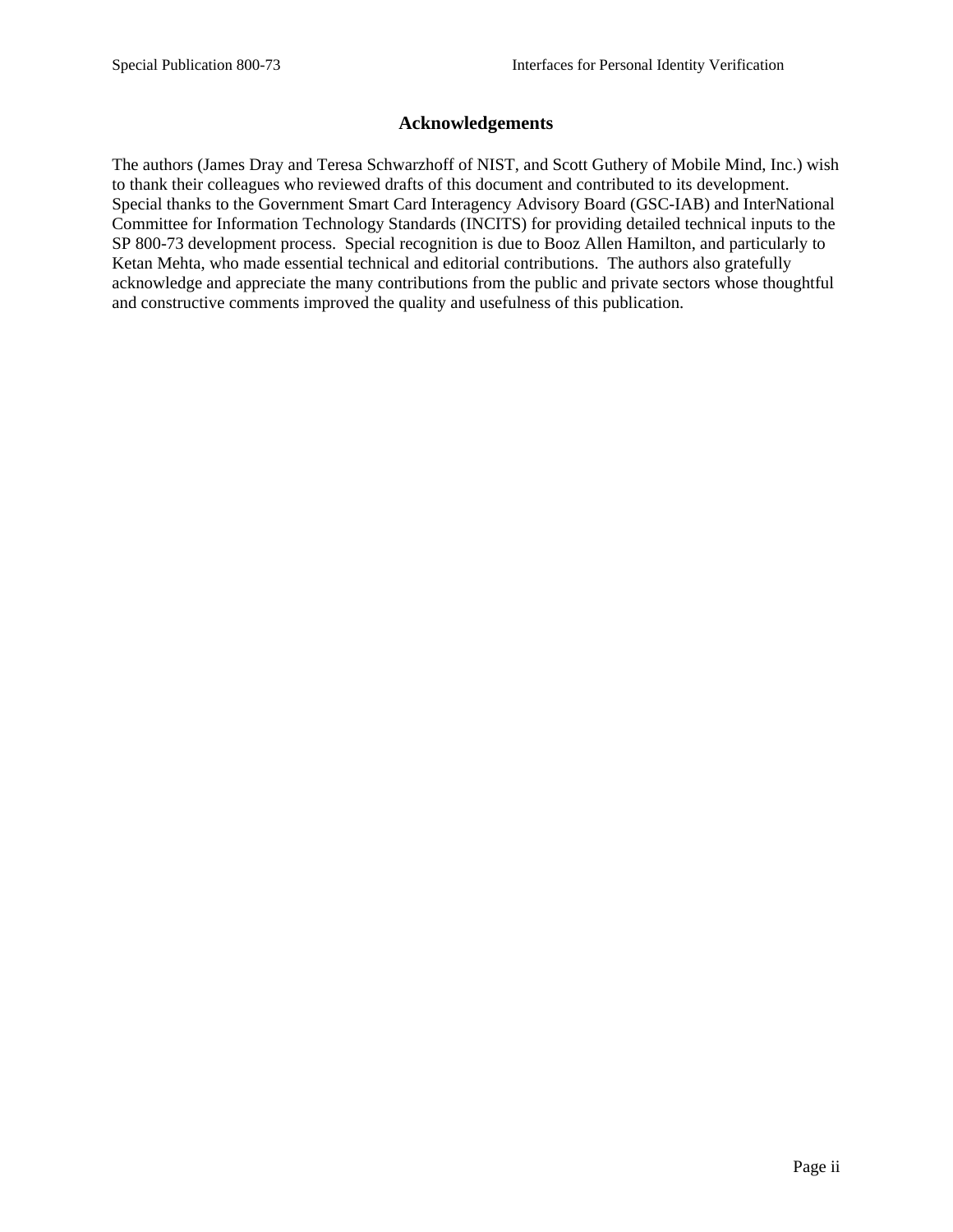# **Acknowledgements**

The authors (James Dray and Teresa Schwarzhoff of NIST, and Scott Guthery of Mobile Mind, Inc.) wish to thank their colleagues who reviewed drafts of this document and contributed to its development. Special thanks to the Government Smart Card Interagency Advisory Board (GSC-IAB) and InterNational Committee for Information Technology Standards (INCITS) for providing detailed technical inputs to the SP 800-73 development process. Special recognition is due to Booz Allen Hamilton, and particularly to Ketan Mehta, who made essential technical and editorial contributions. The authors also gratefully acknowledge and appreciate the many contributions from the public and private sectors whose thoughtful and constructive comments improved the quality and usefulness of this publication.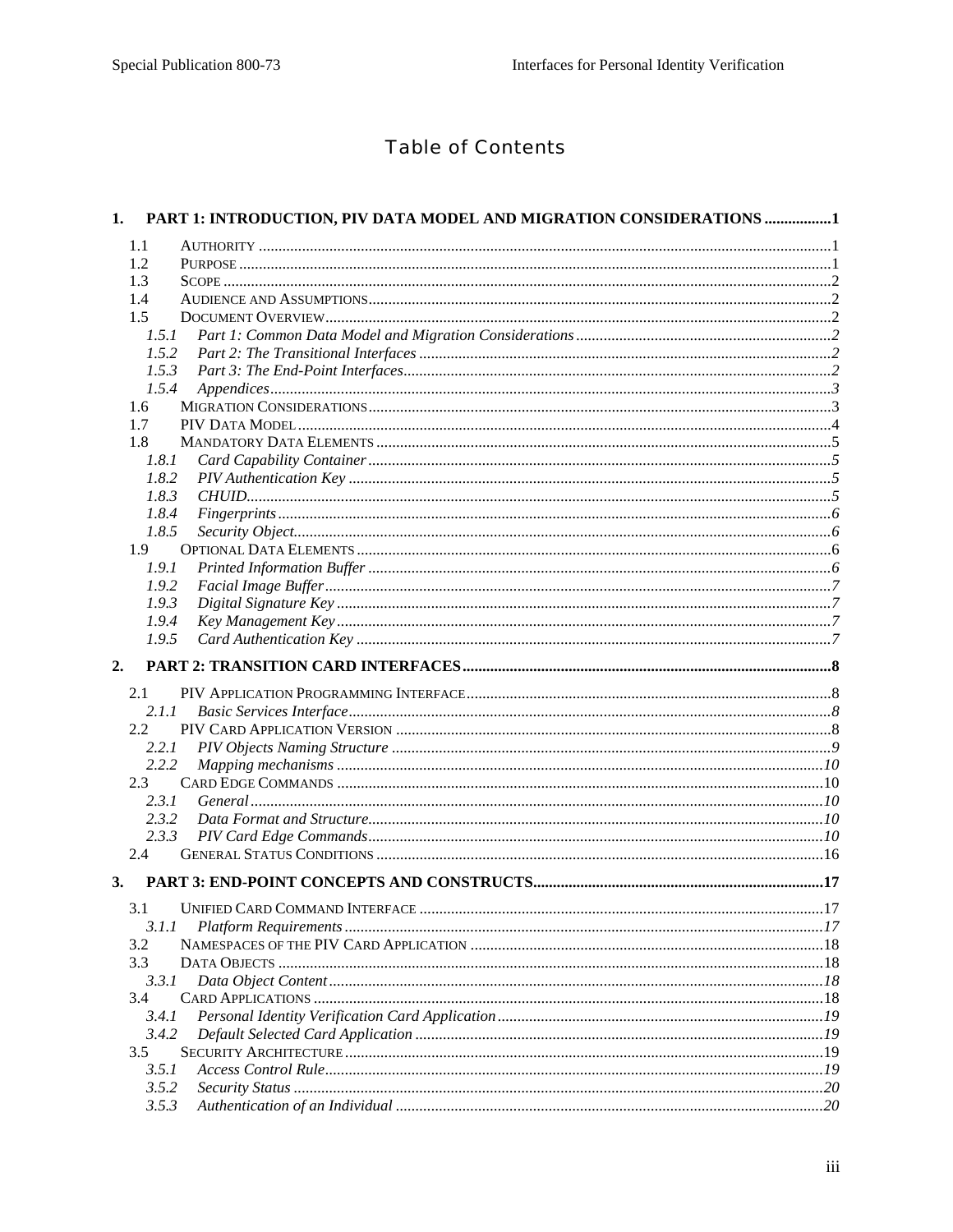# **Table of Contents**

| 1.            | PART 1: INTRODUCTION, PIV DATA MODEL AND MIGRATION CONSIDERATIONS 1 |     |
|---------------|---------------------------------------------------------------------|-----|
| 1.1           |                                                                     |     |
| 1.2           |                                                                     |     |
| 1.3           |                                                                     |     |
| 1.4           |                                                                     |     |
| 1.5           |                                                                     |     |
| 1.5.1         |                                                                     |     |
| 1.5.2         |                                                                     |     |
| 1.5.3         |                                                                     |     |
| 1.5.4         |                                                                     |     |
| 1.6           |                                                                     |     |
| 1.7           |                                                                     |     |
| 1.8           |                                                                     |     |
| 1.8.1         |                                                                     |     |
| 1.8.2         |                                                                     |     |
| 1.8.3         |                                                                     |     |
| 1.8.4         |                                                                     |     |
| 1.8.5         |                                                                     |     |
| 1.9           |                                                                     |     |
| 1.9.1         |                                                                     |     |
| 1.9.2         |                                                                     |     |
| 1.9.3         |                                                                     |     |
| 1.9.4         |                                                                     |     |
| 1.9.5         |                                                                     |     |
|               |                                                                     |     |
| 2.            |                                                                     |     |
| 2.1           |                                                                     |     |
| 2.1.1         |                                                                     |     |
| $2.2^{\circ}$ |                                                                     |     |
| 2.2.1         |                                                                     |     |
| 2.2.2         |                                                                     |     |
| 2.3           |                                                                     |     |
| 2.3.1         |                                                                     |     |
| 2.3.2         |                                                                     |     |
| 2.3.3         |                                                                     |     |
| 2.4           |                                                                     |     |
| 3.            |                                                                     |     |
|               |                                                                     | .17 |
| 3.1.1         |                                                                     |     |
| 3.2           |                                                                     |     |
| 3.3           |                                                                     |     |
| 3.3.1         |                                                                     |     |
| 3.4           |                                                                     |     |
| 3.4.1         |                                                                     |     |
|               |                                                                     |     |
| 3.4.2<br>3.5  |                                                                     |     |
|               |                                                                     |     |
| 3.5.1         |                                                                     |     |
| 3.5.2         |                                                                     |     |
| 3.5.3         |                                                                     |     |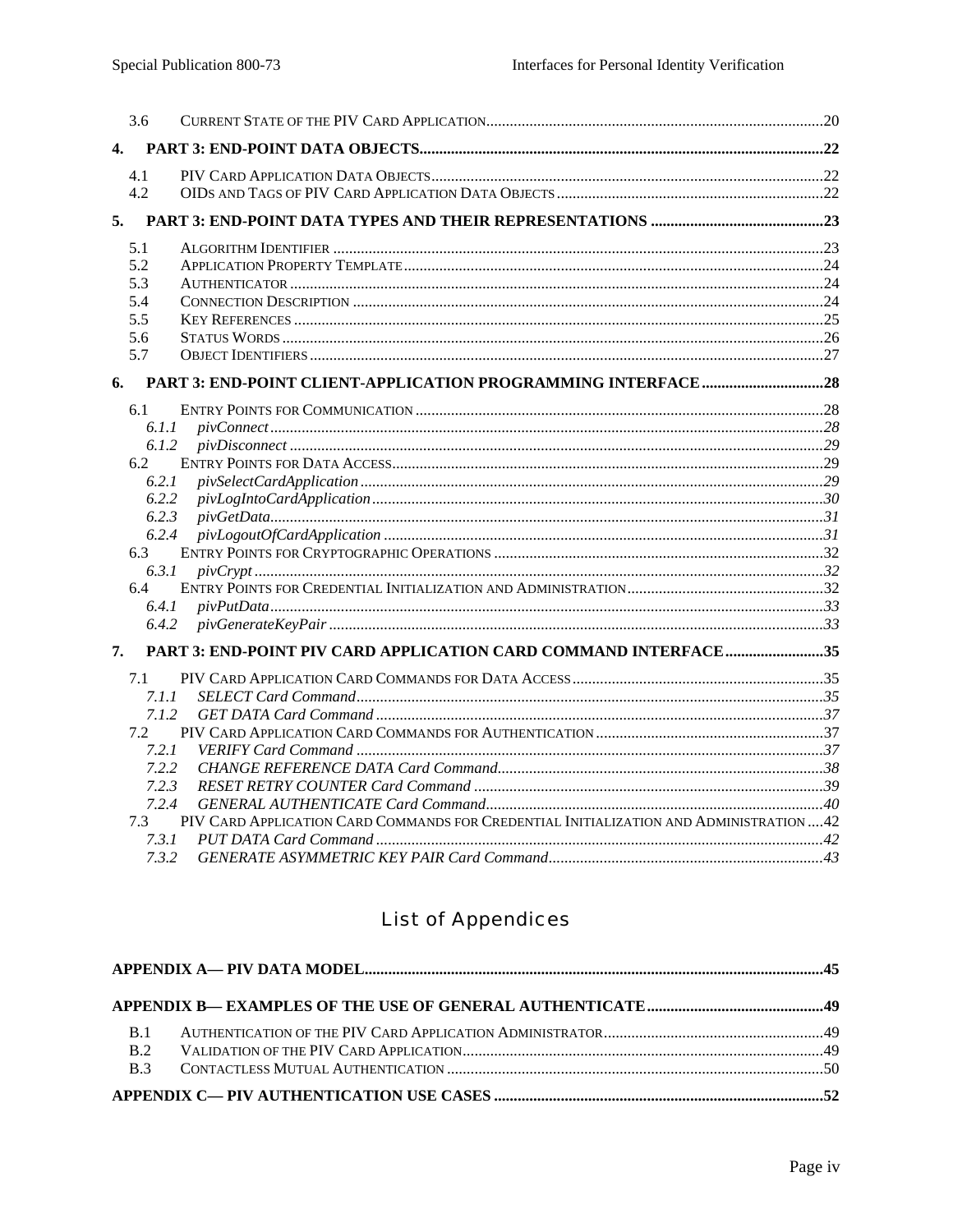|    | 3.6      |                                                                                         |  |
|----|----------|-----------------------------------------------------------------------------------------|--|
| 4. |          |                                                                                         |  |
|    | 4.1      |                                                                                         |  |
|    | 4.2      |                                                                                         |  |
|    |          |                                                                                         |  |
|    | 5.1      |                                                                                         |  |
|    | 5.2      |                                                                                         |  |
|    | 5.3      |                                                                                         |  |
|    | 5.4      |                                                                                         |  |
|    | 5.5      |                                                                                         |  |
|    | 5.6      |                                                                                         |  |
|    | 5.7      |                                                                                         |  |
| 6. |          |                                                                                         |  |
|    | 6.1      |                                                                                         |  |
|    | 6.1.1    | piV connect. 28                                                                         |  |
|    | 6.1.2    |                                                                                         |  |
|    | 6.2      |                                                                                         |  |
|    | 6.2.1    |                                                                                         |  |
|    | 6.2.2    |                                                                                         |  |
|    | 6.2.3    |                                                                                         |  |
|    | 6.2.4    |                                                                                         |  |
|    | 6.3      |                                                                                         |  |
|    | 6.3.1    |                                                                                         |  |
|    | 6.4      |                                                                                         |  |
|    | 6.4.1    |                                                                                         |  |
|    | 6.4.2    |                                                                                         |  |
| 7. |          | PART 3: END-POINT PIV CARD APPLICATION CARD COMMAND INTERFACE35                         |  |
|    | 7.1      |                                                                                         |  |
|    | 7. I . I |                                                                                         |  |
|    | 7.1.2    |                                                                                         |  |
|    | 7.2      |                                                                                         |  |
|    | 7.2.1    |                                                                                         |  |
|    | 7.2.2    |                                                                                         |  |
|    | 7.2.3    |                                                                                         |  |
|    | 7.2.4    |                                                                                         |  |
|    | 7.3      | PIV CARD APPLICATION CARD COMMANDS FOR CREDENTIAL INITIALIZATION AND ADMINISTRATION  42 |  |
|    | 7.3.1    |                                                                                         |  |
|    |          |                                                                                         |  |

# **List of Appendices**

| <b>B.2</b> |  |
|------------|--|
|            |  |
|            |  |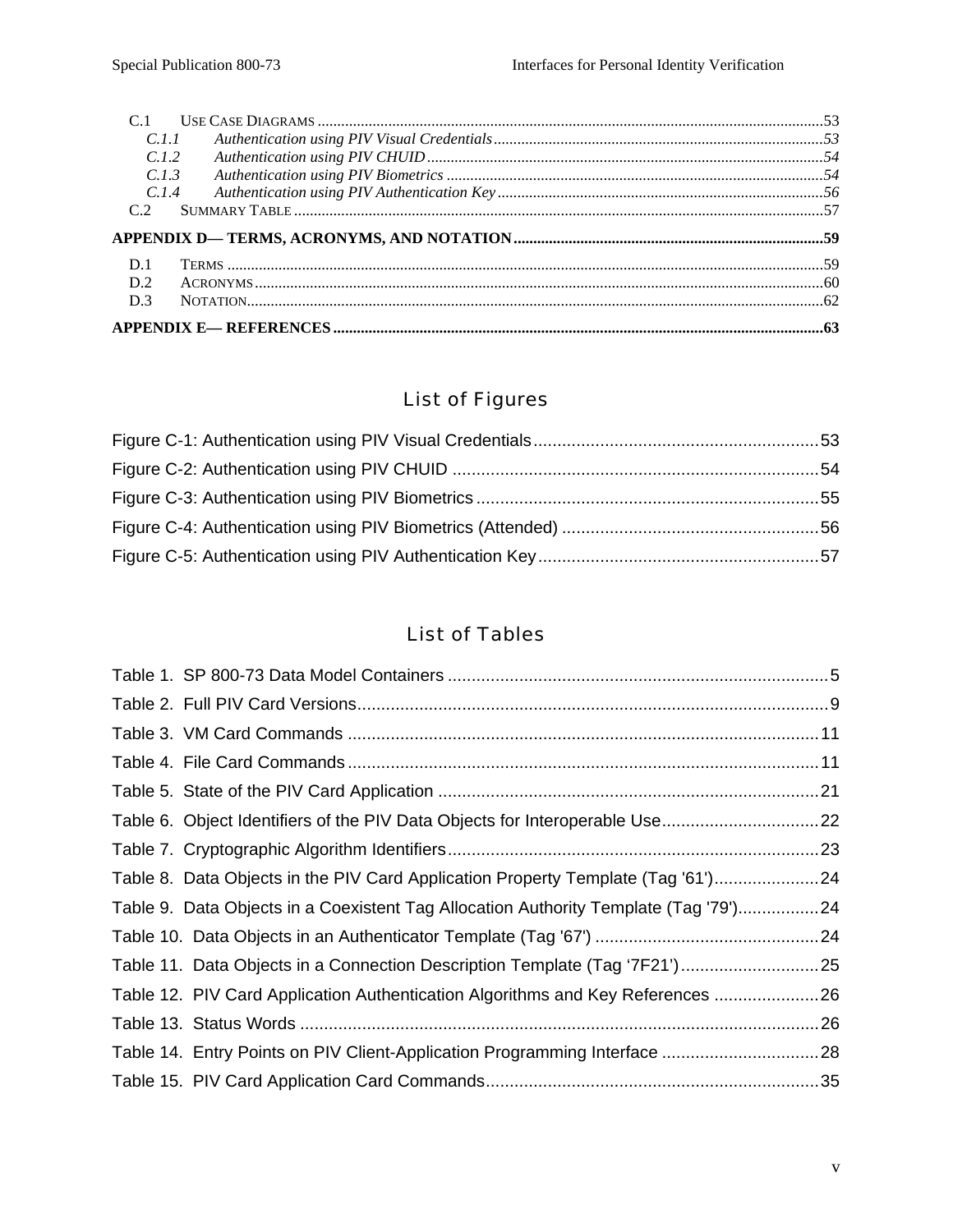| C.L.1            |  |
|------------------|--|
| C.1.2            |  |
| C.1.3            |  |
| C <sub>1.4</sub> |  |
| C2               |  |
|                  |  |
|                  |  |
| D.1              |  |
| D.2              |  |
| D <sub>3</sub>   |  |

# List of Figures

# List of Tables

| Table 8. Data Objects in the PIV Card Application Property Template (Tag '61')24     |  |
|--------------------------------------------------------------------------------------|--|
| Table 9. Data Objects in a Coexistent Tag Allocation Authority Template (Tag '79')24 |  |
|                                                                                      |  |
| Table 11. Data Objects in a Connection Description Template (Tag '7F21')25           |  |
| Table 12. PIV Card Application Authentication Algorithms and Key References 26       |  |
|                                                                                      |  |
| Table 14. Entry Points on PIV Client-Application Programming Interface 28            |  |
|                                                                                      |  |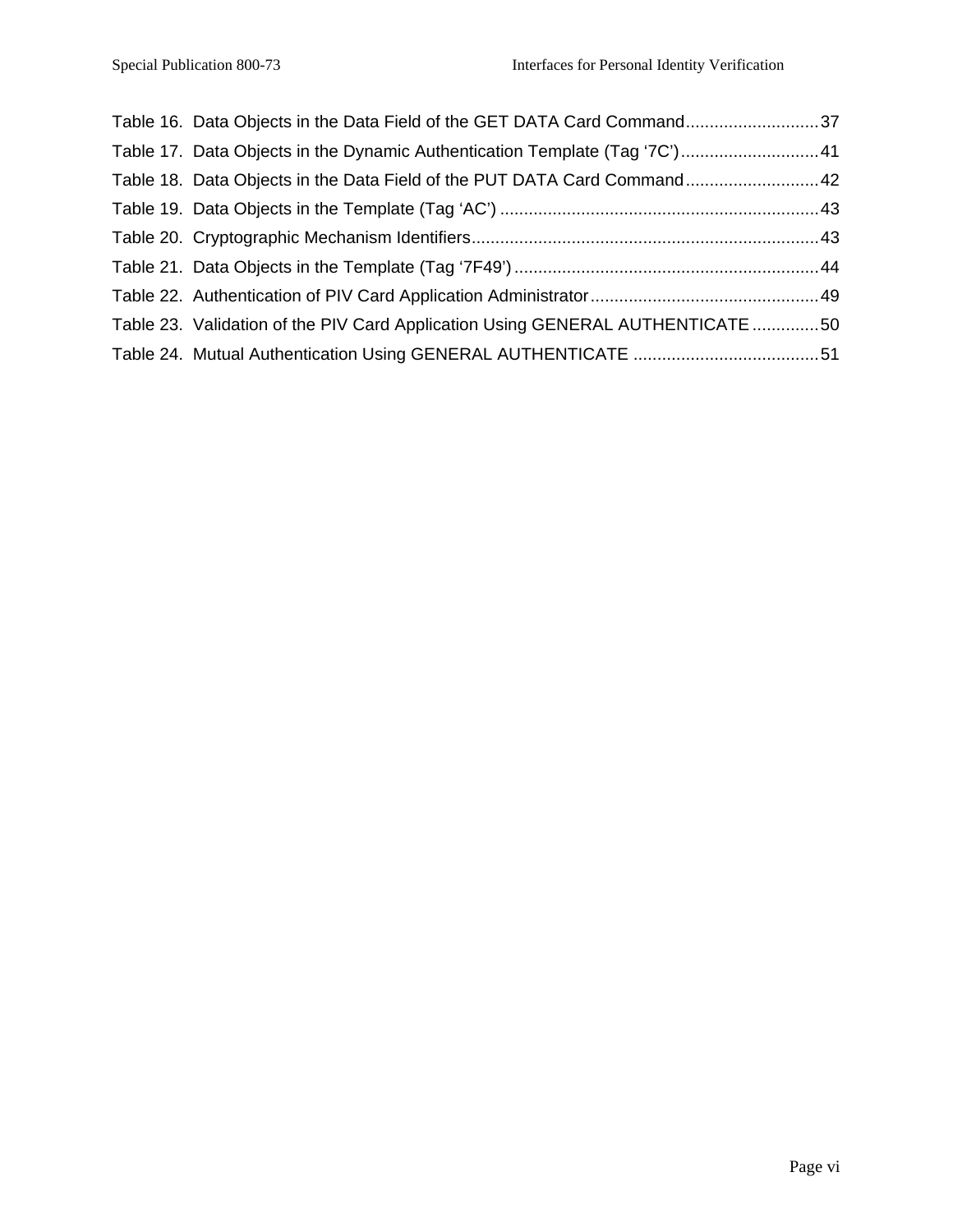| Table 16. Data Objects in the Data Field of the GET DATA Card Command37        |  |
|--------------------------------------------------------------------------------|--|
| Table 17. Data Objects in the Dynamic Authentication Template (Tag '7C') 41    |  |
| Table 18. Data Objects in the Data Field of the PUT DATA Card Command42        |  |
|                                                                                |  |
|                                                                                |  |
|                                                                                |  |
|                                                                                |  |
| Table 23. Validation of the PIV Card Application Using GENERAL AUTHENTICATE 50 |  |
|                                                                                |  |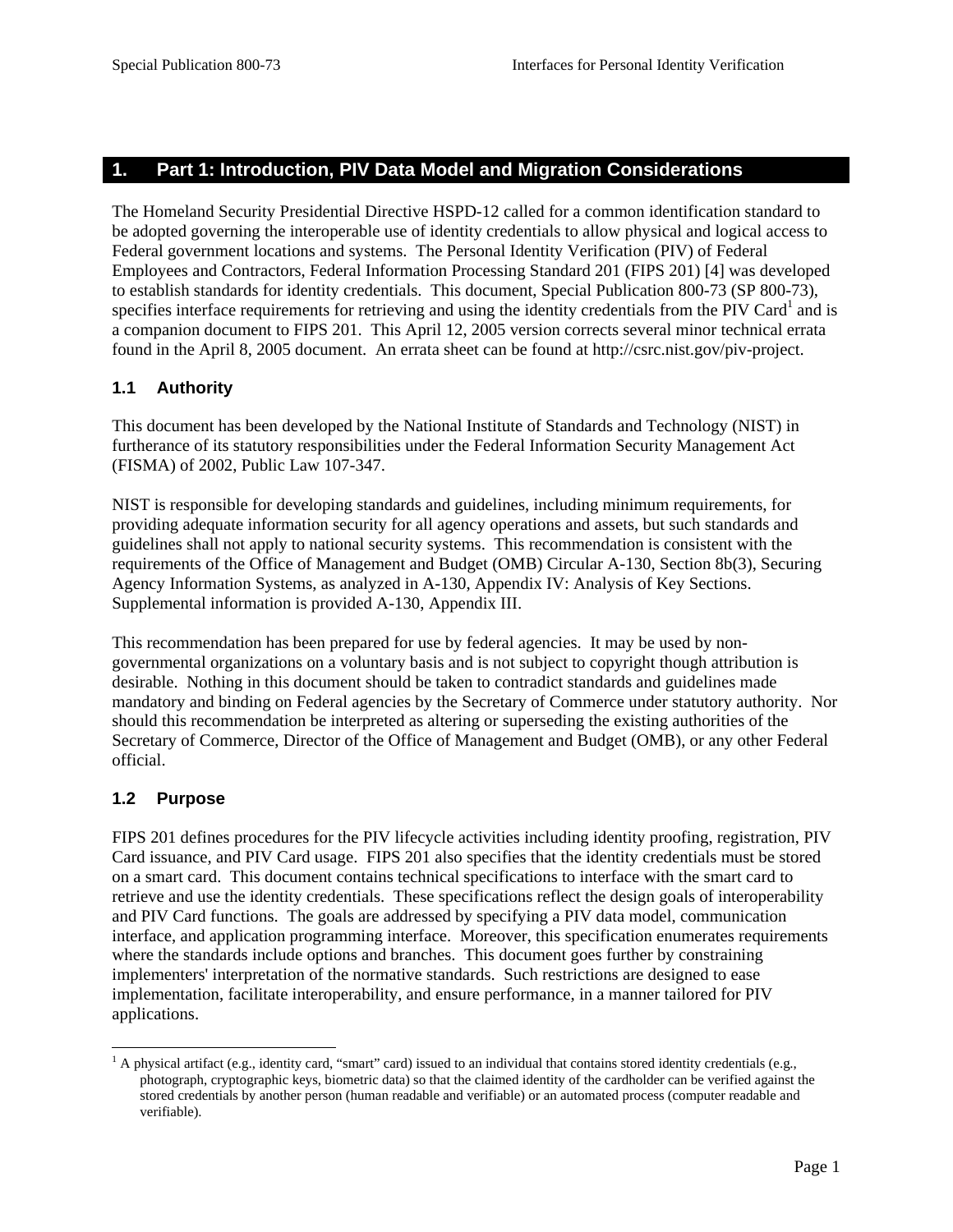# <span id="page-9-0"></span>**1. Part 1: Introduction, PIV Data Model and Migration Considerations**

The Homeland Security Presidential Directive HSPD-12 called for a common identification standard to be adopted governing the interoperable use of identity credentials to allow physical and logical access to Federal government locations and systems. The Personal Identity Verification (PIV) of Federal Employees and Contractors, Federal Information Processing Standard 201 (FIPS 201) [4] was developed to establish standards for identity credentials. This document, Special Publication 800-73 (SP 800-73), specifies interface requirements for retrieving and using the identity credentials from the PIV Card<sup>1</sup> and is a companion document to FIPS 201. This April 12, 2005 version corrects several minor technical errata found in the April 8, 2005 document. An errata sheet can be found at http://csrc.nist.gov/piv-project.

# **1.1 Authority**

This document has been developed by the National Institute of Standards and Technology (NIST) in furtherance of its statutory responsibilities under the Federal Information Security Management Act (FISMA) of 2002, Public Law 107-347.

NIST is responsible for developing standards and guidelines, including minimum requirements, for providing adequate information security for all agency operations and assets, but such standards and guidelines shall not apply to national security systems. This recommendation is consistent with the requirements of the Office of Management and Budget (OMB) Circular A-130, Section 8b(3), Securing Agency Information Systems, as analyzed in A-130, Appendix IV: Analysis of Key Sections. Supplemental information is provided A-130, Appendix III.

This recommendation has been prepared for use by federal agencies. It may be used by nongovernmental organizations on a voluntary basis and is not subject to copyright though attribution is desirable. Nothing in this document should be taken to contradict standards and guidelines made mandatory and binding on Federal agencies by the Secretary of Commerce under statutory authority. Nor should this recommendation be interpreted as altering or superseding the existing authorities of the Secretary of Commerce, Director of the Office of Management and Budget (OMB), or any other Federal official.

# **1.2 Purpose**

FIPS 201 defines procedures for the PIV lifecycle activities including identity proofing, registration, PIV Card issuance, and PIV Card usage. FIPS 201 also specifies that the identity credentials must be stored on a smart card. This document contains technical specifications to interface with the smart card to retrieve and use the identity credentials. These specifications reflect the design goals of interoperability and PIV Card functions. The goals are addressed by specifying a PIV data model, communication interface, and application programming interface. Moreover, this specification enumerates requirements where the standards include options and branches. This document goes further by constraining implementers' interpretation of the normative standards. Such restrictions are designed to ease implementation, facilitate interoperability, and ensure performance, in a manner tailored for PIV applications.

<span id="page-9-1"></span> $\frac{1}{1}$  $^1$  A physical artifact (e.g., identity card, "smart" card) issued to an individual that contains stored identity credentials (e.g., photograph, cryptographic keys, biometric data) so that the claimed identity of the cardholder can be verified against the stored credentials by another person (human readable and verifiable) or an automated process (computer readable and verifiable).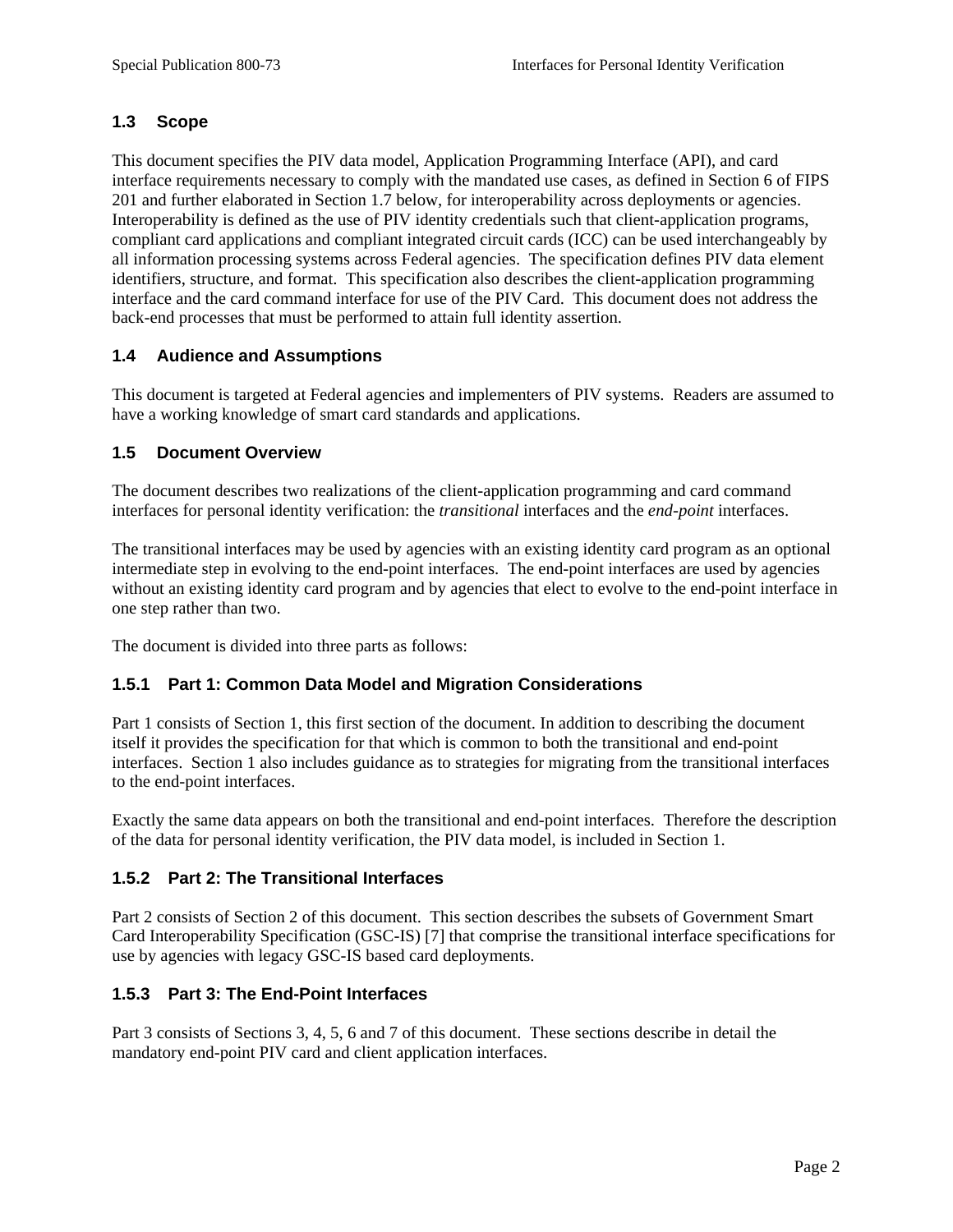## <span id="page-10-0"></span>**1.3 Scope**

This document specifies the PIV data model, Application Programming Interface (API), and card interface requirements necessary to comply with the mandated use cases, as defined in Section 6 of FIPS 201 and further elaborated in Section 1.7 below, for interoperability across deployments or agencies. Interoperability is defined as the use of PIV identity credentials such that client-application programs, compliant card applications and compliant integrated circuit cards (ICC) can be used interchangeably by all information processing systems across Federal agencies. The specification defines PIV data element identifiers, structure, and format. This specification also describes the client-application programming interface and the card command interface for use of the PIV Card. This document does not address the back-end processes that must be performed to attain full identity assertion.

# **1.4 Audience and Assumptions**

This document is targeted at Federal agencies and implementers of PIV systems. Readers are assumed to have a working knowledge of smart card standards and applications.

# **1.5 Document Overview**

The document describes two realizations of the client-application programming and card command interfaces for personal identity verification: the *transitional* interfaces and the *end-point* interfaces.

The transitional interfaces may be used by agencies with an existing identity card program as an optional intermediate step in evolving to the end-point interfaces. The end-point interfaces are used by agencies without an existing identity card program and by agencies that elect to evolve to the end-point interface in one step rather than two.

The document is divided into three parts as follows:

## **1.5.1 Part 1: Common Data Model and Migration Considerations**

Part 1 consists of Section 1, this first section of the document. In addition to describing the document itself it provides the specification for that which is common to both the transitional and end-point interfaces. Section 1 also includes guidance as to strategies for migrating from the transitional interfaces to the end-point interfaces.

Exactly the same data appears on both the transitional and end-point interfaces. Therefore the description of the data for personal identity verification, the PIV data model, is included in Section 1.

## **1.5.2 Part 2: The Transitional Interfaces**

Part 2 consists of Section 2 of this document. This section describes the subsets of Government Smart Card Interoperability Specification (GSC-IS) [7] that comprise the transitional interface specifications for use by agencies with legacy GSC-IS based card deployments.

## **1.5.3 Part 3: The End-Point Interfaces**

Part 3 consists of Sections 3, 4, 5, 6 and 7 of this document. These sections describe in detail the mandatory end-point PIV card and client application interfaces.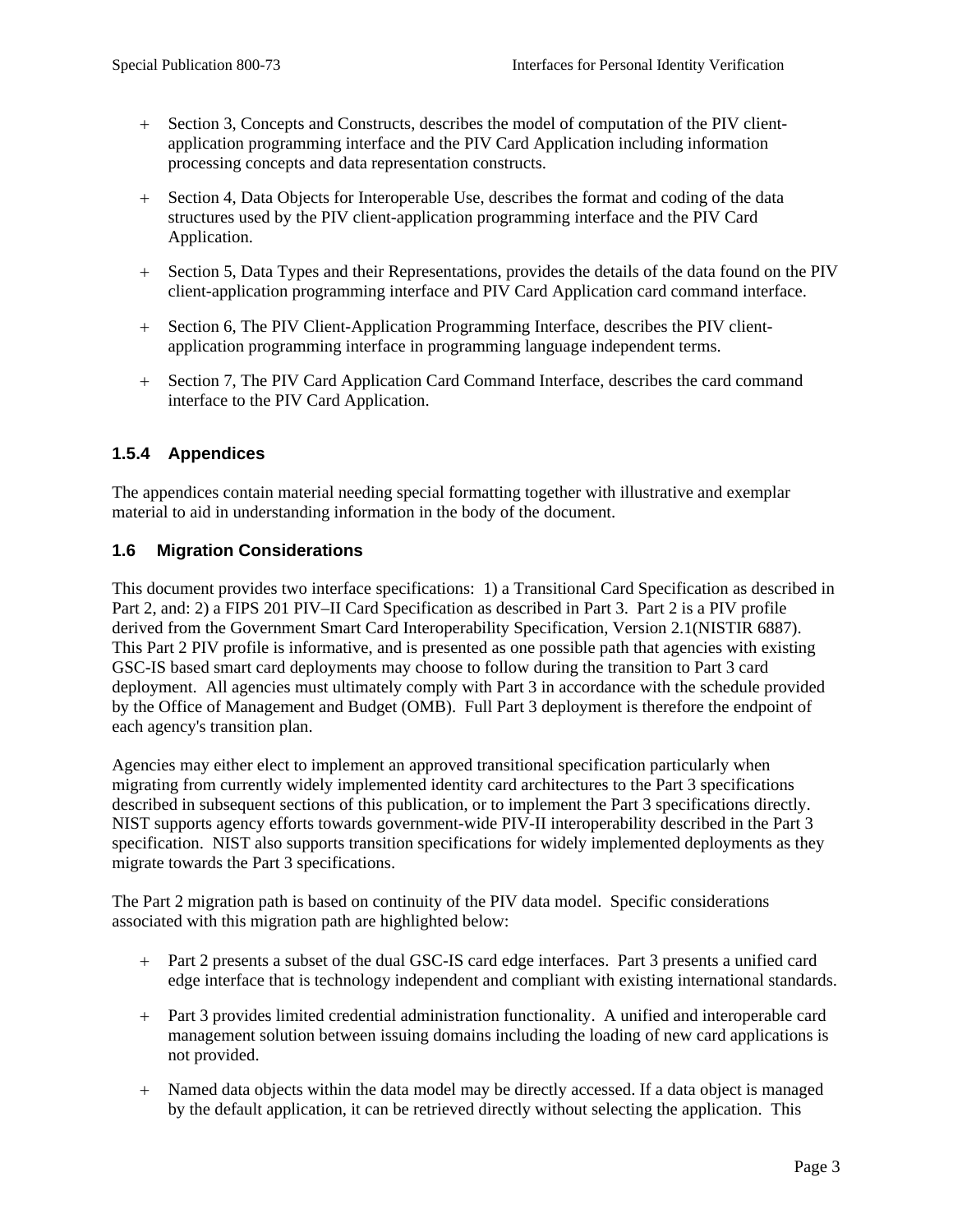- <span id="page-11-0"></span>+ Section 3, Concepts and Constructs, describes the model of computation of the PIV clientapplication programming interface and the PIV Card Application including information processing concepts and data representation constructs.
- + Section 4, Data Objects for Interoperable Use, describes the format and coding of the data structures used by the PIV client-application programming interface and the PIV Card Application.
- + Section 5, Data Types and their Representations, provides the details of the data found on the PIV client-application programming interface and PIV Card Application card command interface.
- + Section 6, The PIV Client-Application Programming Interface, describes the PIV clientapplication programming interface in programming language independent terms.
- + Section 7, The PIV Card Application Card Command Interface, describes the card command interface to the PIV Card Application.

# **1.5.4 Appendices**

The appendices contain material needing special formatting together with illustrative and exemplar material to aid in understanding information in the body of the document.

## **1.6 Migration Considerations**

This document provides two interface specifications: 1) a Transitional Card Specification as described in Part 2, and: 2) a FIPS 201 PIV–II Card Specification as described in Part 3. Part 2 is a PIV profile derived from the Government Smart Card Interoperability Specification, Version 2.1(NISTIR 6887). This Part 2 PIV profile is informative, and is presented as one possible path that agencies with existing GSC-IS based smart card deployments may choose to follow during the transition to Part 3 card deployment. All agencies must ultimately comply with Part 3 in accordance with the schedule provided by the Office of Management and Budget (OMB). Full Part 3 deployment is therefore the endpoint of each agency's transition plan.

Agencies may either elect to implement an approved transitional specification particularly when migrating from currently widely implemented identity card architectures to the Part 3 specifications described in subsequent sections of this publication, or to implement the Part 3 specifications directly. NIST supports agency efforts towards government-wide PIV-II interoperability described in the Part 3 specification. NIST also supports transition specifications for widely implemented deployments as they migrate towards the Part 3 specifications.

The Part 2 migration path is based on continuity of the PIV data model. Specific considerations associated with this migration path are highlighted below:

- + Part 2 presents a subset of the dual GSC-IS card edge interfaces. Part 3 presents a unified card edge interface that is technology independent and compliant with existing international standards.
- + Part 3 provides limited credential administration functionality. A unified and interoperable card management solution between issuing domains including the loading of new card applications is not provided.
- + Named data objects within the data model may be directly accessed. If a data object is managed by the default application, it can be retrieved directly without selecting the application. This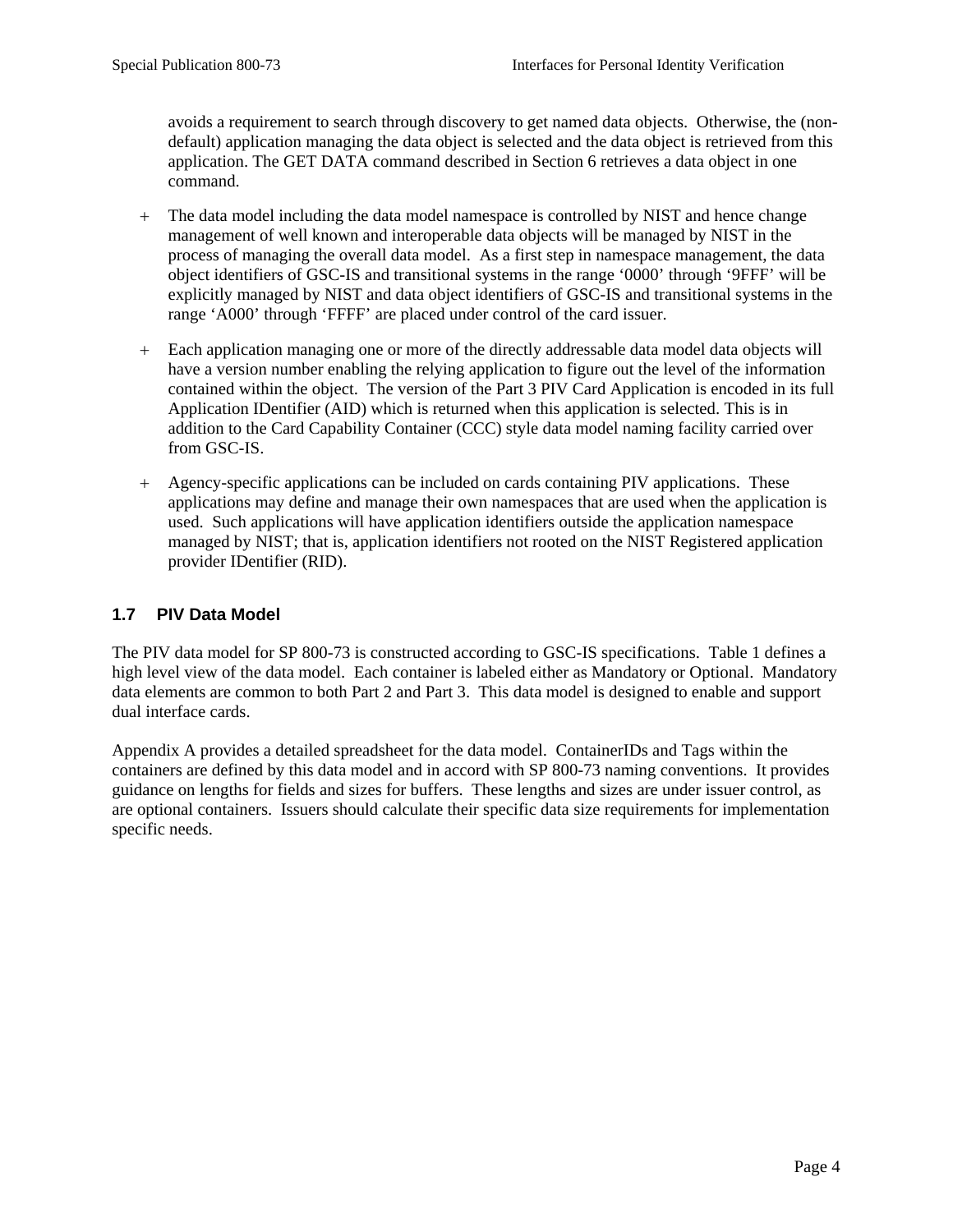<span id="page-12-0"></span>avoids a requirement to search through discovery to get named data objects. Otherwise, the (nondefault) application managing the data object is selected and the data object is retrieved from this application. The GET DATA command described in Section 6 retrieves a data object in one command.

- + The data model including the data model namespace is controlled by NIST and hence change management of well known and interoperable data objects will be managed by NIST in the process of managing the overall data model. As a first step in namespace management, the data object identifiers of GSC-IS and transitional systems in the range '0000' through '9FFF' will be explicitly managed by NIST and data object identifiers of GSC-IS and transitional systems in the range 'A000' through 'FFFF' are placed under control of the card issuer.
- + Each application managing one or more of the directly addressable data model data objects will have a version number enabling the relying application to figure out the level of the information contained within the object. The version of the Part 3 PIV Card Application is encoded in its full Application IDentifier (AID) which is returned when this application is selected. This is in addition to the Card Capability Container (CCC) style data model naming facility carried over from GSC-IS.
- + Agency-specific applications can be included on cards containing PIV applications. These applications may define and manage their own namespaces that are used when the application is used. Such applications will have application identifiers outside the application namespace managed by NIST; that is, application identifiers not rooted on the NIST Registered application provider IDentifier (RID).

## **1.7 PIV Data Model**

The PIV data model for SP 800-73 is constructed according to GSC-IS specifications. Table 1 defines a high level view of the data model. Each container is labeled either as Mandatory or Optional. Mandatory data elements are common to both Part 2 and Part 3. This data model is designed to enable and support dual interface cards.

Appendix A provides a detailed spreadsheet for the data model. ContainerIDs and Tags within the containers are defined by this data model and in accord with SP 800-73 naming conventions. It provides guidance on lengths for fields and sizes for buffers. These lengths and sizes are under issuer control, as are optional containers. Issuers should calculate their specific data size requirements for implementation specific needs.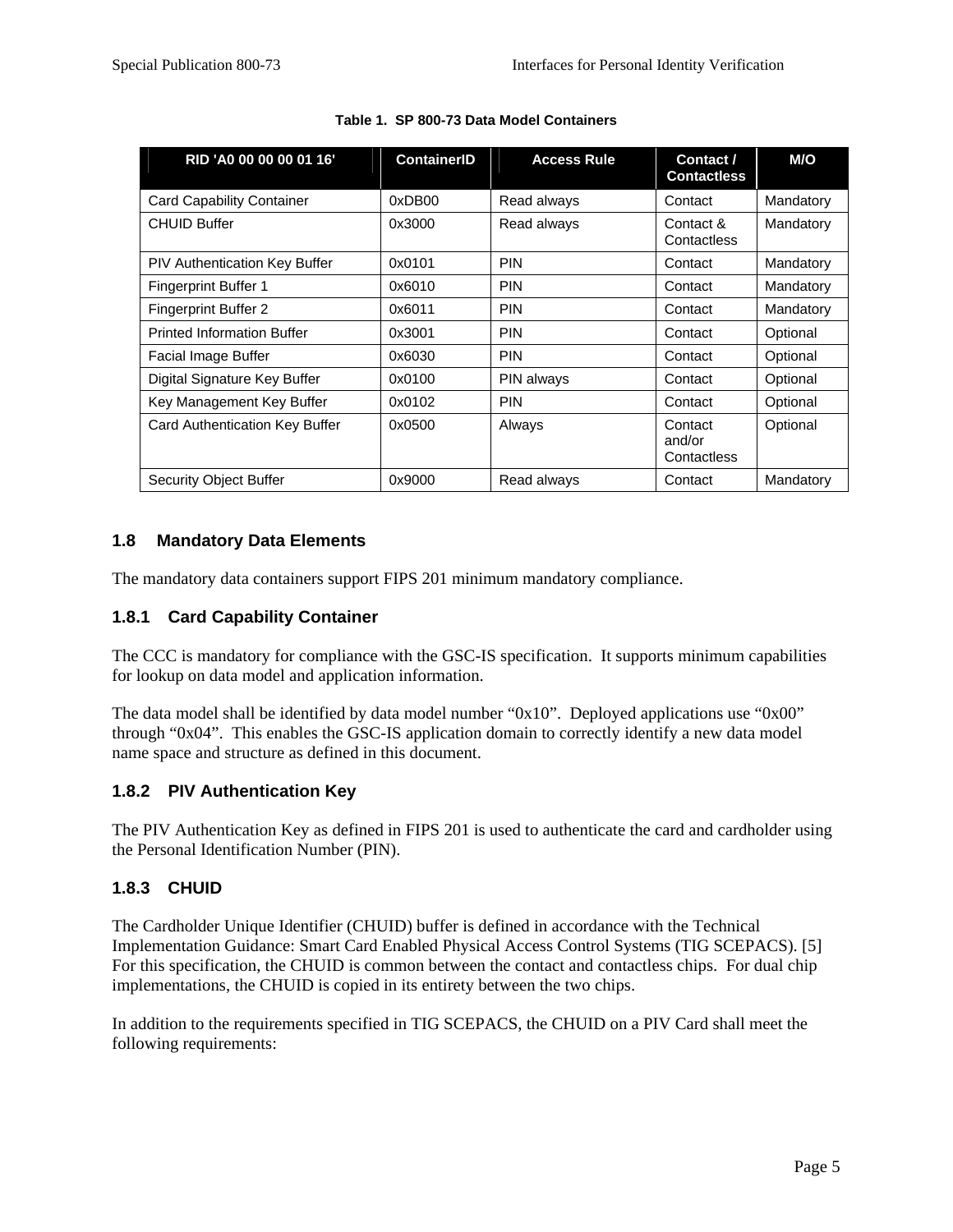<span id="page-13-0"></span>

| RID 'A0 00 00 00 01 16'              | <b>ContainerID</b> | <b>Access Rule</b> | Contact /<br><b>Contactless</b>  | M/O       |
|--------------------------------------|--------------------|--------------------|----------------------------------|-----------|
| <b>Card Capability Container</b>     | 0xDB00             | Read always        | Contact                          | Mandatory |
| <b>CHUID Buffer</b>                  | 0x3000             | Read always        | Contact &<br>Contactless         | Mandatory |
| <b>PIV Authentication Key Buffer</b> | 0x0101             | <b>PIN</b>         | Contact                          | Mandatory |
| <b>Fingerprint Buffer 1</b>          | 0x6010             | <b>PIN</b>         | Contact                          | Mandatory |
| <b>Fingerprint Buffer 2</b>          | 0x6011             | <b>PIN</b>         | Contact                          | Mandatory |
| <b>Printed Information Buffer</b>    | 0x3001             | <b>PIN</b>         | Contact                          | Optional  |
| Facial Image Buffer                  | 0x6030             | <b>PIN</b>         | Contact                          | Optional  |
| Digital Signature Key Buffer         | 0x0100             | PIN always         | Contact                          | Optional  |
| Key Management Key Buffer            | 0x0102             | <b>PIN</b>         | Contact                          | Optional  |
| Card Authentication Key Buffer       | 0x0500             | Always             | Contact<br>and/or<br>Contactless | Optional  |
| Security Object Buffer               | 0x9000             | Read always        | Contact                          | Mandatory |

#### **Table 1. SP 800-73 Data Model Containers**

## **1.8 Mandatory Data Elements**

The mandatory data containers support FIPS 201 minimum mandatory compliance.

#### **1.8.1 Card Capability Container**

The CCC is mandatory for compliance with the GSC-IS specification. It supports minimum capabilities for lookup on data model and application information.

The data model shall be identified by data model number "0x10". Deployed applications use "0x00" through "0x04". This enables the GSC-IS application domain to correctly identify a new data model name space and structure as defined in this document.

#### **1.8.2 PIV Authentication Key**

The PIV Authentication Key as defined in FIPS 201 is used to authenticate the card and cardholder using the Personal Identification Number (PIN).

## **1.8.3 CHUID**

The Cardholder Unique Identifier (CHUID) buffer is defined in accordance with the Technical Implementation Guidance: Smart Card Enabled Physical Access Control Systems (TIG SCEPACS). [5] For this specification, the CHUID is common between the contact and contactless chips. For dual chip implementations, the CHUID is copied in its entirety between the two chips.

In addition to the requirements specified in TIG SCEPACS, the CHUID on a PIV Card shall meet the following requirements: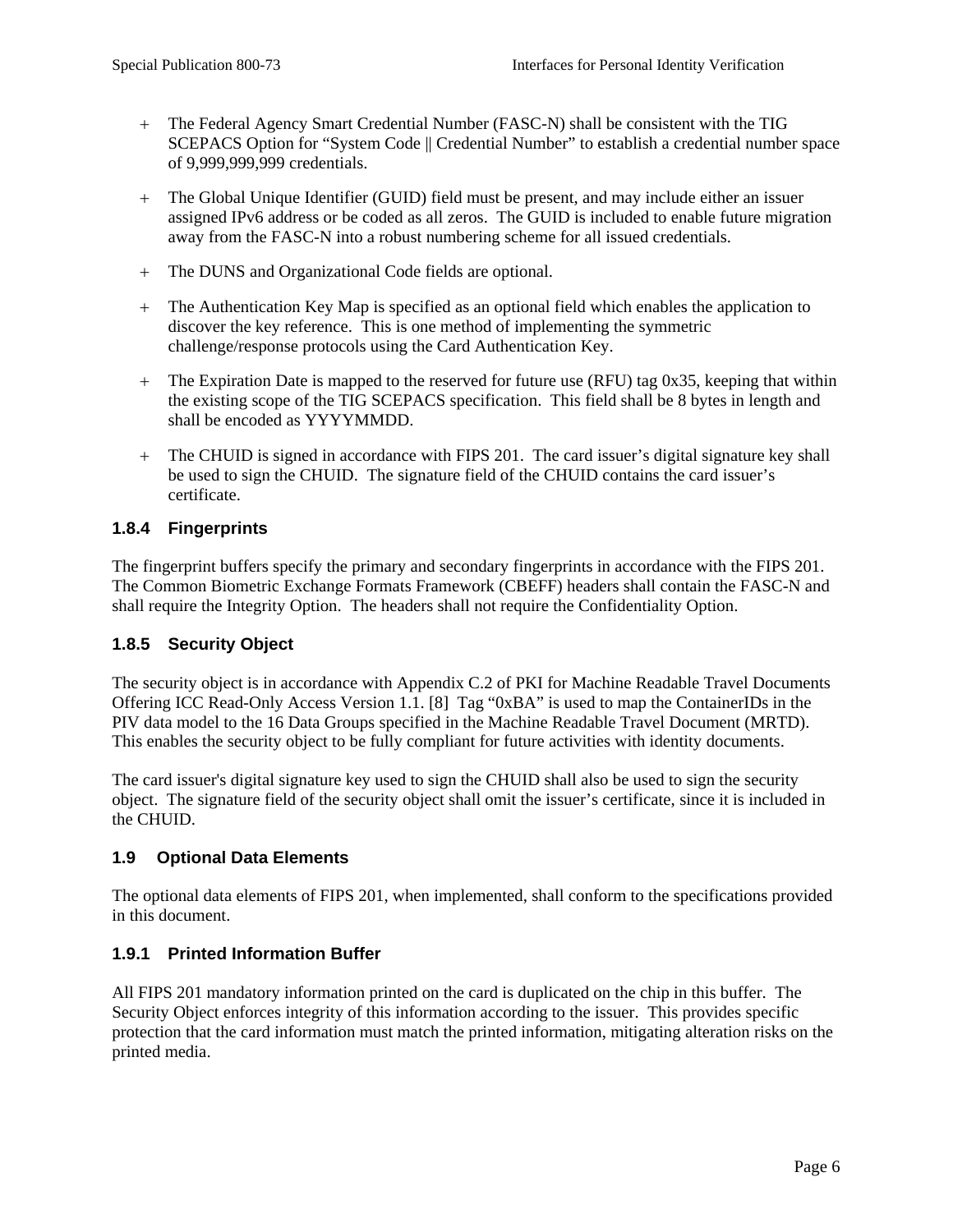- <span id="page-14-0"></span>+ The Federal Agency Smart Credential Number (FASC-N) shall be consistent with the TIG SCEPACS Option for "System Code || Credential Number" to establish a credential number space of 9,999,999,999 credentials.
- + The Global Unique Identifier (GUID) field must be present, and may include either an issuer assigned IPv6 address or be coded as all zeros. The GUID is included to enable future migration away from the FASC-N into a robust numbering scheme for all issued credentials.
- + The DUNS and Organizational Code fields are optional.
- + The Authentication Key Map is specified as an optional field which enables the application to discover the key reference. This is one method of implementing the symmetric challenge/response protocols using the Card Authentication Key.
- + The Expiration Date is mapped to the reserved for future use (RFU) tag 0x35, keeping that within the existing scope of the TIG SCEPACS specification. This field shall be 8 bytes in length and shall be encoded as YYYYMMDD.
- + The CHUID is signed in accordance with FIPS 201. The card issuer's digital signature key shall be used to sign the CHUID. The signature field of the CHUID contains the card issuer's certificate.

#### **1.8.4 Fingerprints**

The fingerprint buffers specify the primary and secondary fingerprints in accordance with the FIPS 201. The Common Biometric Exchange Formats Framework (CBEFF) headers shall contain the FASC-N and shall require the Integrity Option. The headers shall not require the Confidentiality Option.

#### **1.8.5 Security Object**

The security object is in accordance with Appendix C.2 of PKI for Machine Readable Travel Documents Offering ICC Read-Only Access Version 1.1. [8] Tag "0xBA" is used to map the ContainerIDs in the PIV data model to the 16 Data Groups specified in the Machine Readable Travel Document (MRTD). This enables the security object to be fully compliant for future activities with identity documents.

The card issuer's digital signature key used to sign the CHUID shall also be used to sign the security object. The signature field of the security object shall omit the issuer's certificate, since it is included in the CHUID.

## **1.9 Optional Data Elements**

The optional data elements of FIPS 201, when implemented, shall conform to the specifications provided in this document.

## **1.9.1 Printed Information Buffer**

All FIPS 201 mandatory information printed on the card is duplicated on the chip in this buffer. The Security Object enforces integrity of this information according to the issuer. This provides specific protection that the card information must match the printed information, mitigating alteration risks on the printed media.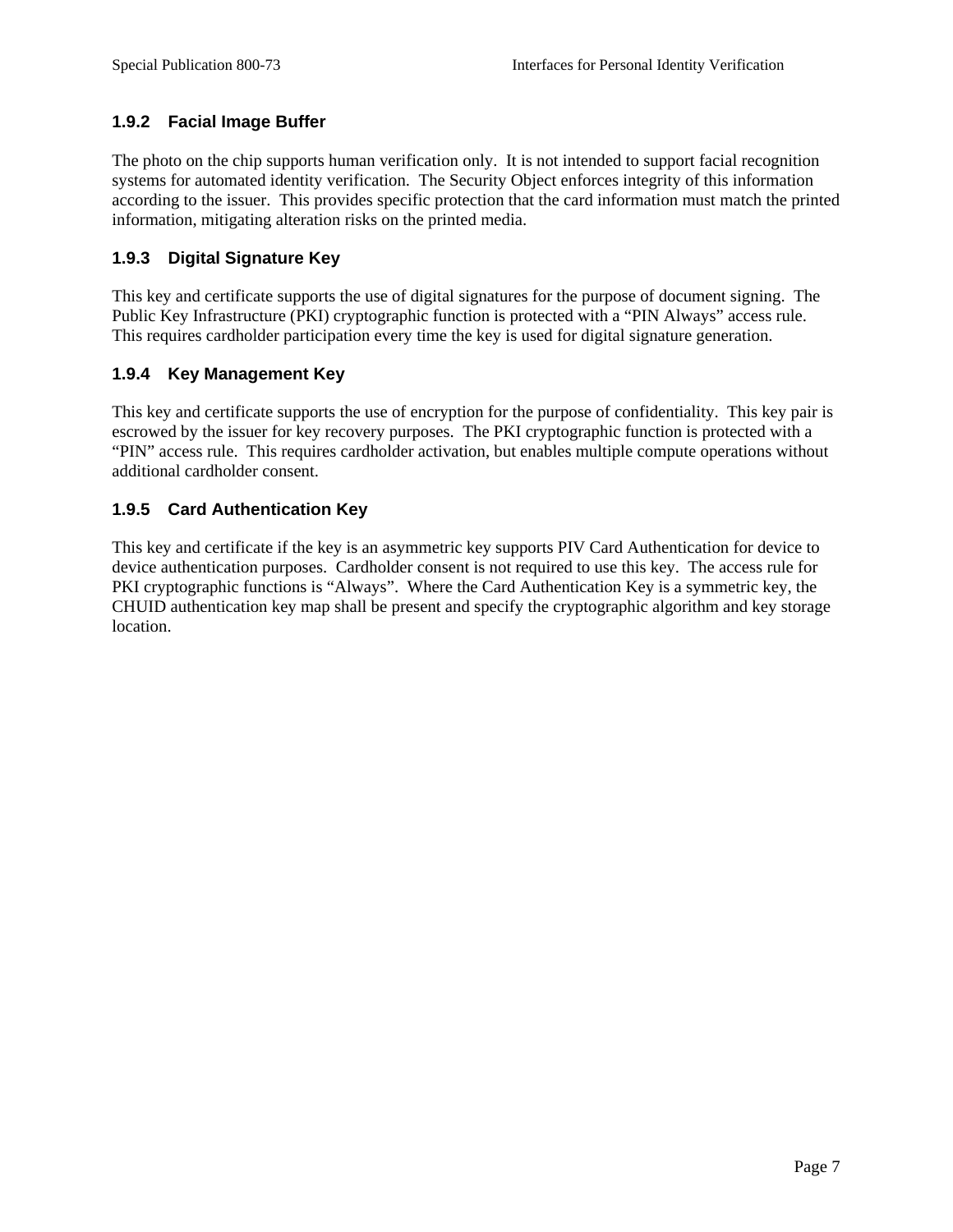# <span id="page-15-0"></span>**1.9.2 Facial Image Buffer**

The photo on the chip supports human verification only. It is not intended to support facial recognition systems for automated identity verification. The Security Object enforces integrity of this information according to the issuer. This provides specific protection that the card information must match the printed information, mitigating alteration risks on the printed media.

# **1.9.3 Digital Signature Key**

This key and certificate supports the use of digital signatures for the purpose of document signing. The Public Key Infrastructure (PKI) cryptographic function is protected with a "PIN Always" access rule. This requires cardholder participation every time the key is used for digital signature generation.

## **1.9.4 Key Management Key**

This key and certificate supports the use of encryption for the purpose of confidentiality. This key pair is escrowed by the issuer for key recovery purposes. The PKI cryptographic function is protected with a "PIN" access rule. This requires cardholder activation, but enables multiple compute operations without additional cardholder consent.

# **1.9.5 Card Authentication Key**

This key and certificate if the key is an asymmetric key supports PIV Card Authentication for device to device authentication purposes. Cardholder consent is not required to use this key. The access rule for PKI cryptographic functions is "Always". Where the Card Authentication Key is a symmetric key, the CHUID authentication key map shall be present and specify the cryptographic algorithm and key storage location.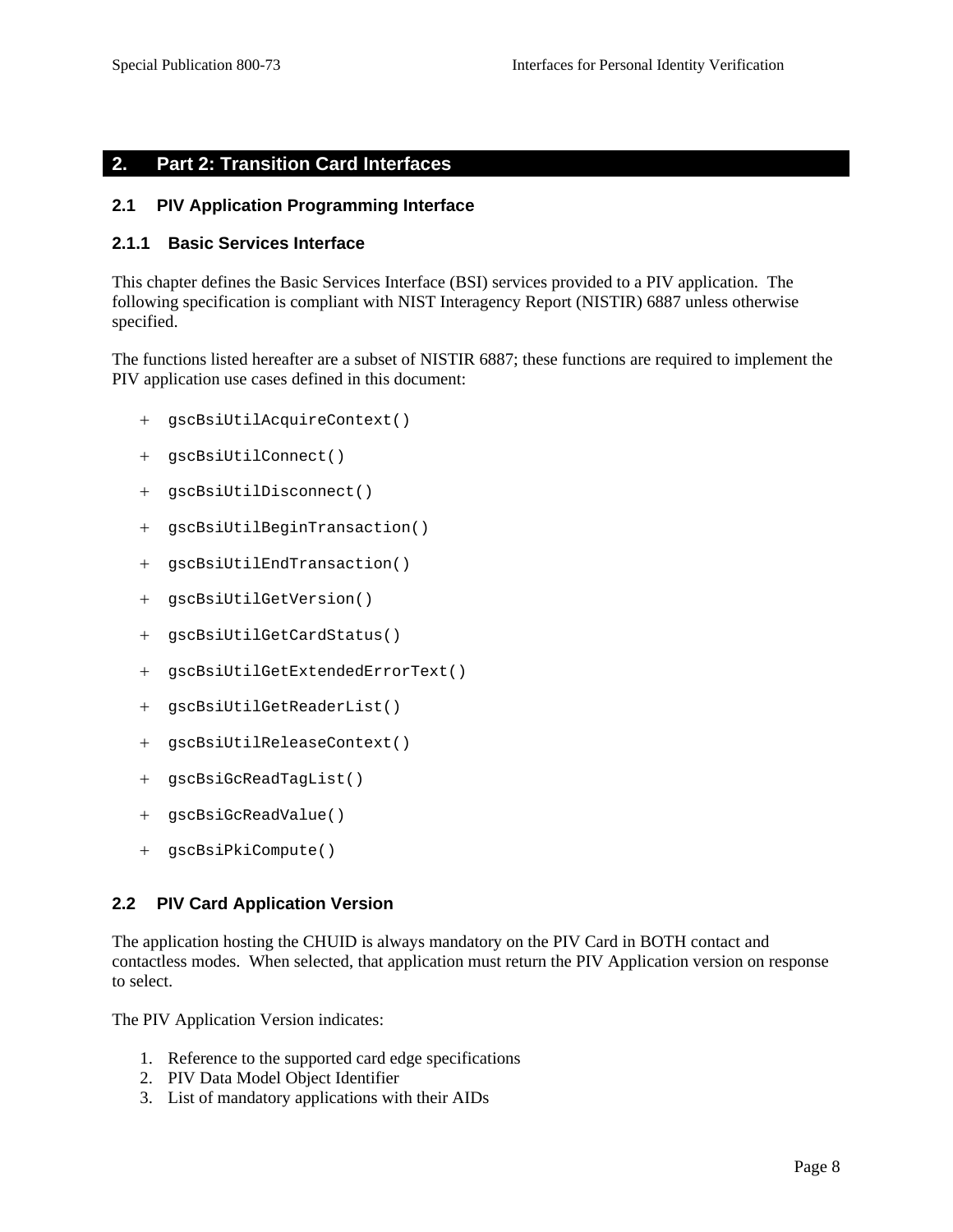#### <span id="page-16-0"></span>**2. Part 2: Transition Card Interfaces**

#### **2.1 PIV Application Programming Interface**

#### **2.1.1 Basic Services Interface**

This chapter defines the Basic Services Interface (BSI) services provided to a PIV application. The following specification is compliant with NIST Interagency Report (NISTIR) 6887 unless otherwise specified.

The functions listed hereafter are a subset of NISTIR 6887; these functions are required to implement the PIV application use cases defined in this document:

- + gscBsiUtilAcquireContext()
- + gscBsiUtilConnect()
- + gscBsiUtilDisconnect()
- + gscBsiUtilBeginTransaction()
- + gscBsiUtilEndTransaction()
- + gscBsiUtilGetVersion()
- + gscBsiUtilGetCardStatus()
- + gscBsiUtilGetExtendedErrorText()
- + gscBsiUtilGetReaderList()
- + gscBsiUtilReleaseContext()
- + gscBsiGcReadTagList()
- + gscBsiGcReadValue()
- + gscBsiPkiCompute()

#### **2.2 PIV Card Application Version**

The application hosting the CHUID is always mandatory on the PIV Card in BOTH contact and contactless modes. When selected, that application must return the PIV Application version on response to select.

The PIV Application Version indicates:

- 1. Reference to the supported card edge specifications
- 2. PIV Data Model Object Identifier
- 3. List of mandatory applications with their AIDs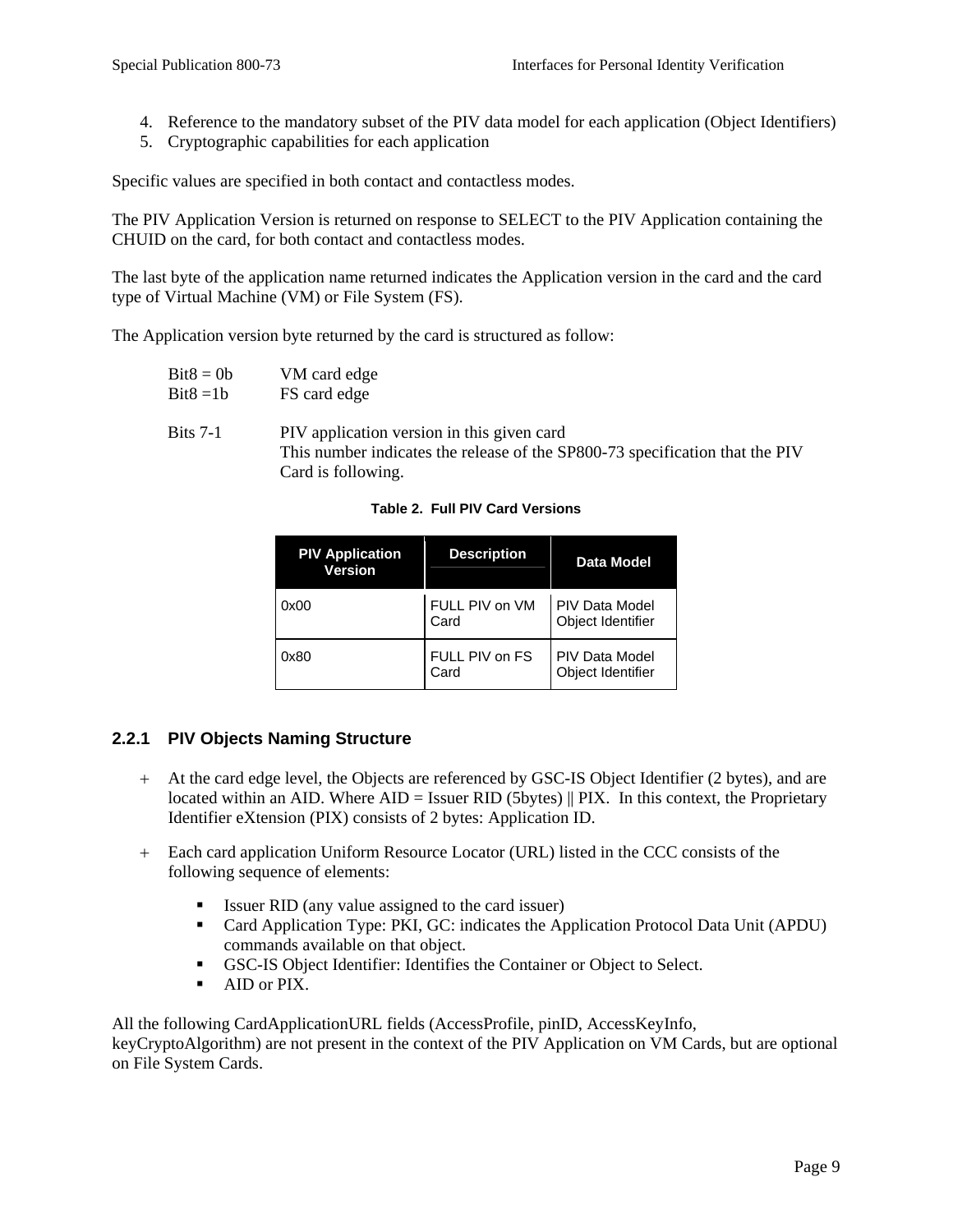- <span id="page-17-0"></span>4. Reference to the mandatory subset of the PIV data model for each application (Object Identifiers)
- 5. Cryptographic capabilities for each application

Specific values are specified in both contact and contactless modes.

The PIV Application Version is returned on response to SELECT to the PIV Application containing the CHUID on the card, for both contact and contactless modes.

The last byte of the application name returned indicates the Application version in the card and the card type of Virtual Machine (VM) or File System (FS).

The Application version byte returned by the card is structured as follow:

| $Bit8 = 0b$ | VM card edge |
|-------------|--------------|
| $Bit8 = 1b$ | FS card edge |

Bits 7-1 PIV application version in this given card This number indicates the release of the SP800-73 specification that the PIV Card is following.

**Table 2. Full PIV Card Versions**

| <b>PIV Application</b><br><b>Version</b> | <b>Description</b>     | <b>Data Model</b>                          |
|------------------------------------------|------------------------|--------------------------------------------|
| 0x00                                     | FULL PIV on VM<br>Card | <b>PIV Data Model</b><br>Object Identifier |
| 0x80                                     | FULL PIV on FS<br>Card | <b>PIV Data Model</b><br>Object Identifier |

## **2.2.1 PIV Objects Naming Structure**

- + At the card edge level, the Objects are referenced by GSC-IS Object Identifier (2 bytes), and are located within an AID. Where  $AID = I$ ssuer RID (5bytes) || PIX. In this context, the Proprietary Identifier eXtension (PIX) consists of 2 bytes: Application ID.
- + Each card application Uniform Resource Locator (URL) listed in the CCC consists of the following sequence of elements:
	- Issuer RID (any value assigned to the card issuer)
	- Card Application Type: PKI, GC: indicates the Application Protocol Data Unit (APDU) commands available on that object.
	- GSC-IS Object Identifier: Identifies the Container or Object to Select.
	- AID or PIX.

All the following CardApplicationURL fields (AccessProfile, pinID, AccessKeyInfo, keyCryptoAlgorithm) are not present in the context of the PIV Application on VM Cards, but are optional on File System Cards.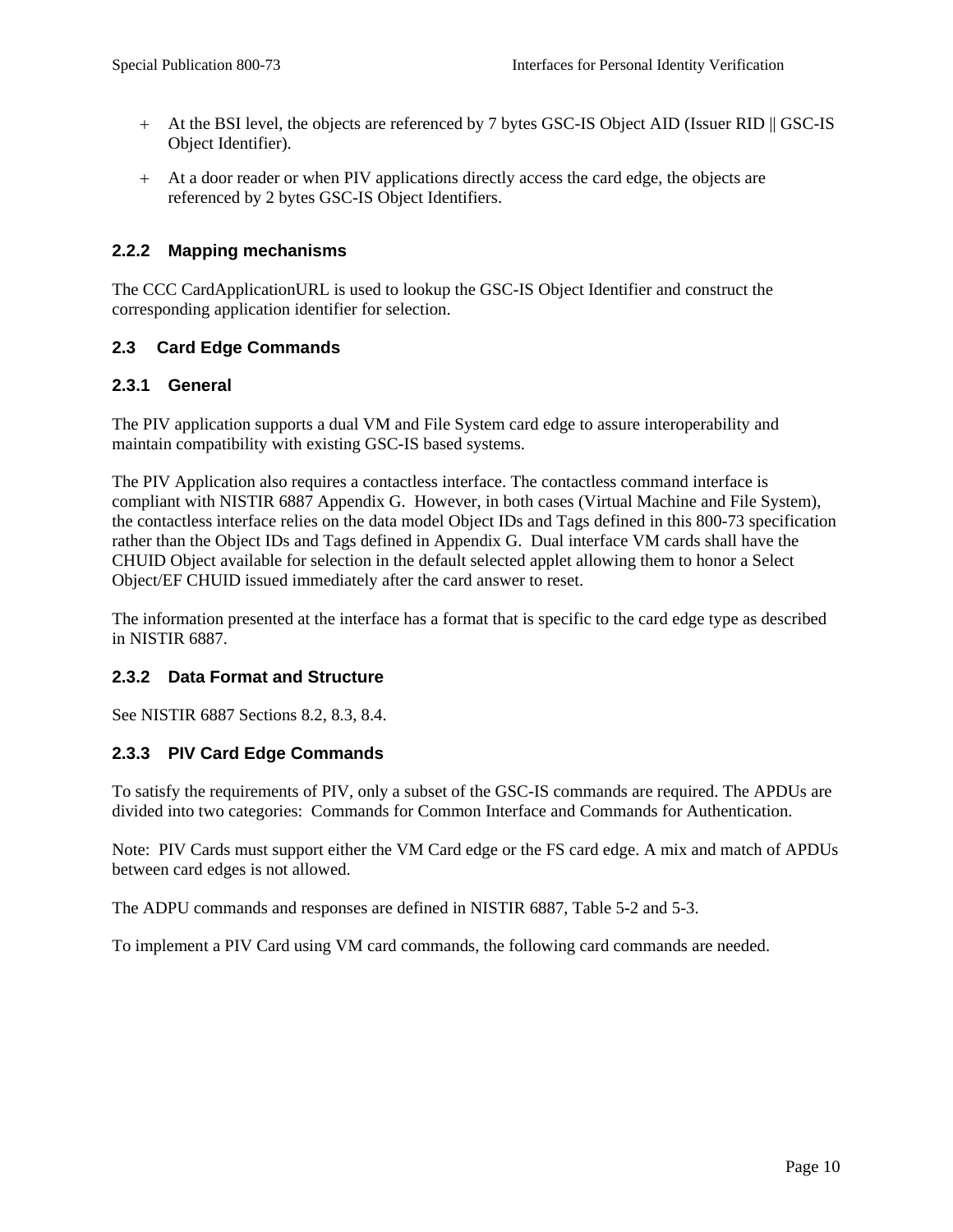- <span id="page-18-0"></span>+ At the BSI level, the objects are referenced by 7 bytes GSC-IS Object AID (Issuer RID || GSC-IS Object Identifier).
- + At a door reader or when PIV applications directly access the card edge, the objects are referenced by 2 bytes GSC-IS Object Identifiers.

#### **2.2.2 Mapping mechanisms**

The CCC CardApplicationURL is used to lookup the GSC-IS Object Identifier and construct the corresponding application identifier for selection.

## **2.3 Card Edge Commands**

#### **2.3.1 General**

The PIV application supports a dual VM and File System card edge to assure interoperability and maintain compatibility with existing GSC-IS based systems.

The PIV Application also requires a contactless interface. The contactless command interface is compliant with NISTIR 6887 Appendix G. However, in both cases (Virtual Machine and File System), the contactless interface relies on the data model Object IDs and Tags defined in this 800-73 specification rather than the Object IDs and Tags defined in Appendix G. Dual interface VM cards shall have the CHUID Object available for selection in the default selected applet allowing them to honor a Select Object/EF CHUID issued immediately after the card answer to reset.

The information presented at the interface has a format that is specific to the card edge type as described in NISTIR 6887.

#### **2.3.2 Data Format and Structure**

See NISTIR 6887 Sections 8.2, 8.3, 8.4.

## **2.3.3 PIV Card Edge Commands**

To satisfy the requirements of PIV, only a subset of the GSC-IS commands are required. The APDUs are divided into two categories: Commands for Common Interface and Commands for Authentication.

Note: PIV Cards must support either the VM Card edge or the FS card edge. A mix and match of APDUs between card edges is not allowed.

The ADPU commands and responses are defined in NISTIR 6887, Table 5-2 and 5-3.

To implement a PIV Card using VM card commands, the following card commands are needed.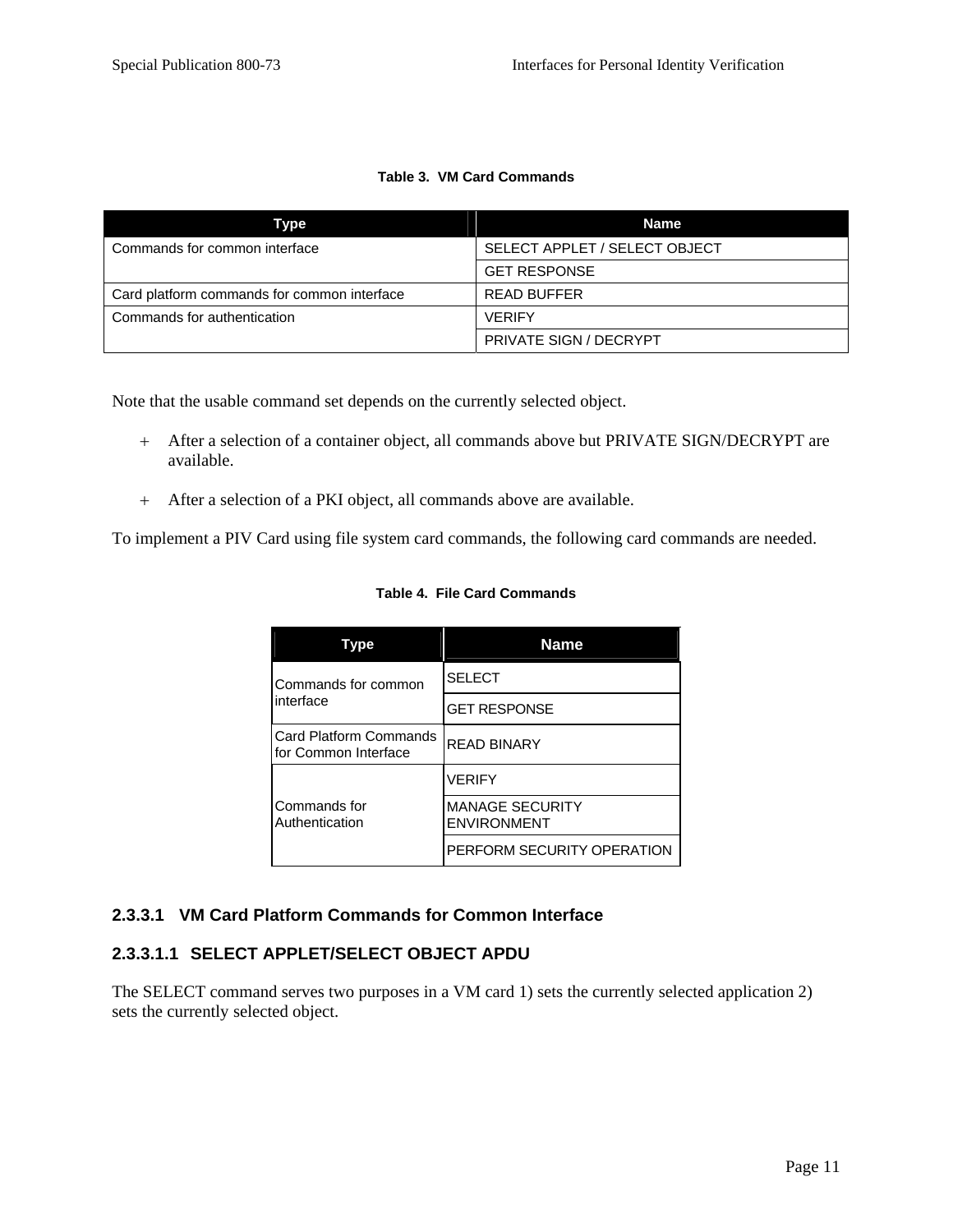#### **Table 3. VM Card Commands**

<span id="page-19-0"></span>

| Type                                        | Name                          |
|---------------------------------------------|-------------------------------|
| Commands for common interface               | SELECT APPLET / SELECT OBJECT |
|                                             | <b>GET RESPONSE</b>           |
| Card platform commands for common interface | <b>READ BUFFER</b>            |
| Commands for authentication                 | <b>VERIFY</b>                 |
|                                             | <b>PRIVATE SIGN / DECRYPT</b> |

Note that the usable command set depends on the currently selected object.

- + After a selection of a container object, all commands above but PRIVATE SIGN/DECRYPT are available.
- + After a selection of a PKI object, all commands above are available.

To implement a PIV Card using file system card commands, the following card commands are needed.

| <b>vpe</b>                                            | <b>Name</b>                                  |
|-------------------------------------------------------|----------------------------------------------|
| Commands for common                                   | <b>SELECT</b>                                |
| interface                                             | <b>GET RESPONSE</b>                          |
| <b>Card Platform Commands</b><br>for Common Interface | <b>READ BINARY</b>                           |
|                                                       | <b>VERIFY</b>                                |
| Commands for<br>Authentication                        | <b>MANAGE SECURITY</b><br><b>ENVIRONMENT</b> |
|                                                       | PERFORM SECURITY OPERATION                   |

#### **Table 4. File Card Commands**

## **2.3.3.1 VM Card Platform Commands for Common Interface**

# **2.3.3.1.1 SELECT APPLET/SELECT OBJECT APDU**

The SELECT command serves two purposes in a VM card 1) sets the currently selected application 2) sets the currently selected object.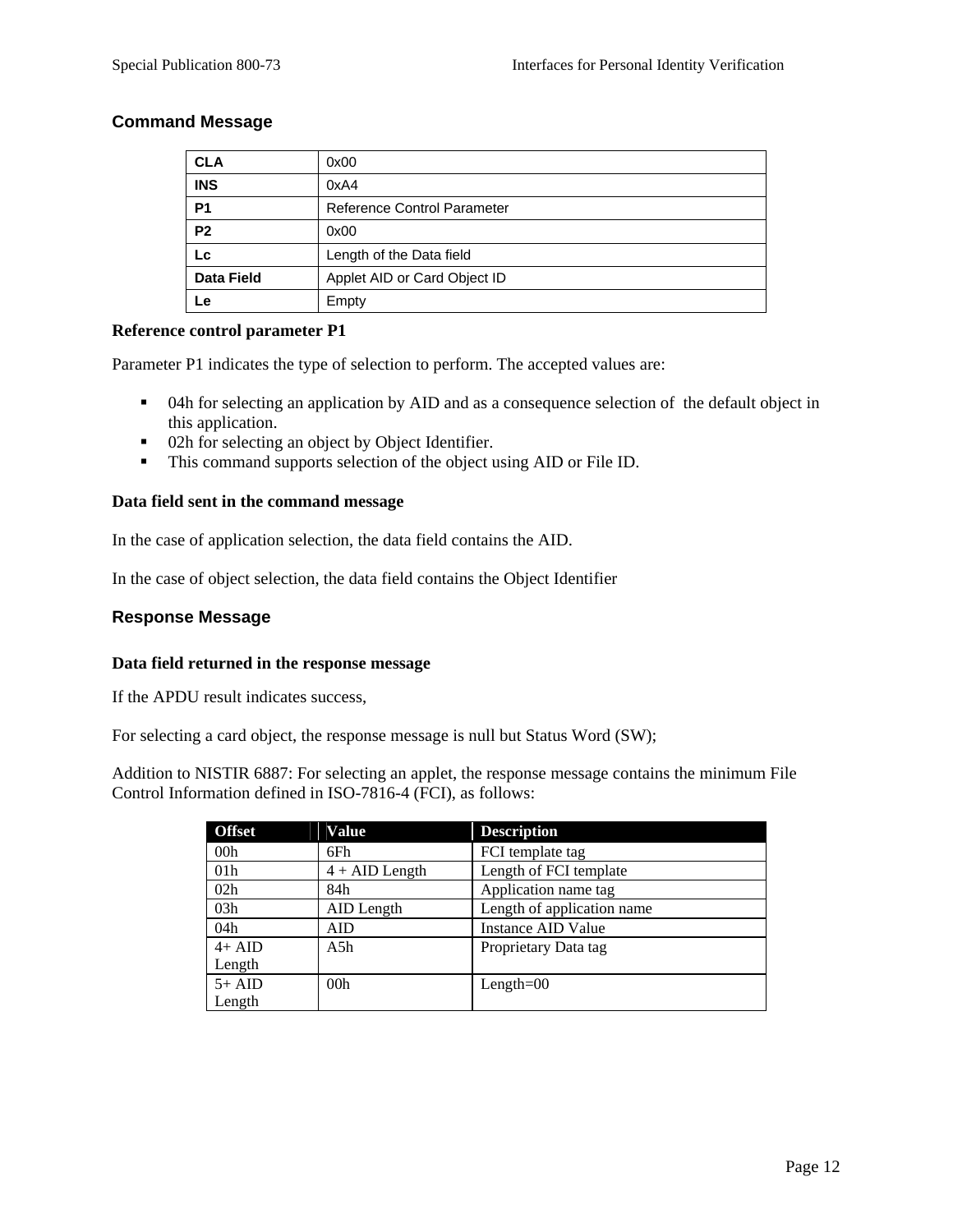#### **Command Message**

| <b>CLA</b>        | 0x00                               |
|-------------------|------------------------------------|
| <b>INS</b>        | 0xA4                               |
| <b>P1</b>         | <b>Reference Control Parameter</b> |
| P <sub>2</sub>    | 0x00                               |
| Lc.               | Length of the Data field           |
| <b>Data Field</b> | Applet AID or Card Object ID       |
| Le                | Empty                              |

#### **Reference control parameter P1**

Parameter P1 indicates the type of selection to perform. The accepted values are:

- <sup>•</sup> 04h for selecting an application by AID and as a consequence selection of the default object in this application.
- 02h for selecting an object by Object Identifier.
- This command supports selection of the object using AID or File ID.

#### **Data field sent in the command message**

In the case of application selection, the data field contains the AID.

In the case of object selection, the data field contains the Object Identifier

#### **Response Message**

#### **Data field returned in the response message**

If the APDU result indicates success,

For selecting a card object, the response message is null but Status Word (SW);

Addition to NISTIR 6887: For selecting an applet, the response message contains the minimum File Control Information defined in ISO-7816-4 (FCI), as follows:

| <b>Offset</b>   | Value            | <b>Description</b>         |
|-----------------|------------------|----------------------------|
| 00 <sub>h</sub> | 6Fh              | FCI template tag           |
| 01 <sub>h</sub> | $4 + AID$ Length | Length of FCI template     |
| 02h             | 84h              | Application name tag       |
| 03h             | AID Length       | Length of application name |
| 04h             | <b>AID</b>       | Instance AID Value         |
| $4+$ AID        | A5h              | Proprietary Data tag       |
| Length          |                  |                            |
| $5+$ AID        | 00 <sub>h</sub>  | Length= $00$               |
| Length          |                  |                            |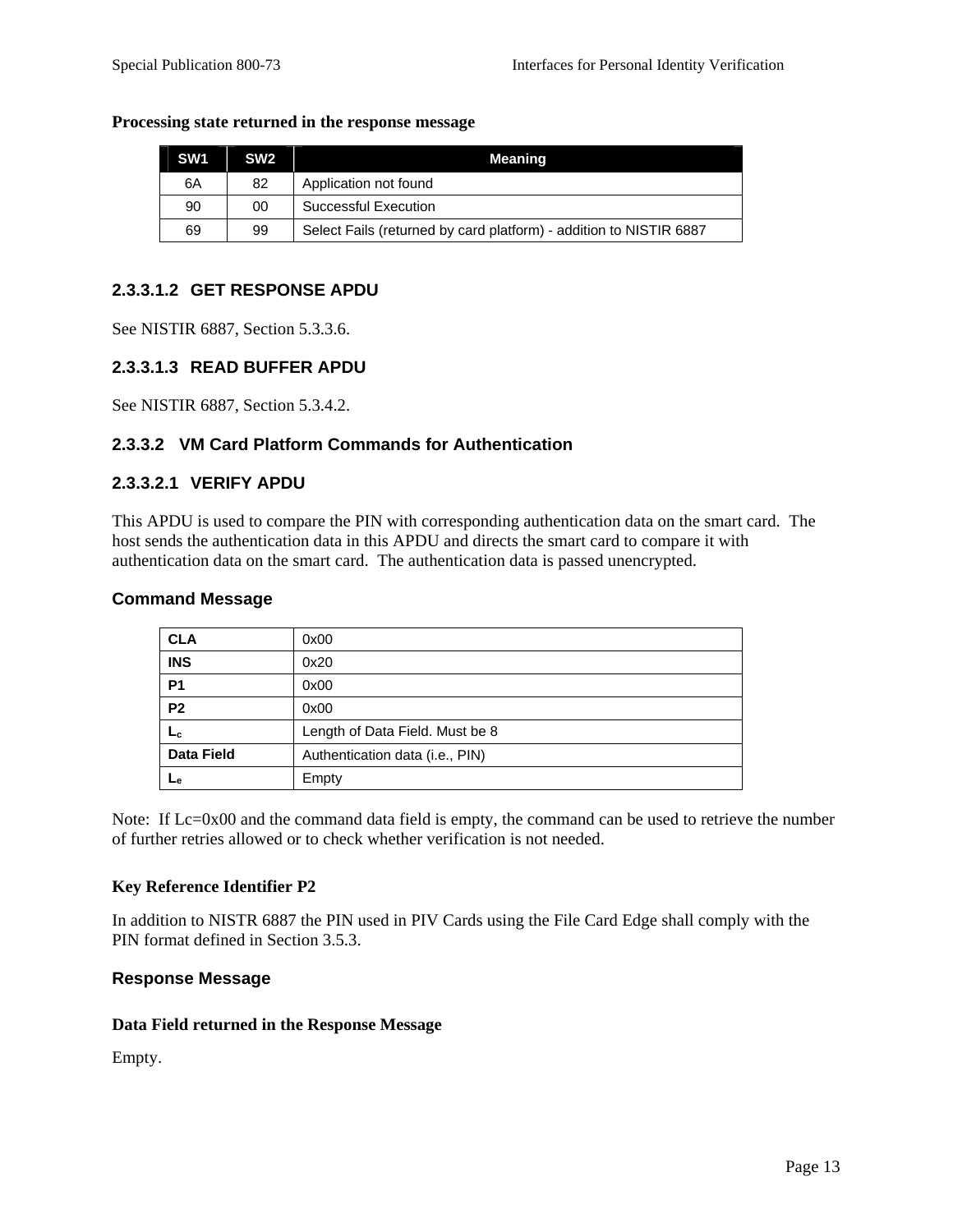#### **Processing state returned in the response message**

| SW <sub>1</sub> | SW <sub>2</sub> | Meaning                                                            |
|-----------------|-----------------|--------------------------------------------------------------------|
| 6A              | 82              | Application not found                                              |
| 90              | 00              | Successful Execution                                               |
| 69              | 99              | Select Fails (returned by card platform) - addition to NISTIR 6887 |

#### **2.3.3.1.2 GET RESPONSE APDU**

See NISTIR 6887, Section 5.3.3.6.

#### **2.3.3.1.3 READ BUFFER APDU**

See NISTIR 6887, Section 5.3.4.2.

#### **2.3.3.2 VM Card Platform Commands for Authentication**

#### **2.3.3.2.1 VERIFY APDU**

This APDU is used to compare the PIN with corresponding authentication data on the smart card. The host sends the authentication data in this APDU and directs the smart card to compare it with authentication data on the smart card. The authentication data is passed unencrypted.

#### **Command Message**

| <b>CLA</b>        | 0x00                            |
|-------------------|---------------------------------|
| <b>INS</b>        | 0x20                            |
| <b>P1</b>         | 0x00                            |
| <b>P2</b>         | 0x00                            |
| Lc                | Length of Data Field. Must be 8 |
| <b>Data Field</b> | Authentication data (i.e., PIN) |
| ⊾е                | Empty                           |

Note: If Lc=0x00 and the command data field is empty, the command can be used to retrieve the number of further retries allowed or to check whether verification is not needed.

#### **Key Reference Identifier P2**

In addition to NISTR 6887 the PIN used in PIV Cards using the File Card Edge shall comply with the PIN format defined in Section 3.5.3.

#### **Response Message**

#### **Data Field returned in the Response Message**

Empty.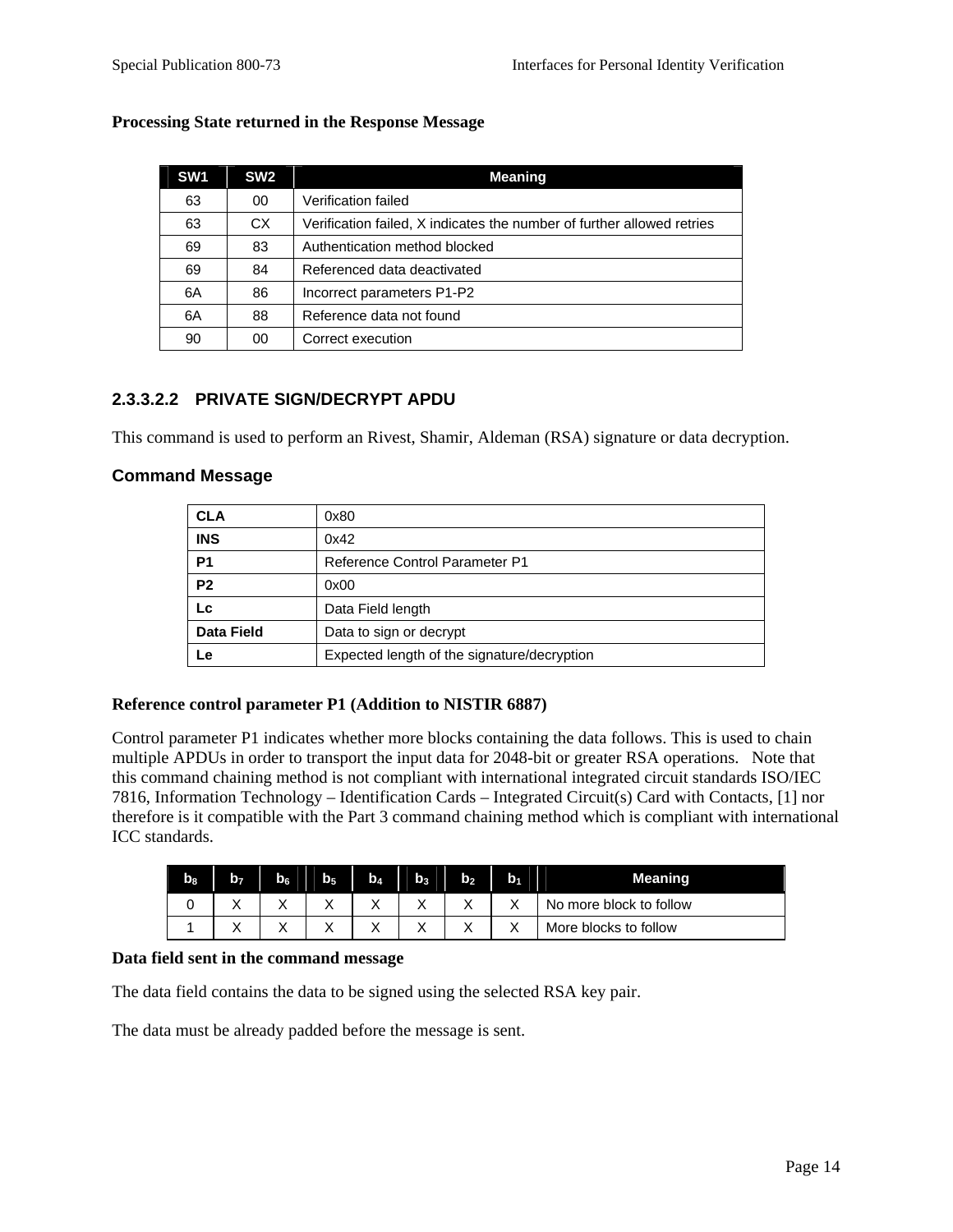| SW <sub>1</sub> | SW <sub>2</sub> | <b>Meaning</b>                                                         |
|-----------------|-----------------|------------------------------------------------------------------------|
| 63              | 00              | Verification failed                                                    |
| 63              | CX.             | Verification failed, X indicates the number of further allowed retries |
| 69              | 83              | Authentication method blocked                                          |
| 69              | 84              | Referenced data deactivated                                            |
| 6A              | 86              | Incorrect parameters P1-P2                                             |
| 6A              | 88              | Reference data not found                                               |
| 90              | 00              | Correct execution                                                      |

#### **Processing State returned in the Response Message**

## **2.3.3.2.2 PRIVATE SIGN/DECRYPT APDU**

This command is used to perform an Rivest, Shamir, Aldeman (RSA) signature or data decryption.

#### **Command Message**

| <b>CLA</b>        | 0x80                                        |
|-------------------|---------------------------------------------|
| <b>INS</b>        | 0x42                                        |
| P <sub>1</sub>    | <b>Reference Control Parameter P1</b>       |
| P <sub>2</sub>    | 0x00                                        |
| Lc                | Data Field length                           |
| <b>Data Field</b> | Data to sign or decrypt                     |
| Le                | Expected length of the signature/decryption |

#### **Reference control parameter P1 (Addition to NISTIR 6887)**

Control parameter P1 indicates whether more blocks containing the data follows. This is used to chain multiple APDUs in order to transport the input data for 2048-bit or greater RSA operations. Note that this command chaining method is not compliant with international integrated circuit standards ISO/IEC 7816, Information Technology – Identification Cards – Integrated Circuit(s) Card with Contacts, [1] nor therefore is it compatible with the Part 3 command chaining method which is compliant with international ICC standards.

| b <sub>8</sub> | b- | $b_6$     | bя        | $\mathbf{b}_4$ | $\mathbf{h}$ | b۶                | b, |                         |
|----------------|----|-----------|-----------|----------------|--------------|-------------------|----|-------------------------|
|                |    | $\lambda$ | $\lambda$ | $\lambda$      |              | $\checkmark$<br>∧ |    | No more block to follow |
|                |    |           |           |                |              | ⌒                 |    | More blocks to follow   |

#### **Data field sent in the command message**

The data field contains the data to be signed using the selected RSA key pair.

The data must be already padded before the message is sent.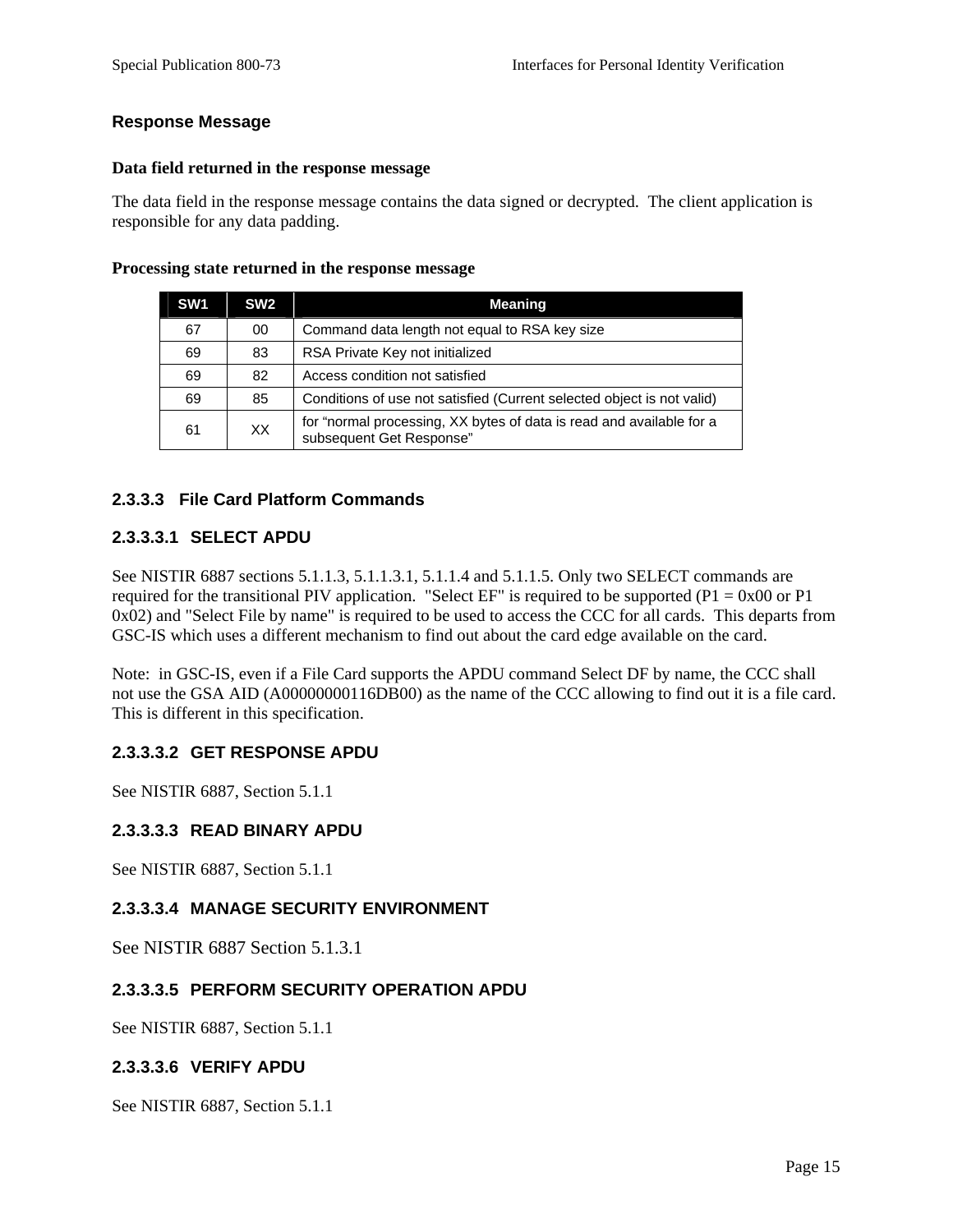#### **Response Message**

#### **Data field returned in the response message**

The data field in the response message contains the data signed or decrypted. The client application is responsible for any data padding.

#### **Processing state returned in the response message**

| SW <sub>1</sub> | SW <sub>2</sub> | <b>Meaning</b>                                                                                   |
|-----------------|-----------------|--------------------------------------------------------------------------------------------------|
| 67              | 00              | Command data length not equal to RSA key size                                                    |
| 69              | 83              | RSA Private Key not initialized                                                                  |
| 69              | 82              | Access condition not satisfied                                                                   |
| 69              | 85              | Conditions of use not satisfied (Current selected object is not valid)                           |
| 61              | XX              | for "normal processing, XX bytes of data is read and available for a<br>subsequent Get Response" |

## **2.3.3.3 File Card Platform Commands**

#### **2.3.3.3.1 SELECT APDU**

See NISTIR 6887 sections 5.1.1.3, 5.1.1.3.1, 5.1.1.4 and 5.1.1.5. Only two SELECT commands are required for the transitional PIV application. "Select EF" is required to be supported (P1 =  $0x00$  or P1 0x02) and "Select File by name" is required to be used to access the CCC for all cards. This departs from GSC-IS which uses a different mechanism to find out about the card edge available on the card.

Note: in GSC-IS, even if a File Card supports the APDU command Select DF by name, the CCC shall not use the GSA AID (A00000000116DB00) as the name of the CCC allowing to find out it is a file card. This is different in this specification.

## **2.3.3.3.2 GET RESPONSE APDU**

See NISTIR 6887, Section 5.1.1

## **2.3.3.3.3 READ BINARY APDU**

See NISTIR 6887, Section 5.1.1

## **2.3.3.3.4 MANAGE SECURITY ENVIRONMENT**

See NISTIR 6887 Section 5.1.3.1

## **2.3.3.3.5 PERFORM SECURITY OPERATION APDU**

See NISTIR 6887, Section 5.1.1

#### **2.3.3.3.6 VERIFY APDU**

See NISTIR 6887, Section 5.1.1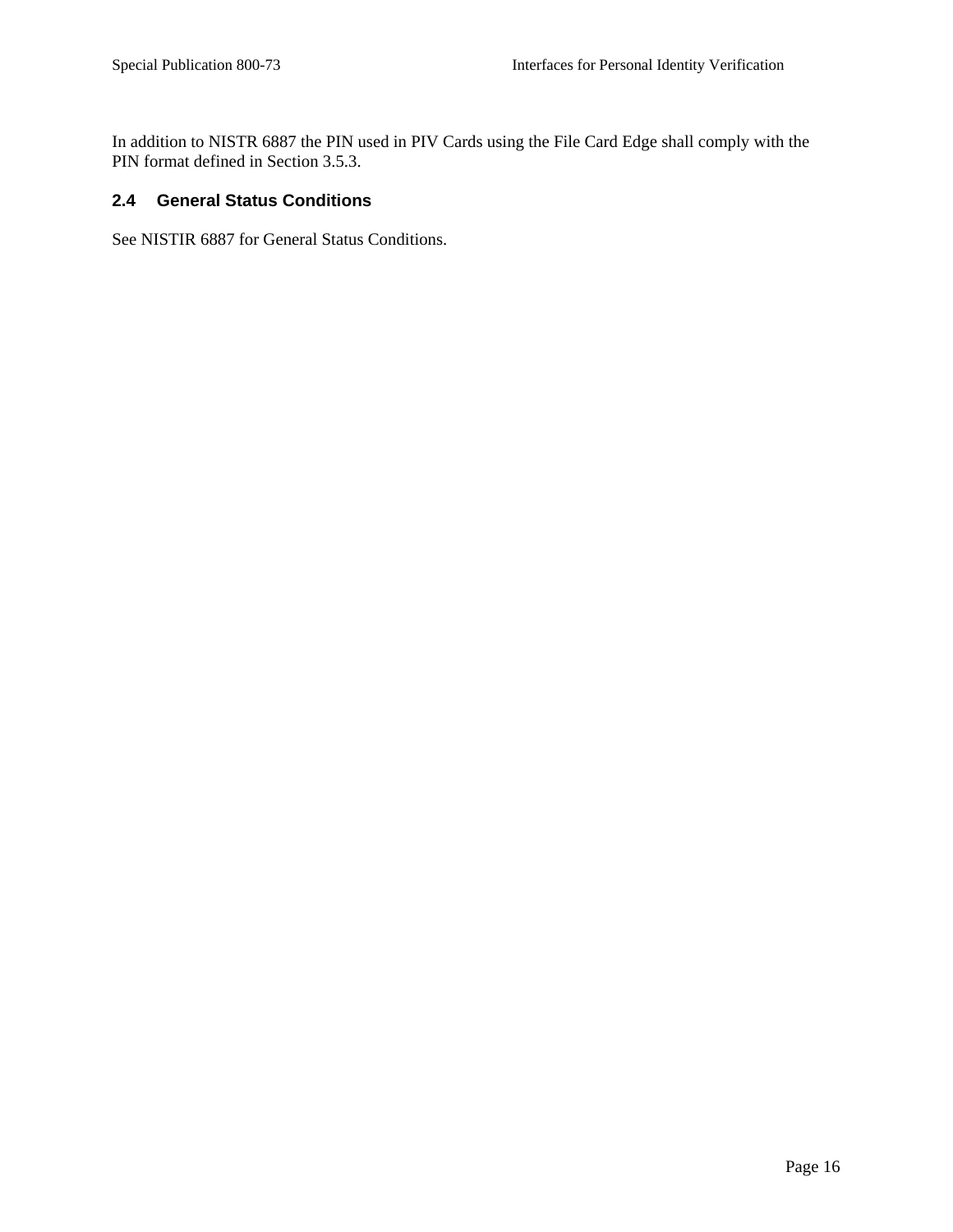<span id="page-24-0"></span>In addition to NISTR 6887 the PIN used in PIV Cards using the File Card Edge shall comply with the PIN format defined in Section 3.5.3.

# **2.4 General Status Conditions**

See NISTIR 6887 for General Status Conditions.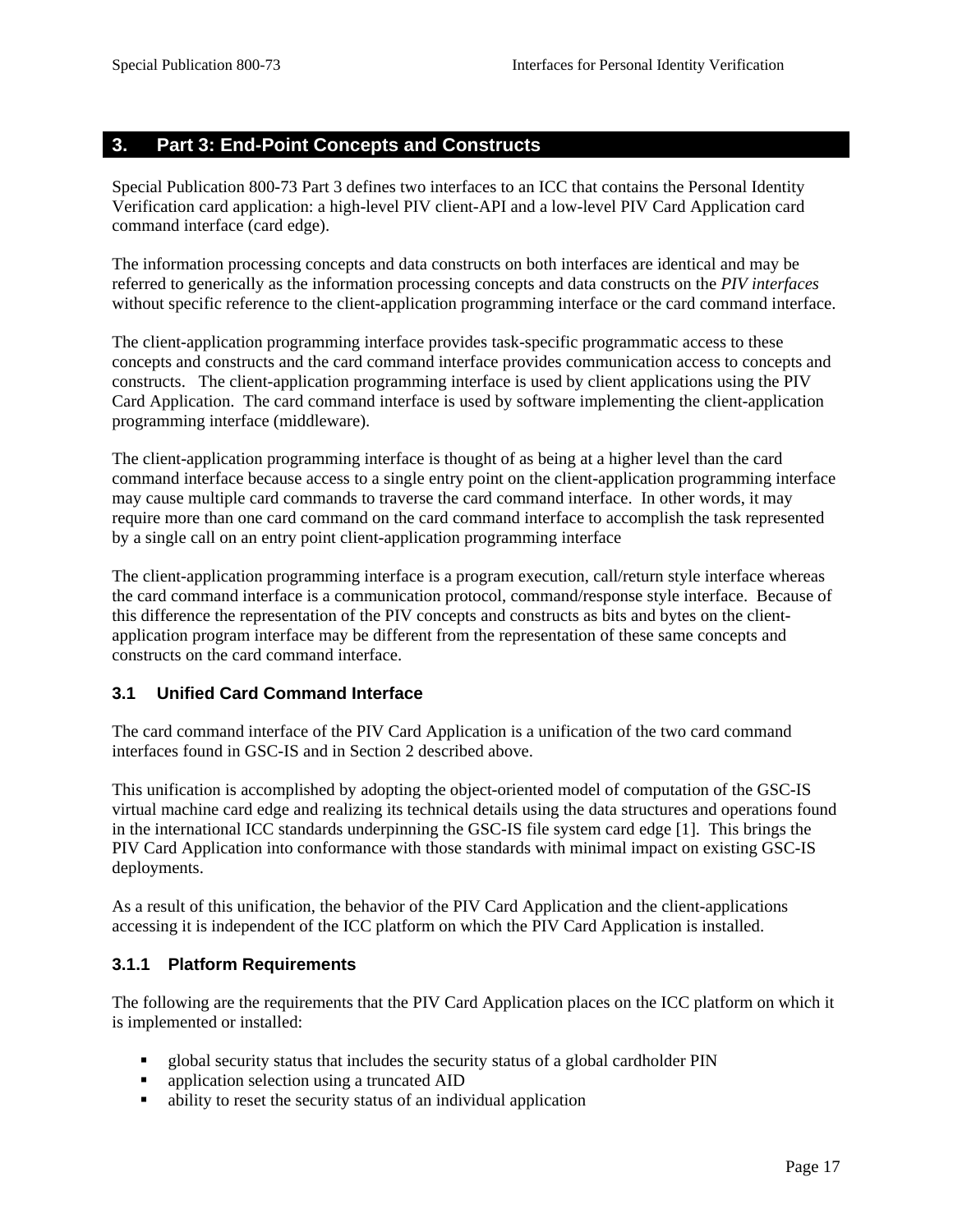## <span id="page-25-0"></span>**3. Part 3: End-Point Concepts and Constructs**

Special Publication 800-73 Part 3 defines two interfaces to an ICC that contains the Personal Identity Verification card application: a high-level PIV client-API and a low-level PIV Card Application card command interface (card edge).

The information processing concepts and data constructs on both interfaces are identical and may be referred to generically as the information processing concepts and data constructs on the *PIV interfaces* without specific reference to the client-application programming interface or the card command interface.

The client-application programming interface provides task-specific programmatic access to these concepts and constructs and the card command interface provides communication access to concepts and constructs. The client-application programming interface is used by client applications using the PIV Card Application. The card command interface is used by software implementing the client-application programming interface (middleware).

The client-application programming interface is thought of as being at a higher level than the card command interface because access to a single entry point on the client-application programming interface may cause multiple card commands to traverse the card command interface. In other words, it may require more than one card command on the card command interface to accomplish the task represented by a single call on an entry point client-application programming interface

The client-application programming interface is a program execution, call/return style interface whereas the card command interface is a communication protocol, command/response style interface. Because of this difference the representation of the PIV concepts and constructs as bits and bytes on the clientapplication program interface may be different from the representation of these same concepts and constructs on the card command interface.

## **3.1 Unified Card Command Interface**

The card command interface of the PIV Card Application is a unification of the two card command interfaces found in GSC-IS and in Section 2 described above.

This unification is accomplished by adopting the object-oriented model of computation of the GSC-IS virtual machine card edge and realizing its technical details using the data structures and operations found in the international ICC standards underpinning the GSC-IS file system card edge [1]. This brings the PIV Card Application into conformance with those standards with minimal impact on existing GSC-IS deployments.

As a result of this unification, the behavior of the PIV Card Application and the client-applications accessing it is independent of the ICC platform on which the PIV Card Application is installed.

## **3.1.1 Platform Requirements**

The following are the requirements that the PIV Card Application places on the ICC platform on which it is implemented or installed:

- global security status that includes the security status of a global cardholder PIN
- **application selection using a truncated AID**
- ability to reset the security status of an individual application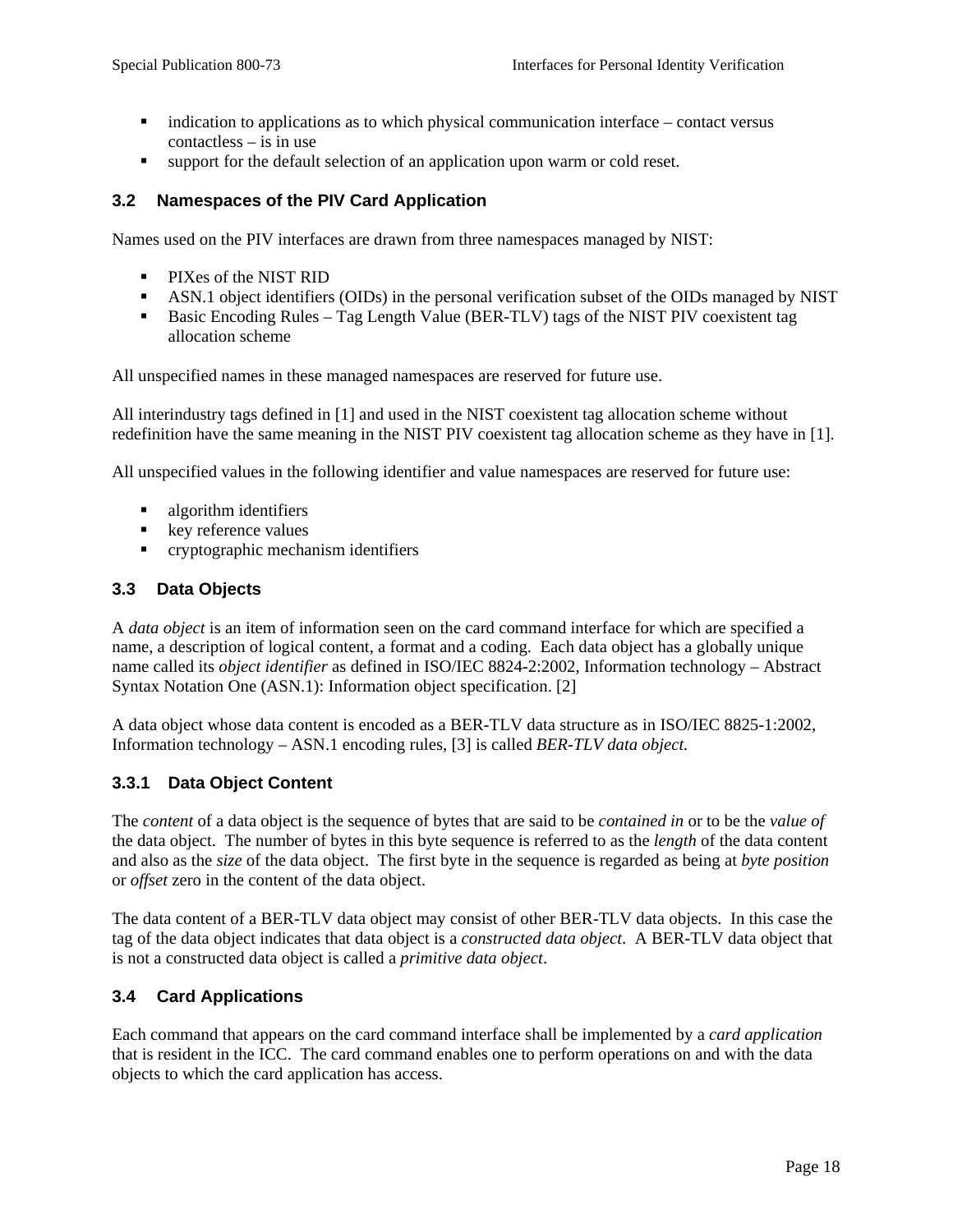- <span id="page-26-0"></span> $\blacksquare$  indication to applications as to which physical communication interface – contact versus contactless – is in use
- support for the default selection of an application upon warm or cold reset.

#### **3.2 Namespaces of the PIV Card Application**

Names used on the PIV interfaces are drawn from three namespaces managed by NIST:

- **PIXes of the NIST RID**
- ASN.1 object identifiers (OIDs) in the personal verification subset of the OIDs managed by NIST
- Basic Encoding Rules Tag Length Value (BER-TLV) tags of the NIST PIV coexistent tag allocation scheme

All unspecified names in these managed namespaces are reserved for future use.

All interindustry tags defined in [1] and used in the NIST coexistent tag allocation scheme without redefinition have the same meaning in the NIST PIV coexistent tag allocation scheme as they have in [1].

All unspecified values in the following identifier and value namespaces are reserved for future use:

- **algorithm identifiers**
- **key reference values**
- **•** cryptographic mechanism identifiers

#### **3.3 Data Objects**

A *data object* is an item of information seen on the card command interface for which are specified a name, a description of logical content, a format and a coding. Each data object has a globally unique name called its *object identifier* as defined in ISO/IEC 8824-2:2002, Information technology – Abstract Syntax Notation One (ASN.1): Information object specification. [2]

A data object whose data content is encoded as a BER-TLV data structure as in ISO/IEC 8825-1:2002, Information technology – ASN.1 encoding rules, [3] is called *BER-TLV data object.*

## **3.3.1 Data Object Content**

The *content* of a data object is the sequence of bytes that are said to be *contained in* or to be the *value of* the data object. The number of bytes in this byte sequence is referred to as the *length* of the data content and also as the *size* of the data object. The first byte in the sequence is regarded as being at *byte position* or *offset* zero in the content of the data object.

The data content of a BER-TLV data object may consist of other BER-TLV data objects. In this case the tag of the data object indicates that data object is a *constructed data object*. A BER-TLV data object that is not a constructed data object is called a *primitive data object*.

## **3.4 Card Applications**

Each command that appears on the card command interface shall be implemented by a *card application* that is resident in the ICC. The card command enables one to perform operations on and with the data objects to which the card application has access.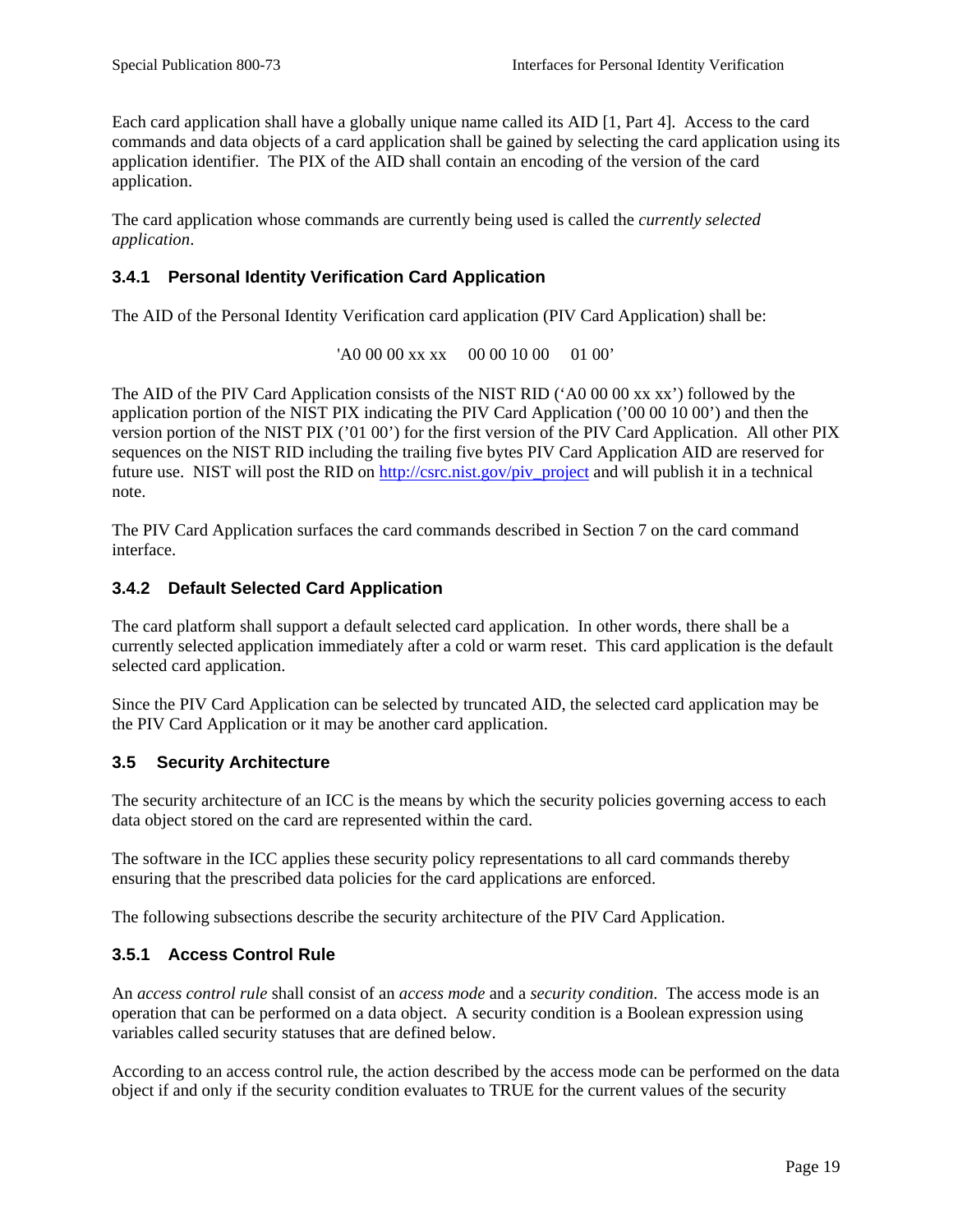<span id="page-27-0"></span>Each card application shall have a globally unique name called its AID [1, Part 4]. Access to the card commands and data objects of a card application shall be gained by selecting the card application using its application identifier. The PIX of the AID shall contain an encoding of the version of the card application.

The card application whose commands are currently being used is called the *currently selected application*.

## **3.4.1 Personal Identity Verification Card Application**

The AID of the Personal Identity Verification card application (PIV Card Application) shall be:

 $'40\,00\,00\,xx\,xx\quad 00\,00\,10\,00\quad 01\,00'$ 

The AID of the PIV Card Application consists of the NIST RID ('A0 00 00 xx xx') followed by the application portion of the NIST PIX indicating the PIV Card Application ('00 00 10 00') and then the version portion of the NIST PIX ('01 00') for the first version of the PIV Card Application. All other PIX sequences on the NIST RID including the trailing five bytes PIV Card Application AID are reserved for future use. NIST will post the RID on [http://csrc.nist.gov/piv\\_project](http://csrc.nist.gov/piv_project) and will publish it in a technical note.

The PIV Card Application surfaces the card commands described in Section 7 on the card command interface.

#### **3.4.2 Default Selected Card Application**

The card platform shall support a default selected card application. In other words, there shall be a currently selected application immediately after a cold or warm reset. This card application is the default selected card application.

Since the PIV Card Application can be selected by truncated AID, the selected card application may be the PIV Card Application or it may be another card application.

#### **3.5 Security Architecture**

The security architecture of an ICC is the means by which the security policies governing access to each data object stored on the card are represented within the card.

The software in the ICC applies these security policy representations to all card commands thereby ensuring that the prescribed data policies for the card applications are enforced.

The following subsections describe the security architecture of the PIV Card Application.

#### **3.5.1 Access Control Rule**

An *access control rule* shall consist of an *access mode* and a *security condition*. The access mode is an operation that can be performed on a data object. A security condition is a Boolean expression using variables called security statuses that are defined below.

According to an access control rule, the action described by the access mode can be performed on the data object if and only if the security condition evaluates to TRUE for the current values of the security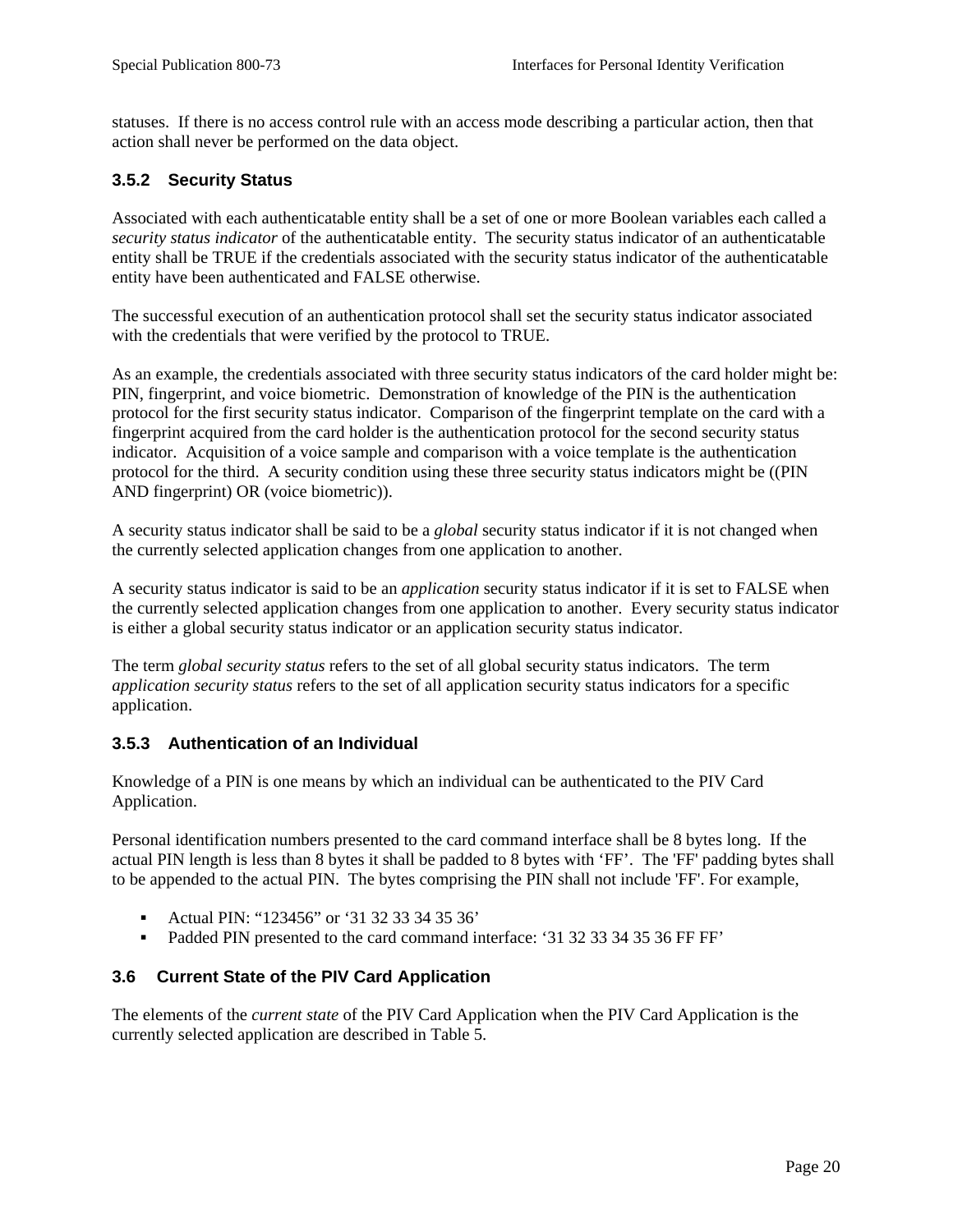<span id="page-28-0"></span>statuses. If there is no access control rule with an access mode describing a particular action, then that action shall never be performed on the data object.

#### **3.5.2 Security Status**

Associated with each authenticatable entity shall be a set of one or more Boolean variables each called a *security status indicator* of the authenticatable entity. The security status indicator of an authenticatable entity shall be TRUE if the credentials associated with the security status indicator of the authenticatable entity have been authenticated and FALSE otherwise.

The successful execution of an authentication protocol shall set the security status indicator associated with the credentials that were verified by the protocol to TRUE.

As an example, the credentials associated with three security status indicators of the card holder might be: PIN, fingerprint, and voice biometric. Demonstration of knowledge of the PIN is the authentication protocol for the first security status indicator. Comparison of the fingerprint template on the card with a fingerprint acquired from the card holder is the authentication protocol for the second security status indicator. Acquisition of a voice sample and comparison with a voice template is the authentication protocol for the third. A security condition using these three security status indicators might be ((PIN AND fingerprint) OR (voice biometric)).

A security status indicator shall be said to be a *global* security status indicator if it is not changed when the currently selected application changes from one application to another.

A security status indicator is said to be an *application* security status indicator if it is set to FALSE when the currently selected application changes from one application to another. Every security status indicator is either a global security status indicator or an application security status indicator.

The term *global security status* refers to the set of all global security status indicators. The term *application security status* refers to the set of all application security status indicators for a specific application.

#### **3.5.3 Authentication of an Individual**

Knowledge of a PIN is one means by which an individual can be authenticated to the PIV Card Application.

Personal identification numbers presented to the card command interface shall be 8 bytes long. If the actual PIN length is less than 8 bytes it shall be padded to 8 bytes with 'FF'. The 'FF' padding bytes shall to be appended to the actual PIN. The bytes comprising the PIN shall not include 'FF'. For example,

- Actual PIN: "123456" or '31 32 33 34 35 36'
- Padded PIN presented to the card command interface: '31 32 33 34 35 36 FF FF'

#### **3.6 Current State of the PIV Card Application**

The elements of the *current state* of the PIV Card Application when the PIV Card Application is the currently selected application are described in Table 5.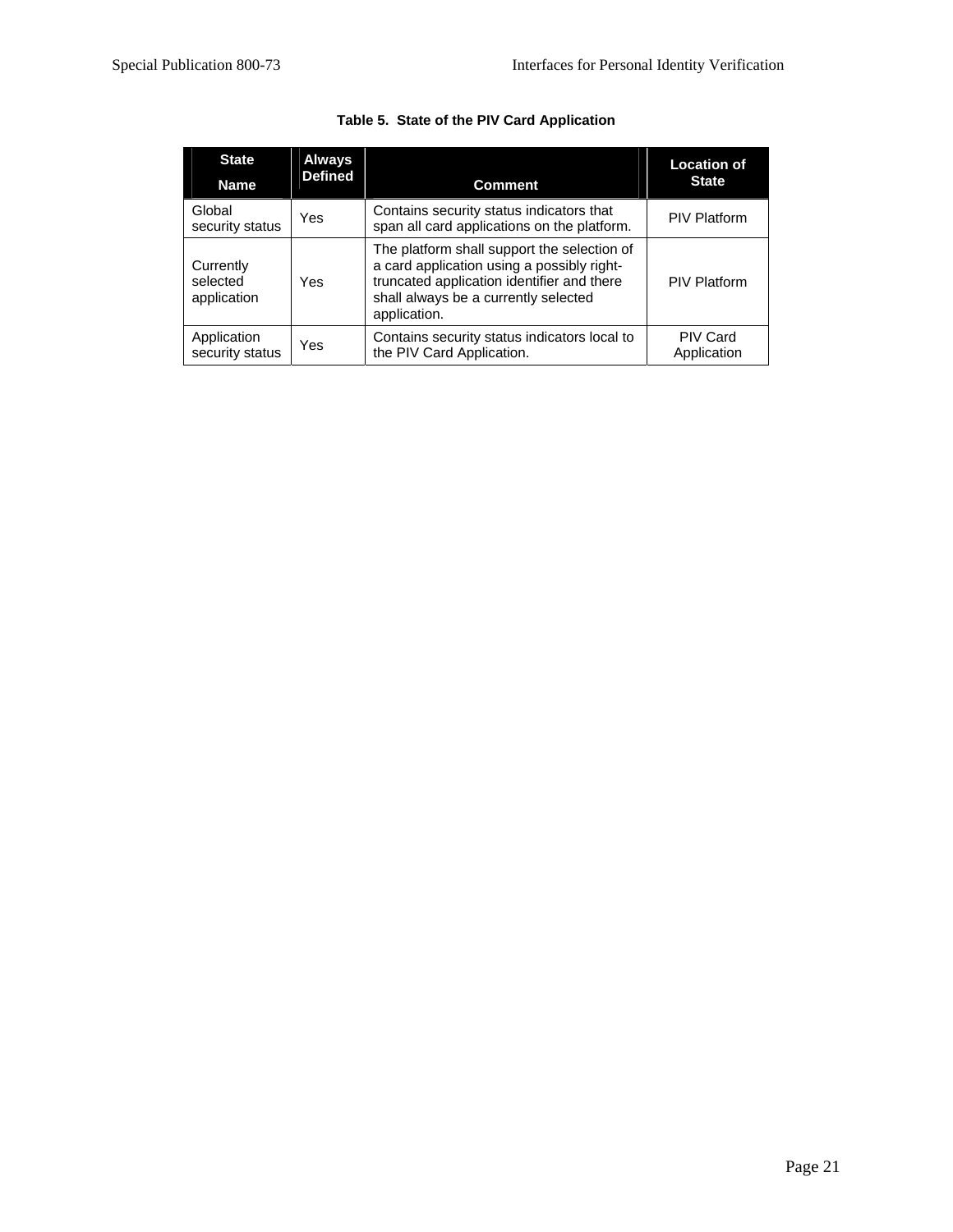<span id="page-29-0"></span>

| <b>State</b><br><b>Name</b>          | <b>Always</b><br><b>Defined</b> | <b>Comment</b>                                                                                                                                                                                  | <b>Location of</b><br><b>State</b> |
|--------------------------------------|---------------------------------|-------------------------------------------------------------------------------------------------------------------------------------------------------------------------------------------------|------------------------------------|
| Global<br>security status            | Yes                             | Contains security status indicators that<br>span all card applications on the platform.                                                                                                         | <b>PIV Platform</b>                |
| Currently<br>selected<br>application | Yes                             | The platform shall support the selection of<br>a card application using a possibly right-<br>truncated application identifier and there<br>shall always be a currently selected<br>application. | <b>PIV Platform</b>                |
| Application<br>security status       | Yes                             | Contains security status indicators local to<br>the PIV Card Application.                                                                                                                       | <b>PIV Card</b><br>Application     |

#### **Table 5. State of the PIV Card Application**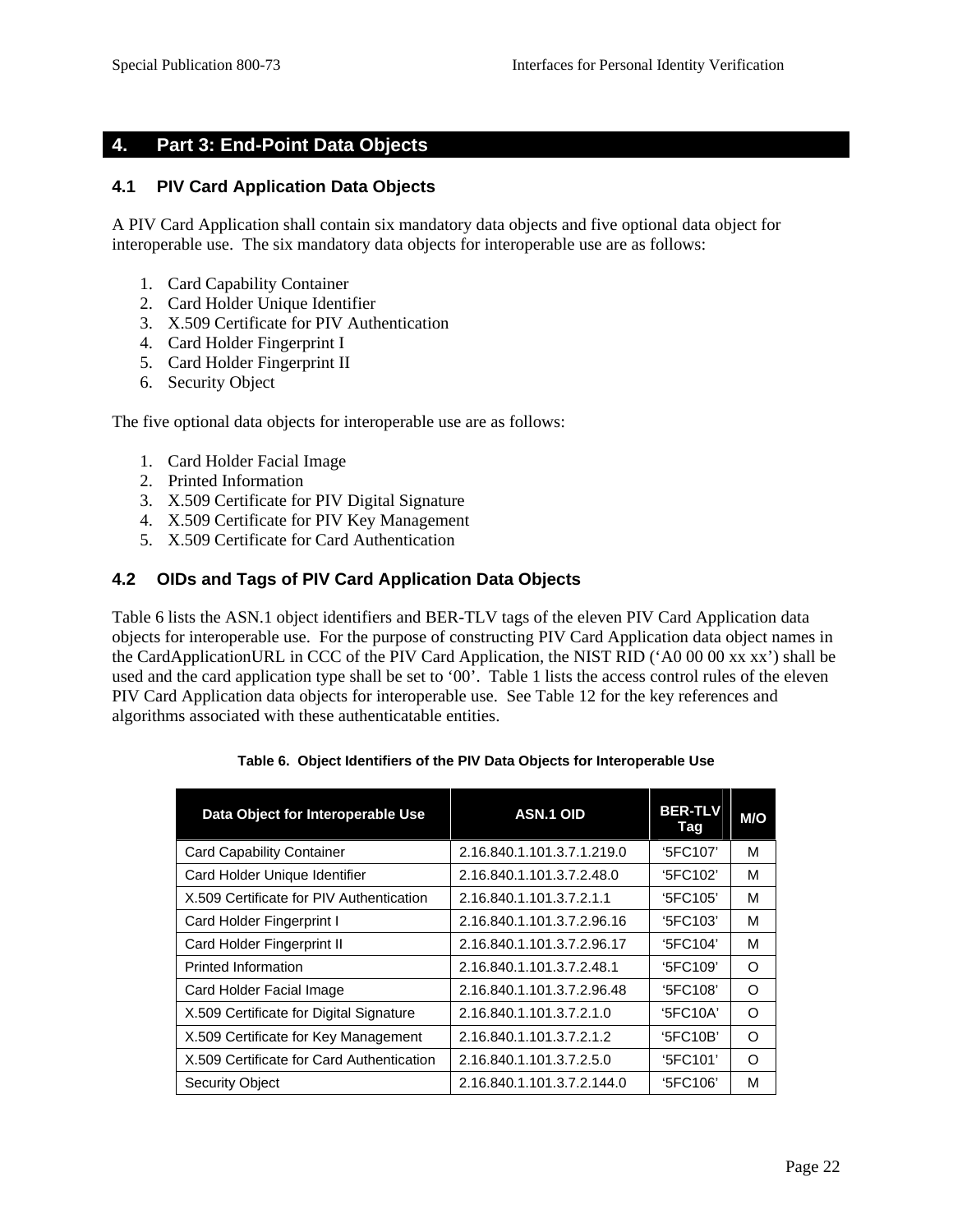# <span id="page-30-0"></span>**4. Part 3: End-Point Data Objects**

#### **4.1 PIV Card Application Data Objects**

A PIV Card Application shall contain six mandatory data objects and five optional data object for interoperable use. The six mandatory data objects for interoperable use are as follows:

- 1. Card Capability Container
- 2. Card Holder Unique Identifier
- 3. X.509 Certificate for PIV Authentication
- 4. Card Holder Fingerprint I
- 5. Card Holder Fingerprint II
- 6. Security Object

The five optional data objects for interoperable use are as follows:

- 1. Card Holder Facial Image
- 2. Printed Information
- 3. X.509 Certificate for PIV Digital Signature
- 4. X.509 Certificate for PIV Key Management
- 5. X.509 Certificate for Card Authentication

#### **4.2 OIDs and Tags of PIV Card Application Data Objects**

Table 6 lists the ASN.1 object identifiers and BER-TLV tags of the eleven PIV Card Application data objects for interoperable use. For the purpose of constructing PIV Card Application data object names in the CardApplicationURL in CCC of the PIV Card Application, the NIST RID ('A0 00 00 xx xx') shall be used and the card application type shall be set to '00'. Table 1 lists the access control rules of the eleven PIV Card Application data objects for interoperable use. See Table 12 for the key references and algorithms associated with these authenticatable entities.

| Data Object for Interoperable Use         | <b>ASN.1 OID</b>           | <b>BER-TLV</b><br>Tag | M/O      |
|-------------------------------------------|----------------------------|-----------------------|----------|
| <b>Card Capability Container</b>          | 2.16.840.1.101.3.7.1.219.0 | '5FC107'              | м        |
| Card Holder Unique Identifier             | 2.16.840.1.101.3.7.2.48.0  | '5FC102'              | м        |
| X.509 Certificate for PIV Authentication  | 2.16.840.1.101.3.7.2.1.1   | '5FC105'              | м        |
| Card Holder Fingerprint I                 | 2.16.840.1.101.3.7.2.96.16 | '5FC103'              | м        |
| Card Holder Fingerprint II                | 2.16.840.1.101.3.7.2.96.17 | '5FC104'              | м        |
| Printed Information                       | 2.16.840.1.101.3.7.2.48.1  | '5FC109'              | O        |
| Card Holder Facial Image                  | 2.16.840.1.101.3.7.2.96.48 | '5FC108'              | O        |
| X.509 Certificate for Digital Signature   | 2.16.840.1.101.3.7.2.1.0   | '5FC10A'              | Ω        |
| X.509 Certificate for Key Management      | 2.16.840.1.101.3.7.2.1.2   | '5FC10B'              | $\Omega$ |
| X.509 Certificate for Card Authentication | 2.16.840.1.101.3.7.2.5.0   | '5FC101'              | Ω        |
| <b>Security Object</b>                    | 2.16.840.1.101.3.7.2.144.0 | '5FC106'              | М        |

#### **Table 6. Object Identifiers of the PIV Data Objects for Interoperable Use**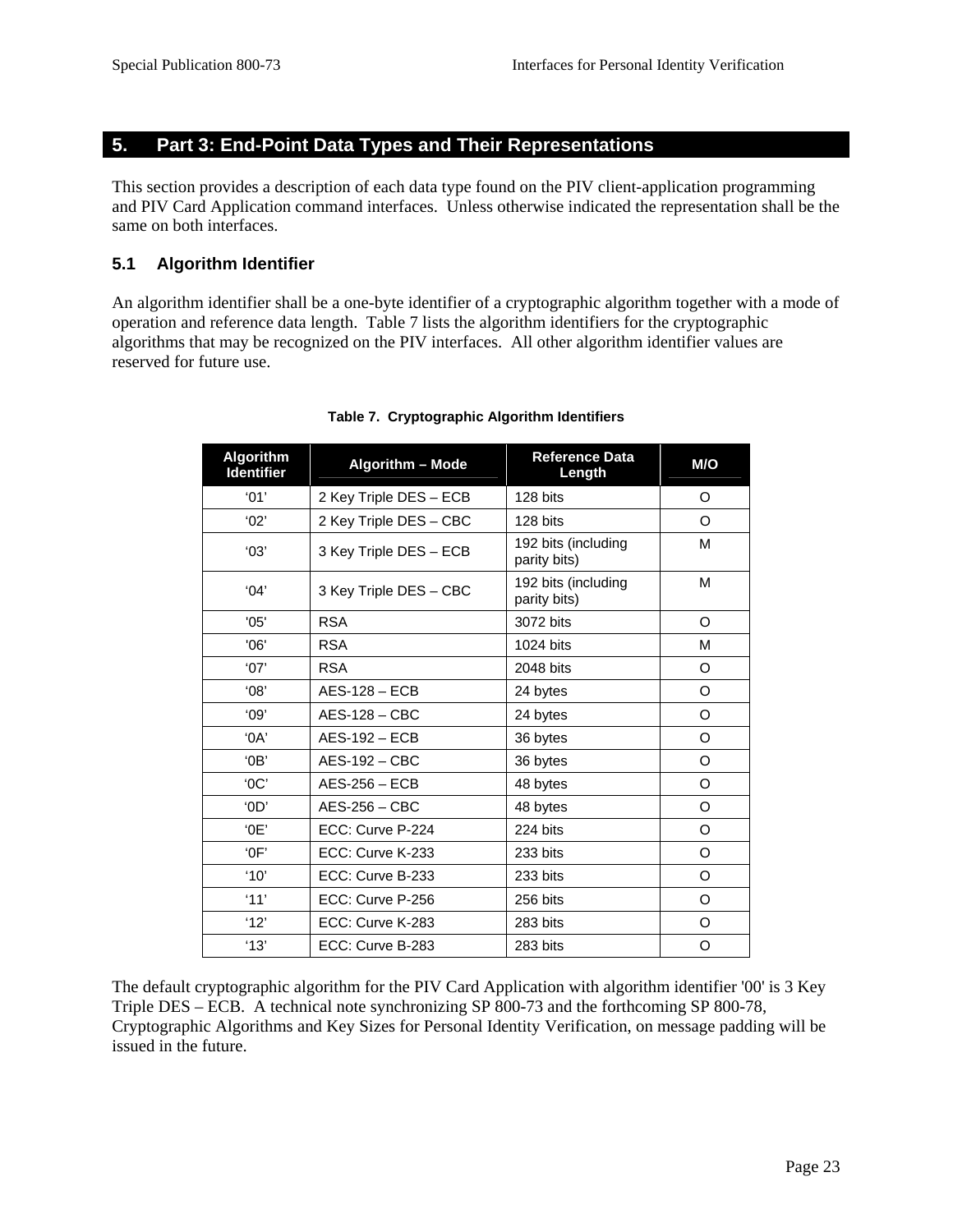# <span id="page-31-0"></span>**5. Part 3: End-Point Data Types and Their Representations**

This section provides a description of each data type found on the PIV client-application programming and PIV Card Application command interfaces. Unless otherwise indicated the representation shall be the same on both interfaces.

#### **5.1 Algorithm Identifier**

An algorithm identifier shall be a one-byte identifier of a cryptographic algorithm together with a mode of operation and reference data length. Table 7 lists the algorithm identifiers for the cryptographic algorithms that may be recognized on the PIV interfaces. All other algorithm identifier values are reserved for future use.

| <b>Algorithm</b><br><b>Identifier</b> | <b>Algorithm - Mode</b> | <b>Reference Data</b><br>Length     | M/O      |
|---------------------------------------|-------------------------|-------------------------------------|----------|
| '01'                                  | 2 Key Triple DES - ECB  | 128 bits                            | O        |
| '02'                                  | 2 Key Triple DES - CBC  | 128 bits                            | $\Omega$ |
| '03'                                  | 3 Key Triple DES - ECB  | 192 bits (including<br>parity bits) | М        |
| 04'                                   | 3 Key Triple DES - CBC  | 192 bits (including<br>parity bits) | M        |
| '05'                                  | <b>RSA</b>              | 3072 bits                           | O        |
| '06'                                  | <b>RSA</b>              | 1024 bits                           | М        |
| '07'                                  | <b>RSA</b>              | 2048 bits                           | O        |
| '08'                                  | $AES-128 - ECB$         | 24 bytes                            | O        |
| '09'                                  | $AES-128 - CBC$         | 24 bytes                            | O        |
| $^{\circ}$ OA'                        | $AES-192 - ECB$         | 36 bytes                            | O        |
| $^{\circ}$ OB'                        | $AES-192 - CBC$         | 36 bytes                            | O        |
| 'OC'                                  | $AES-256 - ECB$         | 48 bytes                            | O        |
| 'OD'                                  | $AES-256 - CBC$         | 48 bytes                            | O        |
| 0E'                                   | ECC: Curve P-224        | 224 bits                            | O        |
| $^{\circ}$ OF'                        | ECC: Curve K-233        | 233 bits                            | O        |
| '10'                                  | ECC: Curve B-233        | 233 bits                            | O        |
| '11'                                  | ECC: Curve P-256        | 256 bits                            | O        |
| '12'                                  | ECC: Curve K-283        | 283 bits                            | O        |
| '13'                                  | ECC: Curve B-283        | 283 bits                            | O        |

#### **Table 7. Cryptographic Algorithm Identifiers**

The default cryptographic algorithm for the PIV Card Application with algorithm identifier '00' is 3 Key Triple DES – ECB. A technical note synchronizing SP 800-73 and the forthcoming SP 800-78, Cryptographic Algorithms and Key Sizes for Personal Identity Verification, on message padding will be issued in the future.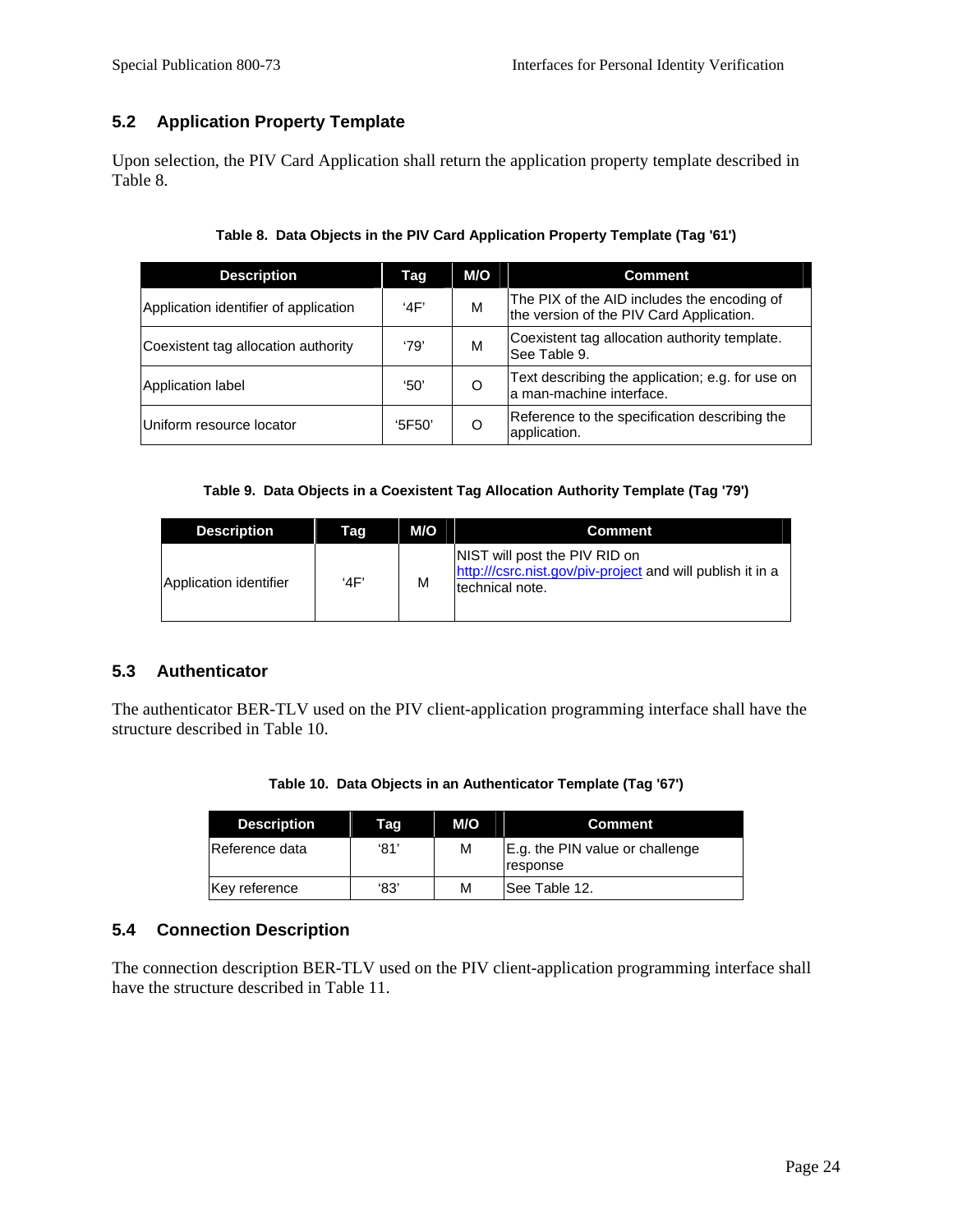# <span id="page-32-0"></span>**5.2 Application Property Template**

Upon selection, the PIV Card Application shall return the application property template described in Table 8.

| <b>Description</b>                    | Tag   | M/O | <b>Comment</b>                                                                          |
|---------------------------------------|-------|-----|-----------------------------------------------------------------------------------------|
| Application identifier of application | 4F'   | M   | The PIX of the AID includes the encoding of<br>the version of the PIV Card Application. |
| Coexistent tag allocation authority   | '79'  | M   | Coexistent tag allocation authority template.<br>lSee Table 9.                          |
| Application label                     | '50'  | O   | Text describing the application; e.g. for use on<br>a man-machine interface.            |
| Uniform resource locator              | 5F50' |     | Reference to the specification describing the<br>application.                           |

**Table 9. Data Objects in a Coexistent Tag Allocation Authority Template (Tag '79')** 

| <b>Description</b>     | Taq | M/O | <b>Comment</b>                                                                                                 |
|------------------------|-----|-----|----------------------------------------------------------------------------------------------------------------|
| Application identifier | 4F' | M   | NIST will post the PIV RID on<br>http:///csrc.nist.gov/piv-project and will publish it in a<br>technical note. |

## **5.3 Authenticator**

The authenticator BER-TLV used on the PIV client-application programming interface shall have the structure described in Table 10.

| <b>Description</b> | Tag  | M/O | <b>Comment</b>                              |
|--------------------|------|-----|---------------------------------------------|
| Reference data     | '81' | M   | E.g. the PIN value or challenge<br>response |

## **5.4 Connection Description**

The connection description BER-TLV used on the PIV client-application programming interface shall have the structure described in Table 11.

Key reference  $\begin{array}{|c|c|c|c|c|c|} \hline \end{array}$  '83' M See Table 12.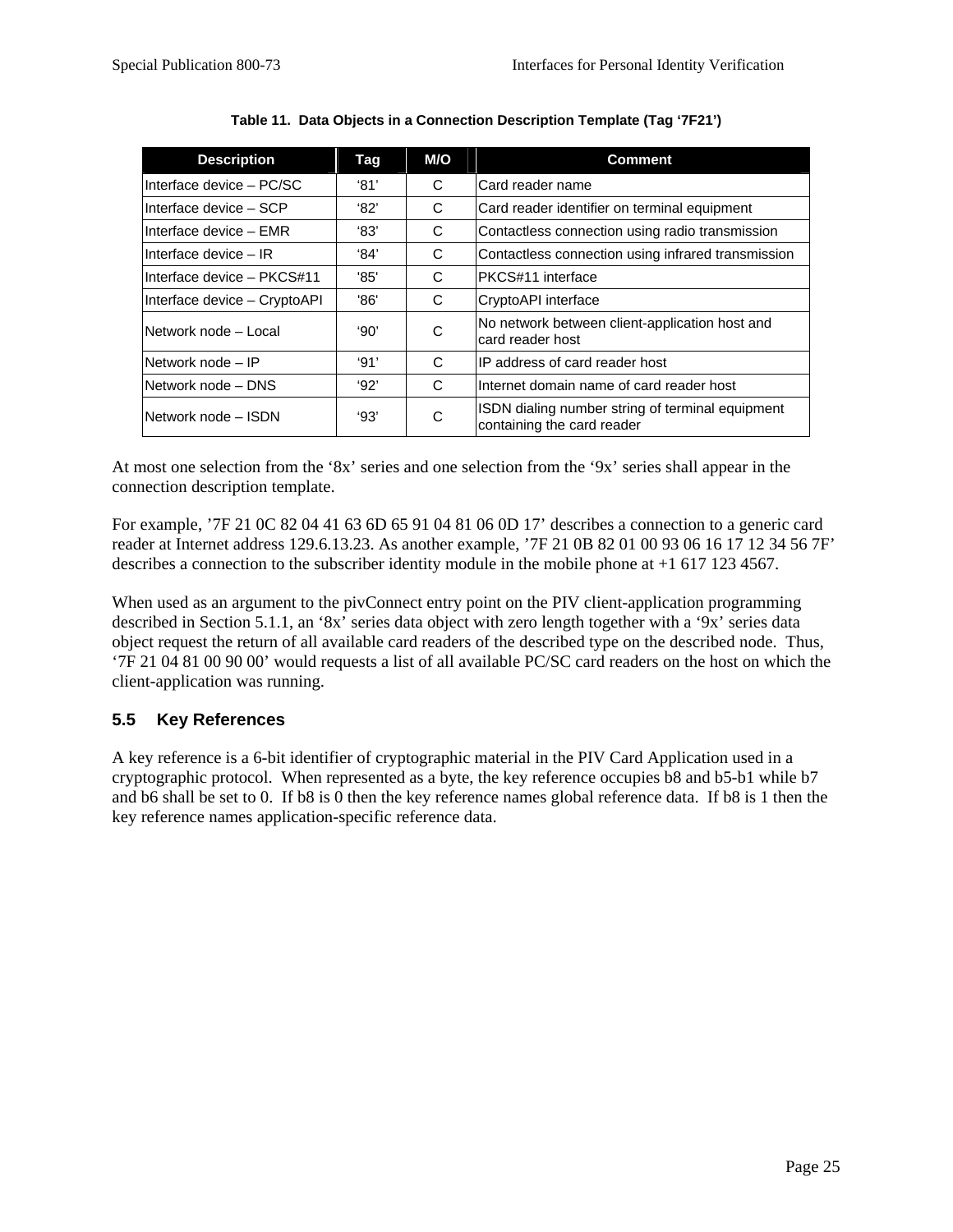<span id="page-33-0"></span>

| <b>Description</b>           | Tag           | M/O | <b>Comment</b>                                                                 |
|------------------------------|---------------|-----|--------------------------------------------------------------------------------|
| IInterface device – PC/SC    | $^{\circ}81'$ | C   | Card reader name                                                               |
| IInterface device – SCP      | $^{\circ}82'$ | C   | Card reader identifier on terminal equipment                                   |
| IInterface device – EMR      | '83'          | C   | Contactless connection using radio transmission                                |
| IInterface device - IR       | '84'          | C   | Contactless connection using infrared transmission                             |
| IInterface device – PKCS#11  | '85'          | C   | PKCS#11 interface                                                              |
| Interface device - CryptoAPI | '86'          | C   | CryptoAPI interface                                                            |
| INetwork node – Local        | '90'          | C   | No network between client-application host and<br>card reader host             |
| Network node - IP            | '91'          | C   | IIP address of card reader host                                                |
| Network node - DNS           | 92'           | C   | Internet domain name of card reader host                                       |
| Network node - ISDN          | 93'           | C   | ISDN dialing number string of terminal equipment<br>containing the card reader |

**Table 11. Data Objects in a Connection Description Template (Tag '7F21')** 

At most one selection from the '8x' series and one selection from the '9x' series shall appear in the connection description template.

For example, '7F 21 0C 82 04 41 63 6D 65 91 04 81 06 0D 17' describes a connection to a generic card reader at Internet address 129.6.13.23. As another example, '7F 21 0B 82 01 00 93 06 16 17 12 34 56 7F' describes a connection to the subscriber identity module in the mobile phone at +1 617 123 4567.

When used as an argument to the pivConnect entry point on the PIV client-application programming described in Section 5.1.1, an '8x' series data object with zero length together with a '9x' series data object request the return of all available card readers of the described type on the described node. Thus, '7F 21 04 81 00 90 00' would requests a list of all available PC/SC card readers on the host on which the client-application was running.

# **5.5 Key References**

A key reference is a 6-bit identifier of cryptographic material in the PIV Card Application used in a cryptographic protocol. When represented as a byte, the key reference occupies b8 and b5-b1 while b7 and b6 shall be set to 0. If b8 is 0 then the key reference names global reference data. If b8 is 1 then the key reference names application-specific reference data.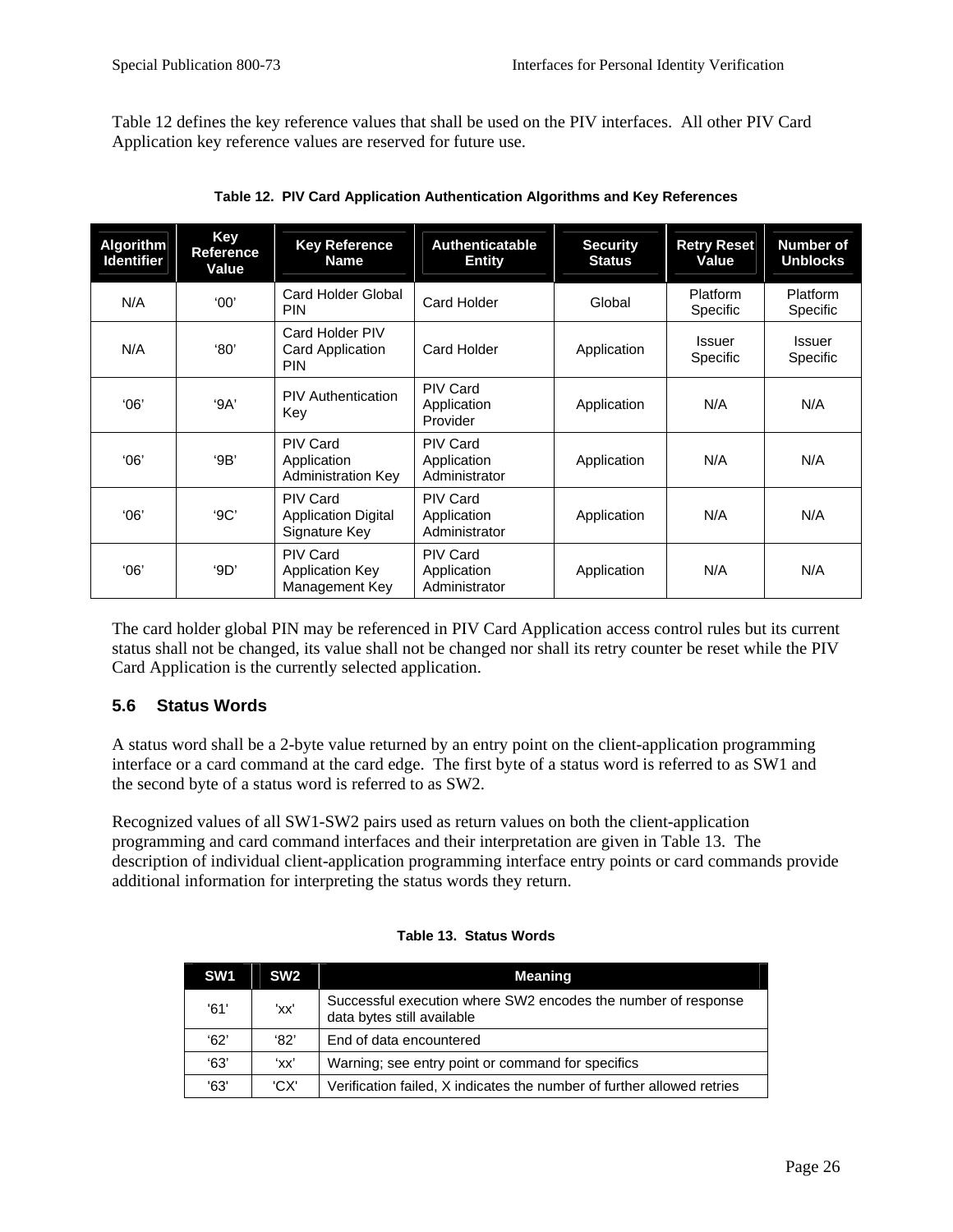<span id="page-34-0"></span>Table 12 defines the key reference values that shall be used on the PIV interfaces. All other PIV Card Application key reference values are reserved for future use.

| <b>Algorithm</b><br><b>Identifier</b> | Key<br>Reference<br>Value | <b>Key Reference</b><br><b>Name</b>                            | <b>Authenticatable</b><br><b>Entity</b>         | <b>Security</b><br><b>Status</b> | <b>Retry Reset</b><br>Value | Number of<br><b>Unblocks</b> |
|---------------------------------------|---------------------------|----------------------------------------------------------------|-------------------------------------------------|----------------------------------|-----------------------------|------------------------------|
| N/A                                   | '00'                      | Card Holder Global<br><b>PIN</b>                               | Card Holder                                     | Global                           | <b>Platform</b><br>Specific | Platform<br>Specific         |
| N/A                                   | '80'                      | Card Holder PIV<br>Card Application<br><b>PIN</b>              | Card Holder                                     | Application                      | Issuer<br><b>Specific</b>   | Issuer<br>Specific           |
| '06'                                  | 9A'                       | <b>PIV Authentication</b><br>Key                               | <b>PIV Card</b><br>Application<br>Provider      | Application                      | N/A                         | N/A                          |
| '06'                                  | 9B'                       | <b>PIV Card</b><br>Application<br><b>Administration Key</b>    | <b>PIV Card</b><br>Application<br>Administrator | Application                      | N/A                         | N/A                          |
| '06'                                  | 9C'                       | <b>PIV Card</b><br><b>Application Digital</b><br>Signature Key | <b>PIV Card</b><br>Application<br>Administrator | Application                      | N/A                         | N/A                          |
| 06'                                   | 9D'                       | <b>PIV Card</b><br><b>Application Key</b><br>Management Key    | <b>PIV Card</b><br>Application<br>Administrator | Application                      | N/A                         | N/A                          |

**Table 12. PIV Card Application Authentication Algorithms and Key References** 

The card holder global PIN may be referenced in PIV Card Application access control rules but its current status shall not be changed, its value shall not be changed nor shall its retry counter be reset while the PIV Card Application is the currently selected application.

## **5.6 Status Words**

A status word shall be a 2-byte value returned by an entry point on the client-application programming interface or a card command at the card edge. The first byte of a status word is referred to as SW1 and the second byte of a status word is referred to as SW2.

Recognized values of all SW1-SW2 pairs used as return values on both the client-application programming and card command interfaces and their interpretation are given in Table 13. The description of individual client-application programming interface entry points or card commands provide additional information for interpreting the status words they return.

| SW <sub>1</sub> | SW <sub>2</sub> | Meaning                                                                                     |
|-----------------|-----------------|---------------------------------------------------------------------------------------------|
| '61'            | 'xx'            | Successful execution where SW2 encodes the number of response<br>data bytes still available |
| 62'             | '82'            | End of data encountered                                                                     |
| 63'             | 'xx'            | Warning; see entry point or command for specifics                                           |
| '63'            | 'CX'            | Verification failed, X indicates the number of further allowed retries                      |

#### **Table 13. Status Words**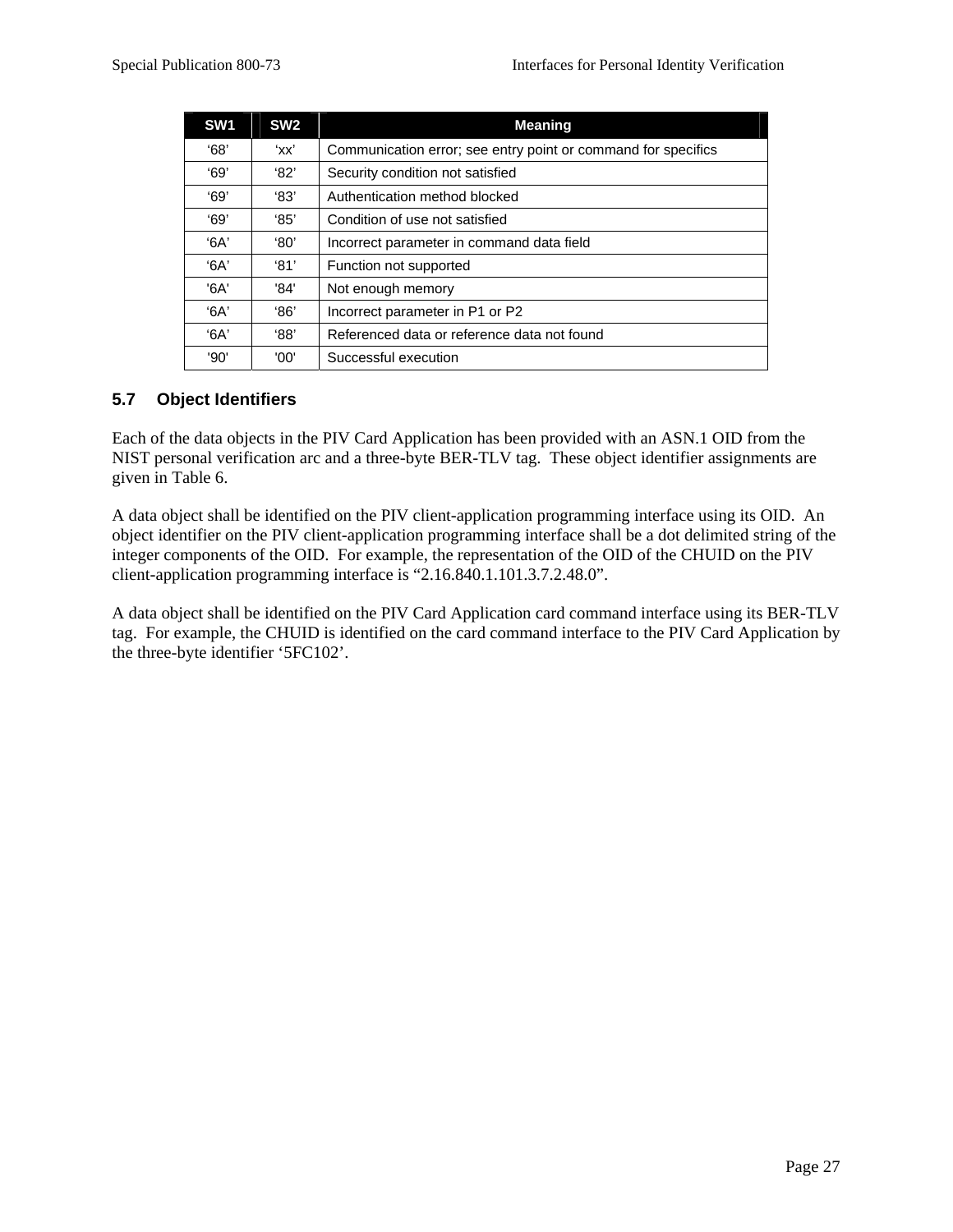<span id="page-35-0"></span>

| SW <sub>1</sub> | SW <sub>2</sub> | <b>Meaning</b>                                                |
|-----------------|-----------------|---------------------------------------------------------------|
| 68'             | 'xx'            | Communication error; see entry point or command for specifics |
| 69'             | $^{\circ}82'$   | Security condition not satisfied                              |
| 69'             | '83'            | Authentication method blocked                                 |
| 69'             | 85'             | Condition of use not satisfied                                |
| $A^3$           | '80'            | Incorrect parameter in command data field                     |
| $A^3$           | $^{\circ}81'$   | Function not supported                                        |
| '6A'            | '84'            | Not enough memory                                             |
| '6A'            | 86'             | Incorrect parameter in P1 or P2                               |
| $A^3$           | 88'             | Referenced data or reference data not found                   |
| '90'            | '00'            | Successful execution                                          |

## **5.7 Object Identifiers**

Each of the data objects in the PIV Card Application has been provided with an ASN.1 OID from the NIST personal verification arc and a three-byte BER-TLV tag. These object identifier assignments are given in Table 6.

A data object shall be identified on the PIV client-application programming interface using its OID. An object identifier on the PIV client-application programming interface shall be a dot delimited string of the integer components of the OID. For example, the representation of the OID of the CHUID on the PIV client-application programming interface is "2.16.840.1.101.3.7.2.48.0".

A data object shall be identified on the PIV Card Application card command interface using its BER-TLV tag. For example, the CHUID is identified on the card command interface to the PIV Card Application by the three-byte identifier '5FC102'.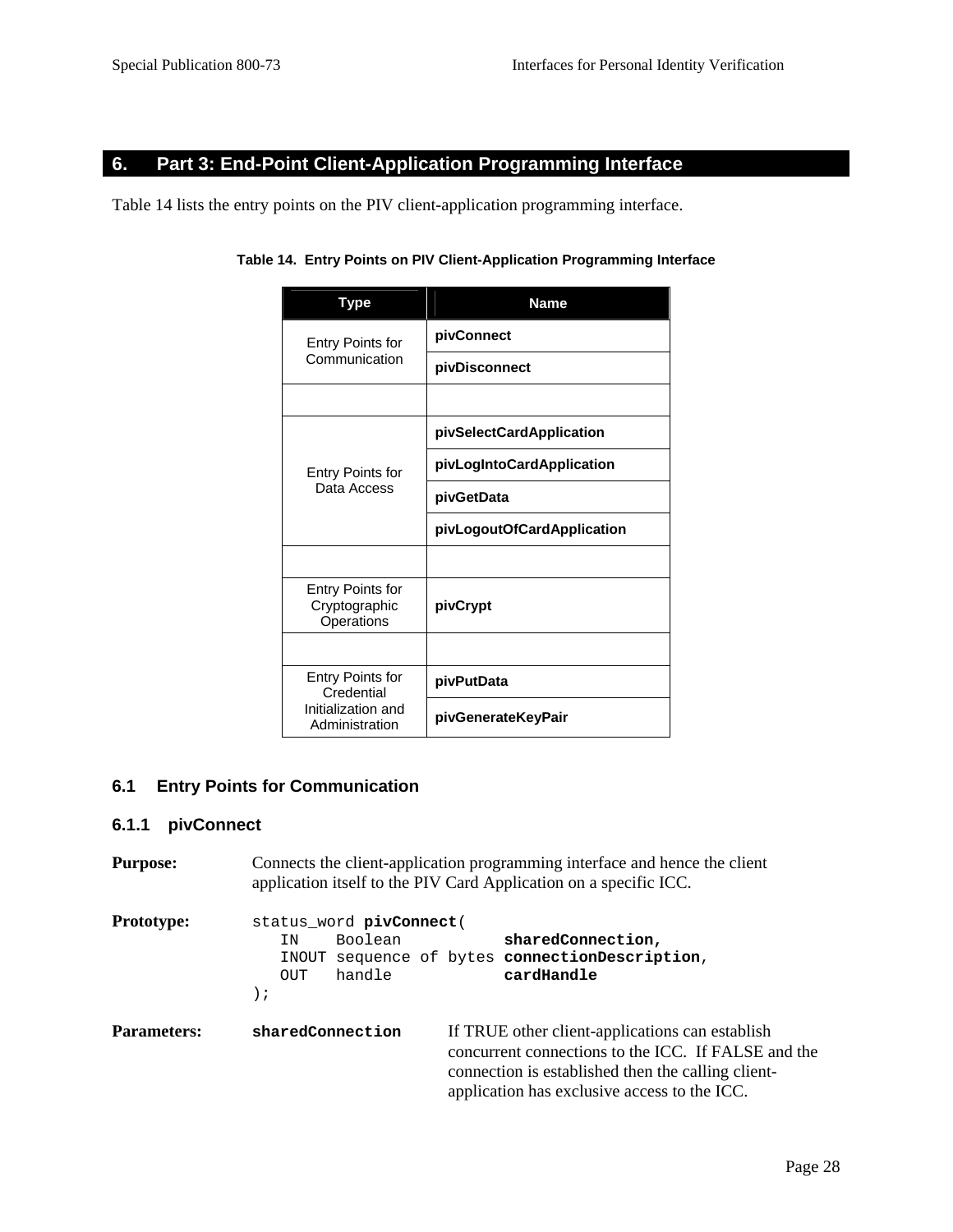## **6. Part 3: End-Point Client-Application Programming Interface**

Table 14 lists the entry points on the PIV client-application programming interface.

| <b>Type</b>                                     | <b>Name</b>                |
|-------------------------------------------------|----------------------------|
| <b>Entry Points for</b>                         | pivConnect                 |
| Communication                                   | pivDisconnect              |
|                                                 |                            |
|                                                 | pivSelectCardApplication   |
| Entry Points for                                | pivLogIntoCardApplication  |
| Data Access                                     | pivGetData                 |
|                                                 | pivLogoutOfCardApplication |
|                                                 |                            |
| Entry Points for<br>Cryptographic<br>Operations | pivCrypt                   |
|                                                 |                            |
| Entry Points for<br>Credential                  | pivPutData                 |
| Initialization and<br>Administration            | pivGenerateKeyPair         |

## **6.1 Entry Points for Communication**

## **6.1.1 pivConnect**

| <b>Purpose:</b>    | Connects the client-application programming interface and hence the client<br>application itself to the PIV Card Application on a specific ICC.                                                                                  |
|--------------------|----------------------------------------------------------------------------------------------------------------------------------------------------------------------------------------------------------------------------------|
| <b>Prototype:</b>  | status_word pivConnect(<br>sharedConnection,<br>Boolean<br>ΙN<br>sequence of bytes connectionDescription,<br>INOUT<br>cardHandle<br>handle<br>OUT.<br>$\,$ ;                                                                     |
| <b>Parameters:</b> | If TRUE other client-applications can establish<br>sharedConnection<br>concurrent connections to the ICC. If FALSE and the<br>connection is established then the calling client-<br>application has exclusive access to the ICC. |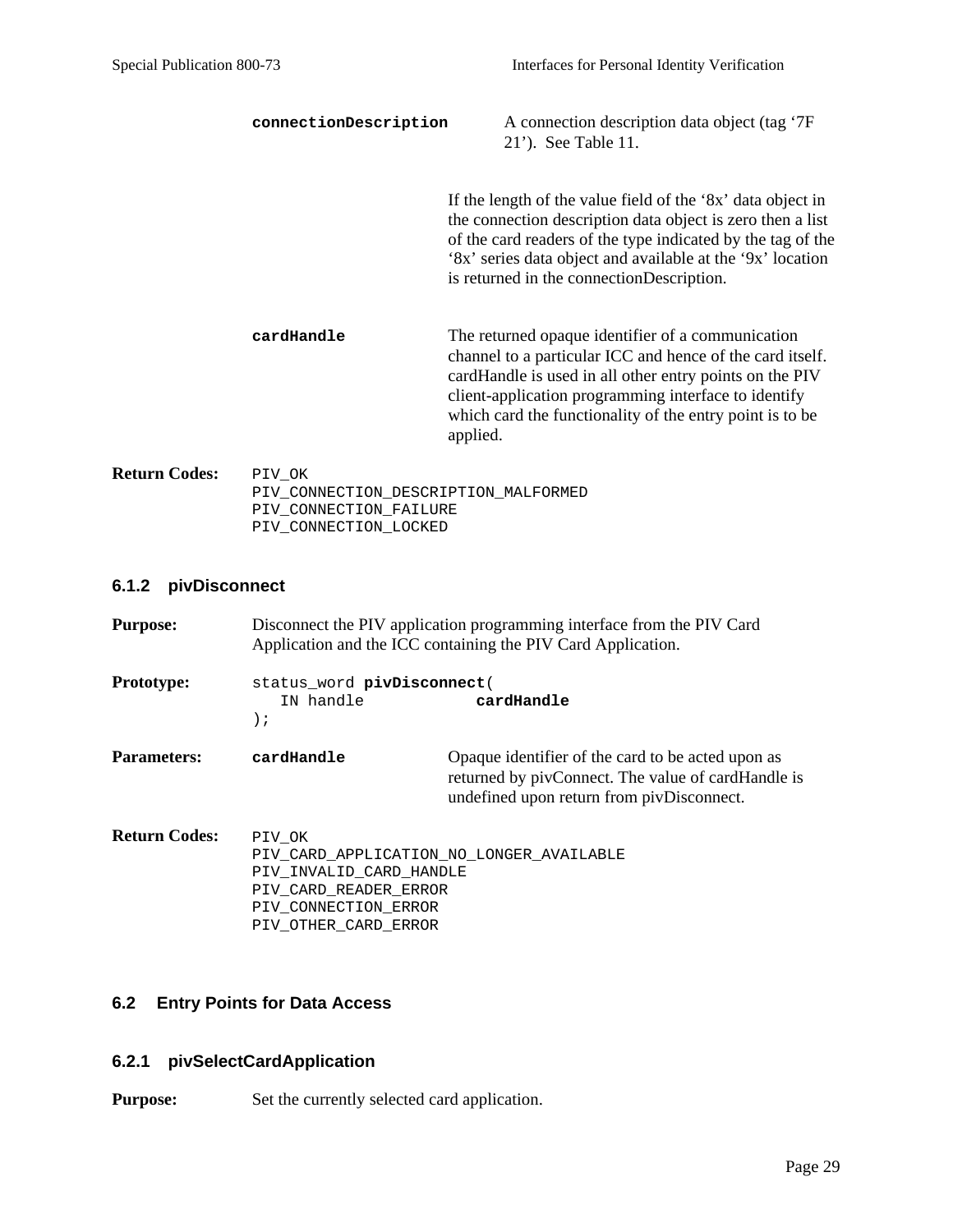|                      | connectionDescription                          | A connection description data object (tag '7F<br>21'). See Table 11.                                                                                                                                                                                                                                      |
|----------------------|------------------------------------------------|-----------------------------------------------------------------------------------------------------------------------------------------------------------------------------------------------------------------------------------------------------------------------------------------------------------|
|                      |                                                | If the length of the value field of the '8x' data object in<br>the connection description data object is zero then a list<br>of the card readers of the type indicated by the tag of the<br>'8x' series data object and available at the '9x' location<br>is returned in the connectionDescription.       |
|                      | cardHandle                                     | The returned opaque identifier of a communication<br>channel to a particular ICC and hence of the card itself.<br>cardHandle is used in all other entry points on the PIV<br>client-application programming interface to identify<br>which card the functionality of the entry point is to be<br>applied. |
| <b>Return Codes:</b> | PIV OK<br>PIV_CONNECTION_DESCRIPTION_MALFORMED |                                                                                                                                                                                                                                                                                                           |

 PIV\_CONNECTION\_FAILURE PIV\_CONNECTION\_LOCKED

## **6.1.2 pivDisconnect**

| <b>Purpose:</b>      | Disconnect the PIV application programming interface from the PIV Card<br>Application and the ICC containing the PIV Card Application.                 |                                                                                                                                                      |
|----------------------|--------------------------------------------------------------------------------------------------------------------------------------------------------|------------------------------------------------------------------------------------------------------------------------------------------------------|
| <b>Prototype:</b>    | status_word pivDisconnect(<br>IN handle<br>cardHandle<br>$\,$ ;                                                                                        |                                                                                                                                                      |
| <b>Parameters:</b>   | cardHandle                                                                                                                                             | Opaque identifier of the card to be acted upon as<br>returned by pivConnect. The value of cardHandle is<br>undefined upon return from pivDisconnect. |
| <b>Return Codes:</b> | PIV OK<br>PIV CARD APPLICATION NO LONGER AVAILABLE<br>PIV INVALID CARD HANDLE<br>PIV CARD READER ERROR<br>PIV CONNECTION ERROR<br>PIV OTHER CARD ERROR |                                                                                                                                                      |

## **6.2 Entry Points for Data Access**

## **6.2.1 pivSelectCardApplication**

**Purpose:** Set the currently selected card application.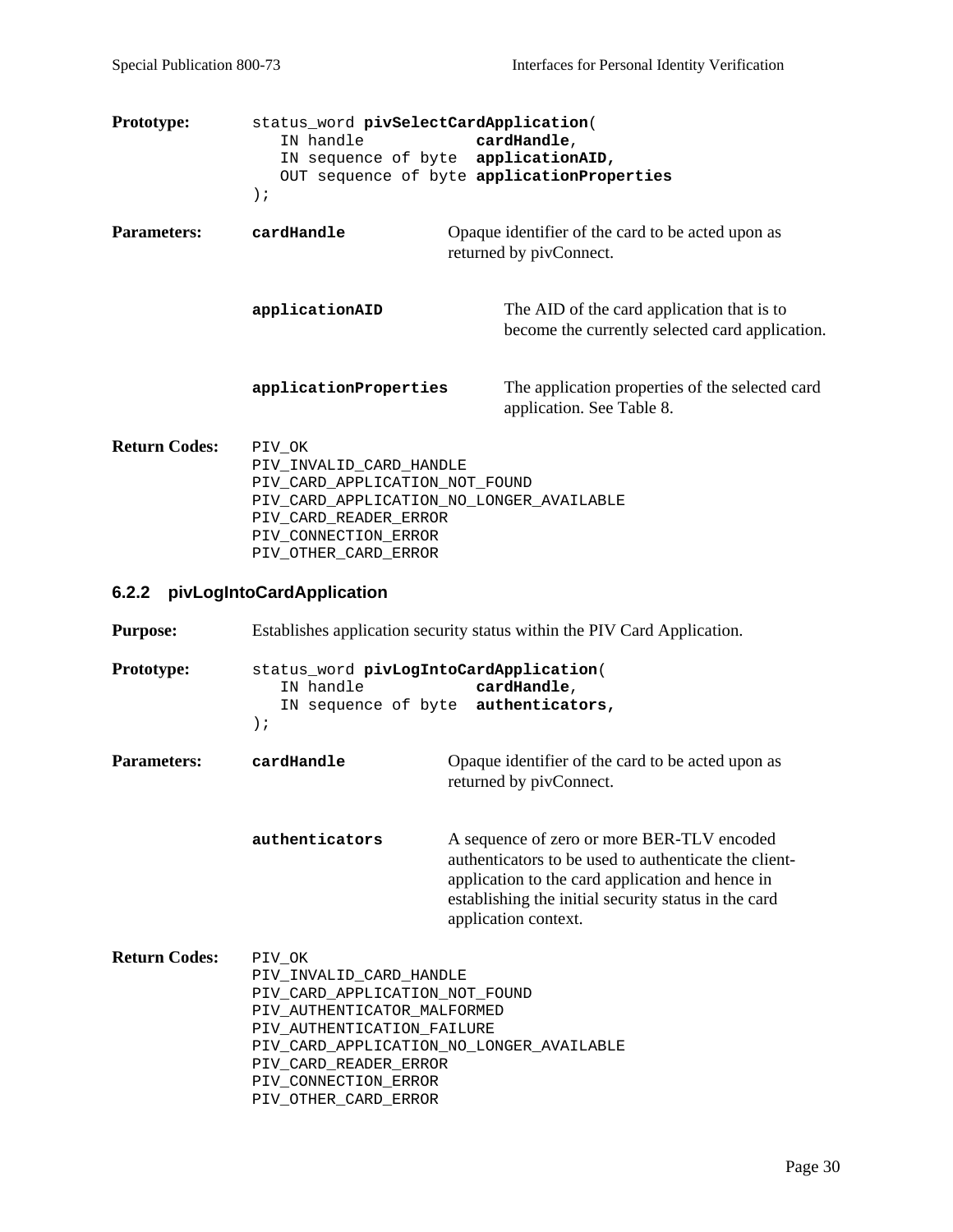| <b>Prototype:</b>    | status word pivSelectCardApplication(<br>IN handle<br>IN sequence of byte applicationAID,<br>$\rightarrow$ ;                                                                             | cardHandle,<br>OUT sequence of byte applicationProperties                                     |
|----------------------|------------------------------------------------------------------------------------------------------------------------------------------------------------------------------------------|-----------------------------------------------------------------------------------------------|
| <b>Parameters:</b>   | cardHandle                                                                                                                                                                               | Opaque identifier of the card to be acted upon as<br>returned by pivConnect.                  |
|                      | applicationAID                                                                                                                                                                           | The AID of the card application that is to<br>become the currently selected card application. |
|                      | applicationProperties                                                                                                                                                                    | The application properties of the selected card<br>application. See Table 8.                  |
| <b>Return Codes:</b> | PIV OK<br>PIV INVALID CARD HANDLE<br>PIV CARD APPLICATION NOT FOUND<br>PIV CARD APPLICATION NO LONGER AVAILABLE<br>PIV CARD READER ERROR<br>PIV CONNECTION ERROR<br>PIV OTHER CARD ERROR |                                                                                               |
|                      | 6.2.2 pivLogIntoCardApplication                                                                                                                                                          |                                                                                               |

**Purpose:** Establishes application security status within the PIV Card Application.

- **Prototype:** status\_word **pivLogIntoCardApplication**( IN handle **cardHandle**, IN sequence of byte **authenticators,**  );
- **Parameters: cardHandle C** Opaque identifier of the card to be acted upon as returned by pivConnect.

**authenticators** A sequence of zero or more BER-TLV encoded authenticators to be used to authenticate the clientapplication to the card application and hence in establishing the initial security status in the card application context.

**Return Codes:** PIV OK PIV\_INVALID\_CARD\_HANDLE PIV\_CARD\_APPLICATION\_NOT\_FOUND PIV\_AUTHENTICATOR\_MALFORMED PIV\_AUTHENTICATION\_FAILURE PIV CARD APPLICATION NO LONGER AVAILABLE PIV CARD READER ERROR PIV\_CONNECTION\_ERROR PIV\_OTHER\_CARD\_ERROR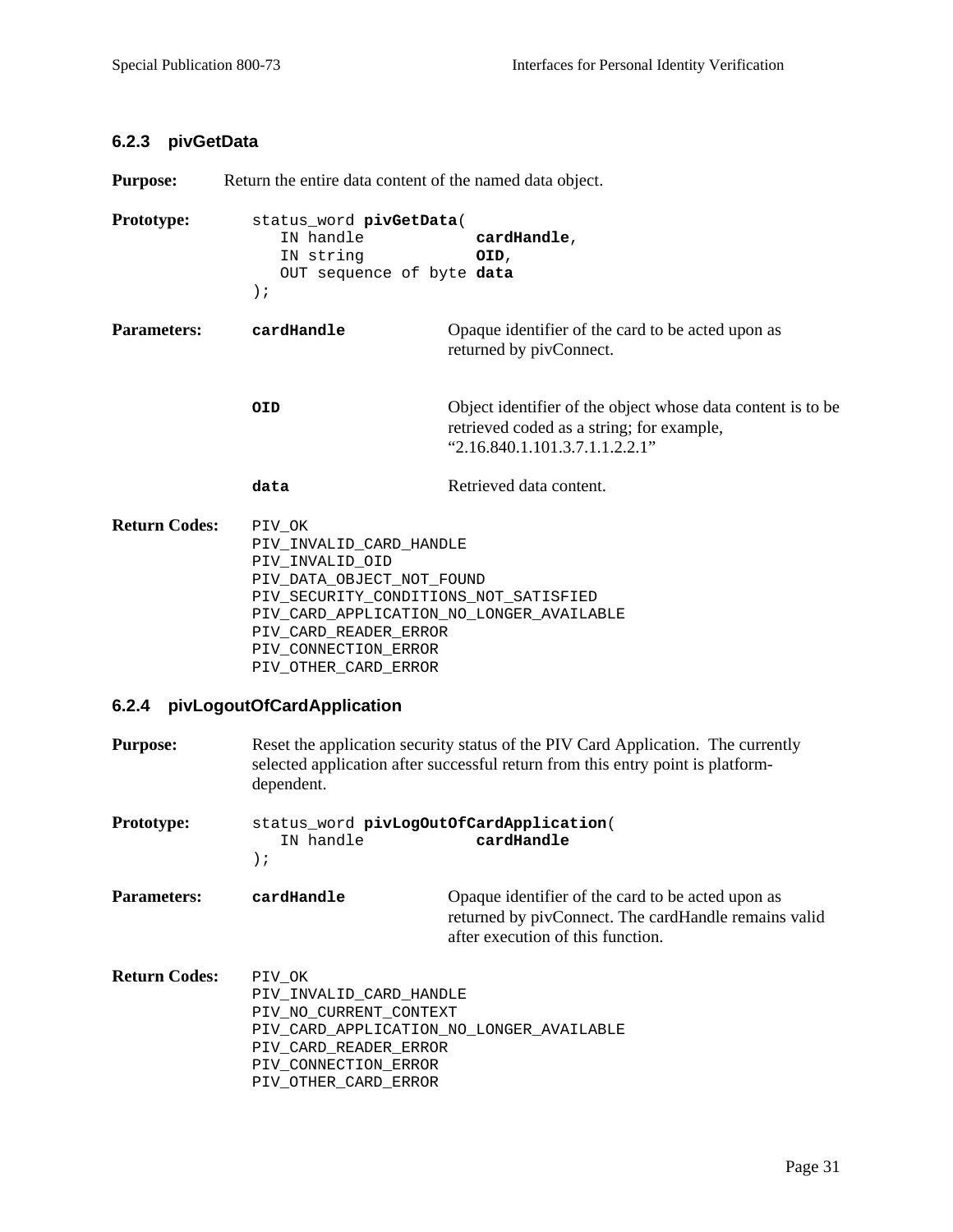#### **6.2.3 pivGetData**

**Purpose:** Return the entire data content of the named data object.

```
Prototype: status_word pivGetData( 
   IN handle cardHandle, 
   IN string OID, 
   OUT sequence of byte data
);
```

```
Parameters: cardHandle C Opaque identifier of the card to be acted upon as
                           returned by pivConnect.
```

```
OID Object identifier of the object whose data content is to be 
             retrieved coded as a string; for example, 
             "2.16.840.1.101.3.7.1.1.2.2.1"
```

```
data Retrieved data content.
```
**Return Codes:** PIV OK PIV\_INVALID\_CARD\_HANDLE PIV\_INVALID\_OID PIV\_DATA\_OBJECT\_NOT\_FOUND PIV\_SECURITY\_CONDITIONS\_NOT\_SATISFIED PIV\_CARD\_APPLICATION\_NO\_LONGER\_AVAILABLE PIV\_CARD\_READER\_ERROR PIV\_CONNECTION\_ERROR PIV\_OTHER\_CARD\_ERROR

#### **6.2.4 pivLogoutOfCardApplication**

| <b>Purpose:</b>      | Reset the application security status of the PIV Card Application. The currently<br>selected application after successful return from this entry point is platform-<br>dependent. |                                                                                                                                                |  |
|----------------------|-----------------------------------------------------------------------------------------------------------------------------------------------------------------------------------|------------------------------------------------------------------------------------------------------------------------------------------------|--|
| <b>Prototype:</b>    | IN handle<br>$\,$ ;                                                                                                                                                               | status_word pivLogOutOfCardApplication(<br>cardHandle                                                                                          |  |
| <b>Parameters:</b>   | cardHandle                                                                                                                                                                        | Opaque identifier of the card to be acted upon as<br>returned by pivConnect. The cardHandle remains valid<br>after execution of this function. |  |
| <b>Return Codes:</b> | PIV OK<br>PIV INVALID CARD HANDLE<br>PIV NO CURRENT CONTEXT<br>PIV CARD APPLICATION NO LONGER AVAILABLE<br>PIV CARD READER ERROR<br>PIV CONNECTION ERROR<br>PIV OTHER CARD ERROR  |                                                                                                                                                |  |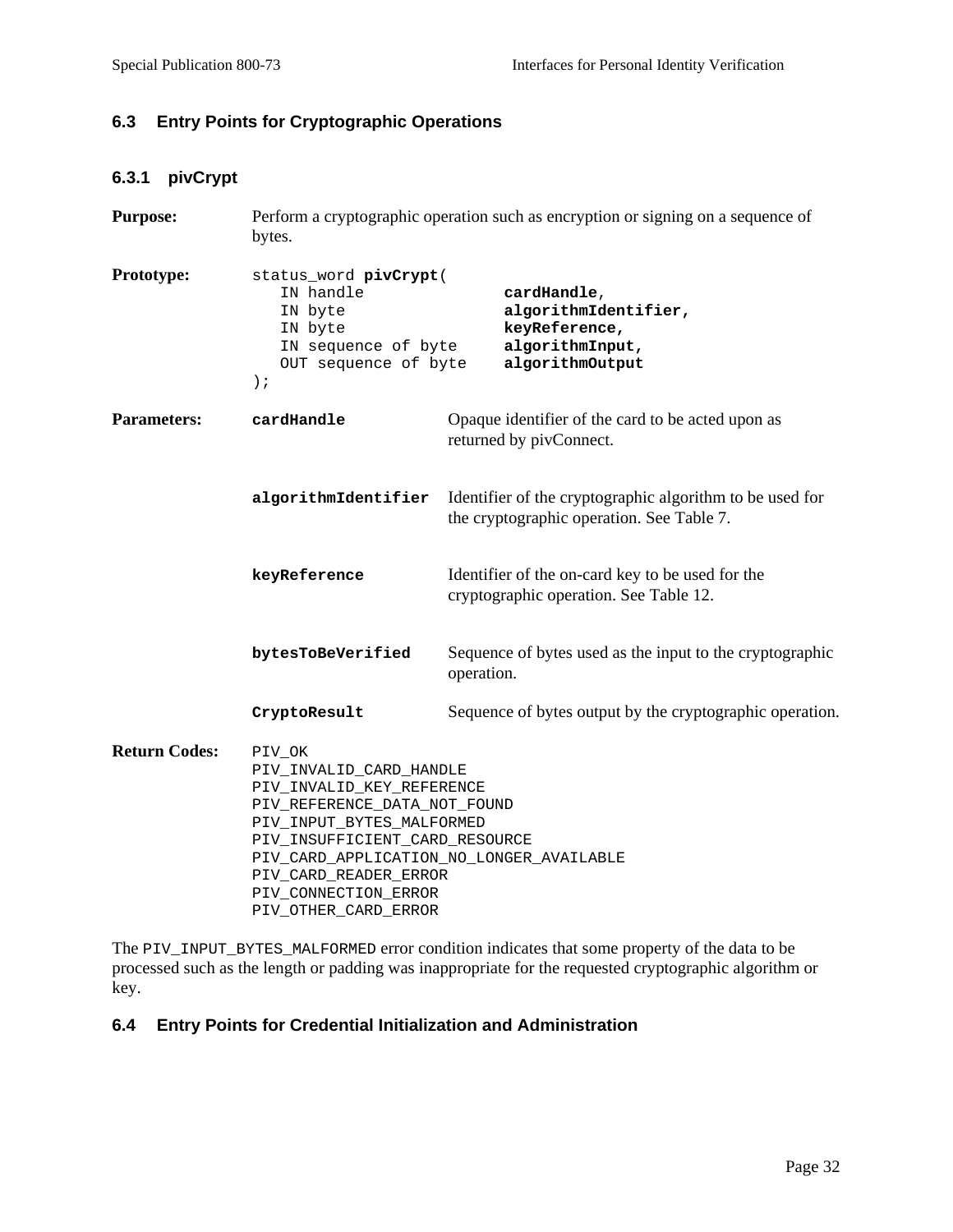## **6.3 Entry Points for Cryptographic Operations**

## **6.3.1 pivCrypt**

| <b>Purpose:</b>      | Perform a cryptographic operation such as encryption or signing on a sequence of<br>bytes.                                                                                                                                                                                         |                                                                                                       |
|----------------------|------------------------------------------------------------------------------------------------------------------------------------------------------------------------------------------------------------------------------------------------------------------------------------|-------------------------------------------------------------------------------------------------------|
| Prototype:           | status_word pivCrypt(<br>IN handle<br>IN byte<br>IN byte<br>IN sequence of byte<br>OUT sequence of byte<br>$)$ ;                                                                                                                                                                   | cardHandle,<br>algorithmIdentifier,<br>keyReference,<br>algorithmInput,<br>algorithmOutput            |
| <b>Parameters:</b>   | cardHandle                                                                                                                                                                                                                                                                         | Opaque identifier of the card to be acted upon as<br>returned by pivConnect.                          |
|                      | algorithmIdentifier                                                                                                                                                                                                                                                                | Identifier of the cryptographic algorithm to be used for<br>the cryptographic operation. See Table 7. |
|                      | keyReference                                                                                                                                                                                                                                                                       | Identifier of the on-card key to be used for the<br>cryptographic operation. See Table 12.            |
|                      | bytesToBeVerified                                                                                                                                                                                                                                                                  | Sequence of bytes used as the input to the cryptographic<br>operation.                                |
|                      | CryptoResult                                                                                                                                                                                                                                                                       | Sequence of bytes output by the cryptographic operation.                                              |
| <b>Return Codes:</b> | PIV_OK<br>PIV_INVALID_CARD_HANDLE<br>PIV_INVALID_KEY_REFERENCE<br>PIV_REFERENCE_DATA_NOT_FOUND<br>PIV_INPUT_BYTES_MALFORMED<br>PIV_INSUFFICIENT_CARD_RESOURCE<br>PIV_CARD_APPLICATION_NO_LONGER_AVAILABLE<br>PIV_CARD_READER_ERROR<br>PIV_CONNECTION_ERROR<br>PIV_OTHER_CARD_ERROR |                                                                                                       |

The PIV\_INPUT\_BYTES\_MALFORMED error condition indicates that some property of the data to be processed such as the length or padding was inappropriate for the requested cryptographic algorithm or key.

## **6.4 Entry Points for Credential Initialization and Administration**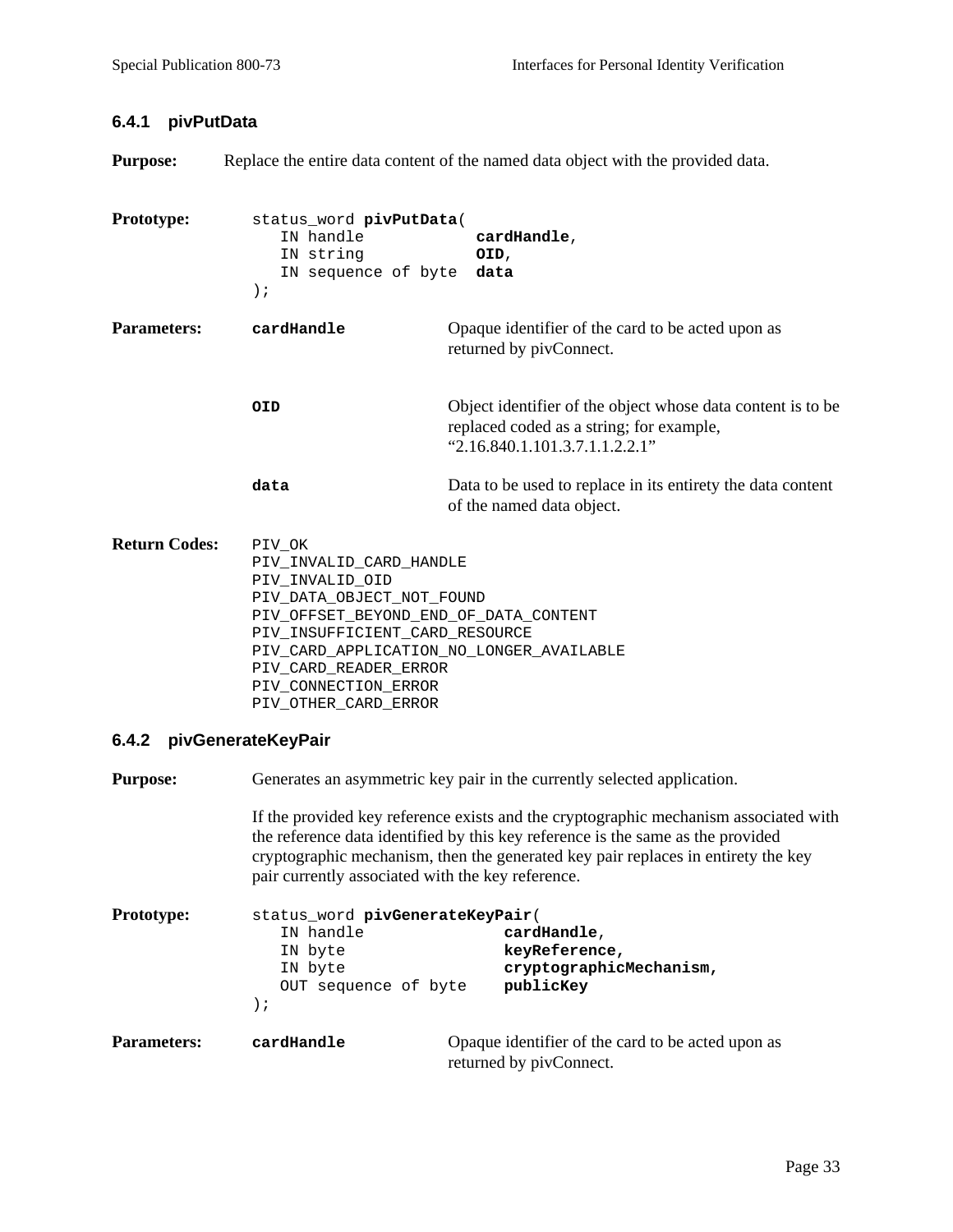#### **6.4.1 pivPutData**

**Purpose:** Replace the entire data content of the named data object with the provided data.

**Prototype:** status\_word **pivPutData**( IN handle **cardHandle**, IN string **OID**, IN sequence of byte **data** ); **Parameters: cardHandle Conducted Upon as Opaque identifier of the card to be acted upon as** returned by pivConnect. **OID** Object identifier of the object whose data content is to be replaced coded as a string; for example,  $^{9}$ 2.16.840.1.101.3.7.1.1.2.2.1" **data** Data to be used to replace in its entirety the data content of the named data object. **Return Codes:** PIV OK PIV\_INVALID\_CARD\_HANDLE PIV\_INVALID\_OID PIV\_DATA\_OBJECT\_NOT\_FOUND PIV\_OFFSET\_BEYOND\_END\_OF\_DATA\_CONTENT PIV\_INSUFFICIENT\_CARD\_RESOURCE PIV\_CARD\_APPLICATION\_NO\_LONGER\_AVAILABLE PIV\_CARD\_READER\_ERROR PIV CONNECTION ERROR PIV\_OTHER\_CARD\_ERROR

## **6.4.2 pivGenerateKeyPair**

**Purpose:** Generates an asymmetric key pair in the currently selected application.

If the provided key reference exists and the cryptographic mechanism associated with the reference data identified by this key reference is the same as the provided cryptographic mechanism, then the generated key pair replaces in entirety the key pair currently associated with the key reference.

| <b>Prototype:</b>  | status_word pivGenerateKeyPair(<br>IN handle<br>IN byte<br>IN byte<br>OUT sequence of byte<br>$\cdot$ | cardHandle,<br>keyReference,<br>cryptographicMechanism,<br>publicKey         |
|--------------------|-------------------------------------------------------------------------------------------------------|------------------------------------------------------------------------------|
| <b>Parameters:</b> | cardHandle                                                                                            | Opaque identifier of the card to be acted upon as<br>returned by pivConnect. |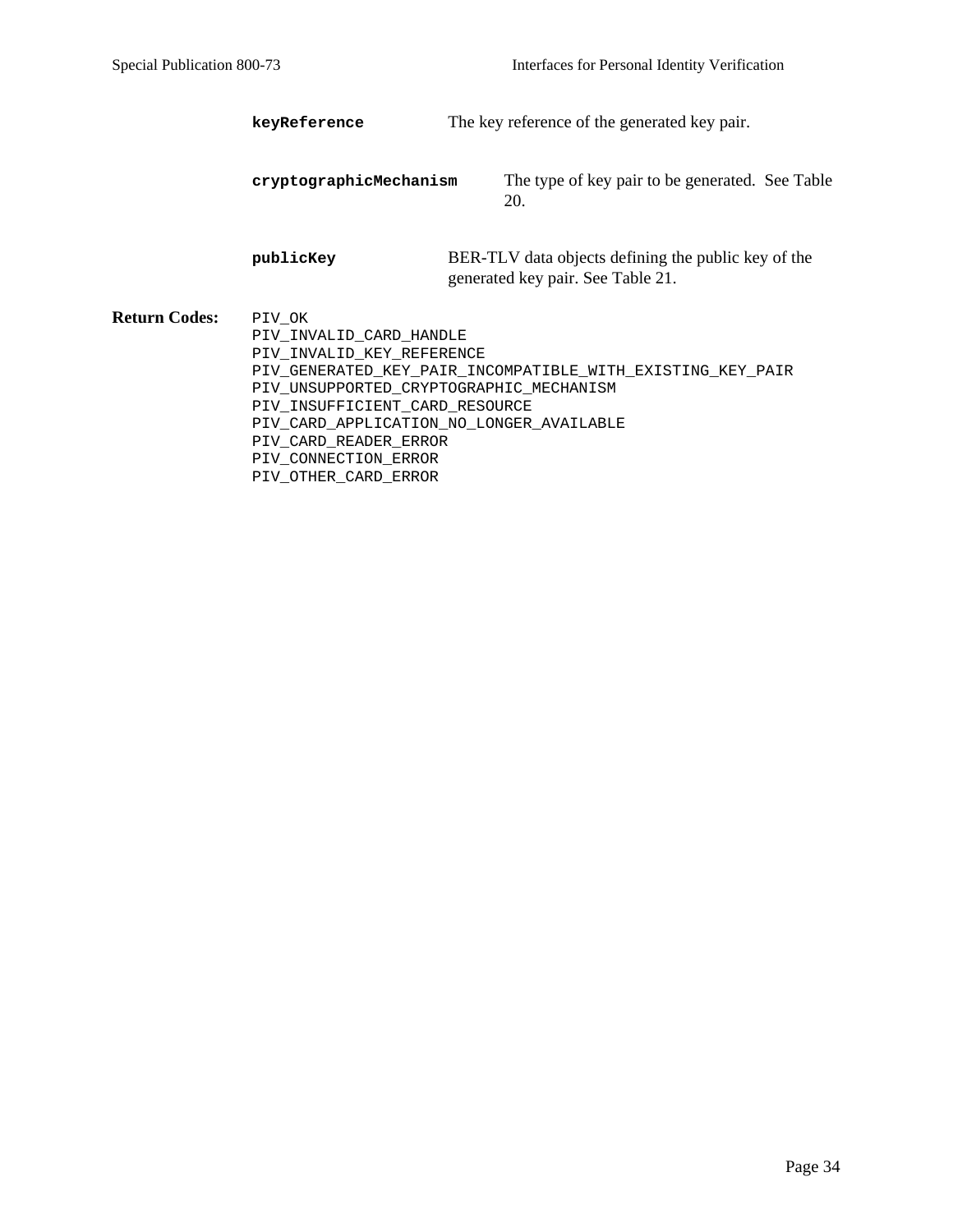**keyReference** The key reference of the generated key pair.

| cryptographicMechanism | The type of key pair to be generated. See Table |  |
|------------------------|-------------------------------------------------|--|
|------------------------|-------------------------------------------------|--|

**publicKey** BER-TLV data objects defining the public key of the generated key pair. See Table 21.

**Return Codes:** PIV\_OK PIV\_INVALID\_CARD\_HANDLE PIV\_INVALID\_KEY\_REFERENCE PIV\_GENERATED\_KEY\_PAIR\_INCOMPATIBLE\_WITH\_EXISTING\_KEY\_PAIR PIV\_UNSUPPORTED\_CRYPTOGRAPHIC\_MECHANISM PIV\_INSUFFICIENT\_CARD\_RESOURCE PIV\_CARD\_APPLICATION\_NO\_LONGER\_AVAILABLE PIV\_CARD\_READER\_ERROR PIV\_CONNECTION\_ERROR PIV\_OTHER\_CARD\_ERROR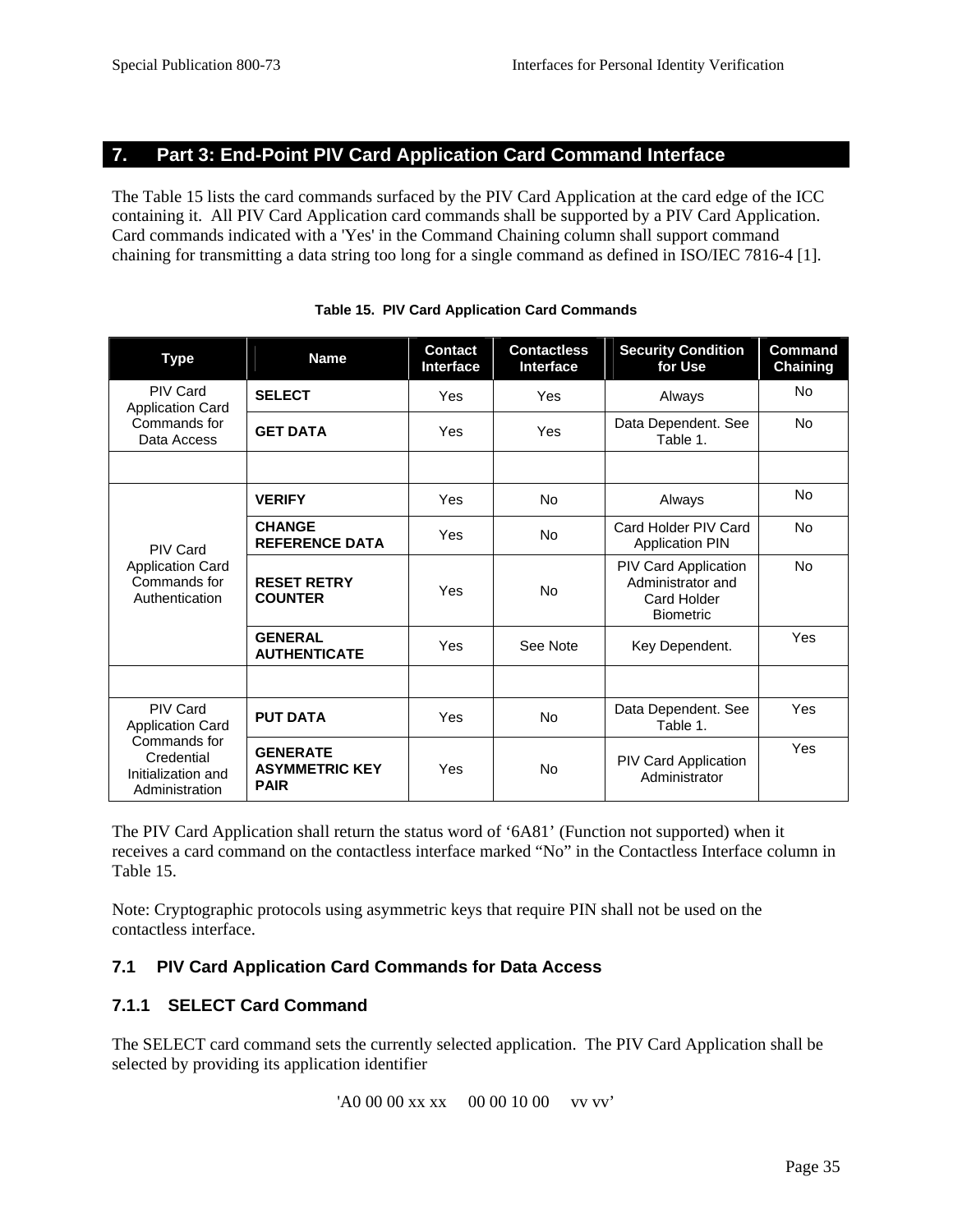## **7. Part 3: End-Point PIV Card Application Card Command Interface**

The Table 15 lists the card commands surfaced by the PIV Card Application at the card edge of the ICC containing it. All PIV Card Application card commands shall be supported by a PIV Card Application. Card commands indicated with a 'Yes' in the Command Chaining column shall support command chaining for transmitting a data string too long for a single command as defined in ISO/IEC 7816-4 [1].

| <b>Type</b>                                                                                                      | <b>Name</b>                                             | <b>Contact</b><br><b>Interface</b> | <b>Contactless</b><br><b>Interface</b> | <b>Security Condition</b><br>for Use                                         | <b>Command</b><br><b>Chaining</b> |
|------------------------------------------------------------------------------------------------------------------|---------------------------------------------------------|------------------------------------|----------------------------------------|------------------------------------------------------------------------------|-----------------------------------|
| <b>PIV Card</b><br><b>Application Card</b>                                                                       | <b>SELECT</b>                                           | Yes                                | Yes                                    | Always                                                                       | No                                |
| Commands for<br>Data Access                                                                                      | <b>GET DATA</b>                                         | Yes                                | Yes                                    | Data Dependent. See<br>Table 1.                                              | No                                |
|                                                                                                                  |                                                         |                                    |                                        |                                                                              |                                   |
|                                                                                                                  | <b>VERIFY</b>                                           | Yes                                | No                                     | Always                                                                       | No                                |
| <b>PIV Card</b>                                                                                                  | <b>CHANGE</b><br><b>REFERENCE DATA</b>                  | Yes                                | No                                     | Card Holder PIV Card<br><b>Application PIN</b>                               | <b>No</b>                         |
| <b>Application Card</b><br>Commands for<br>Authentication                                                        | <b>RESET RETRY</b><br><b>COUNTER</b>                    | Yes                                | No                                     | PIV Card Application<br>Administrator and<br>Card Holder<br><b>Biometric</b> | <b>No</b>                         |
|                                                                                                                  | <b>GENERAL</b><br><b>AUTHENTICATE</b>                   | Yes                                | See Note                               | Key Dependent.                                                               | Yes                               |
|                                                                                                                  |                                                         |                                    |                                        |                                                                              |                                   |
| <b>PIV Card</b><br><b>Application Card</b><br>Commands for<br>Credential<br>Initialization and<br>Administration | <b>PUT DATA</b>                                         | Yes                                | No                                     | Data Dependent. See<br>Table 1.                                              | Yes                               |
|                                                                                                                  | <b>GENERATE</b><br><b>ASYMMETRIC KEY</b><br><b>PAIR</b> | Yes                                | No                                     | <b>PIV Card Application</b><br>Administrator                                 | Yes                               |

**Table 15. PIV Card Application Card Commands**

The PIV Card Application shall return the status word of '6A81' (Function not supported) when it receives a card command on the contactless interface marked "No" in the Contactless Interface column in Table 15.

Note: Cryptographic protocols using asymmetric keys that require PIN shall not be used on the contactless interface.

## **7.1 PIV Card Application Card Commands for Data Access**

## **7.1.1 SELECT Card Command**

The SELECT card command sets the currently selected application. The PIV Card Application shall be selected by providing its application identifier

'A0 00 00 xx xx 00 00 10 00 vv vv'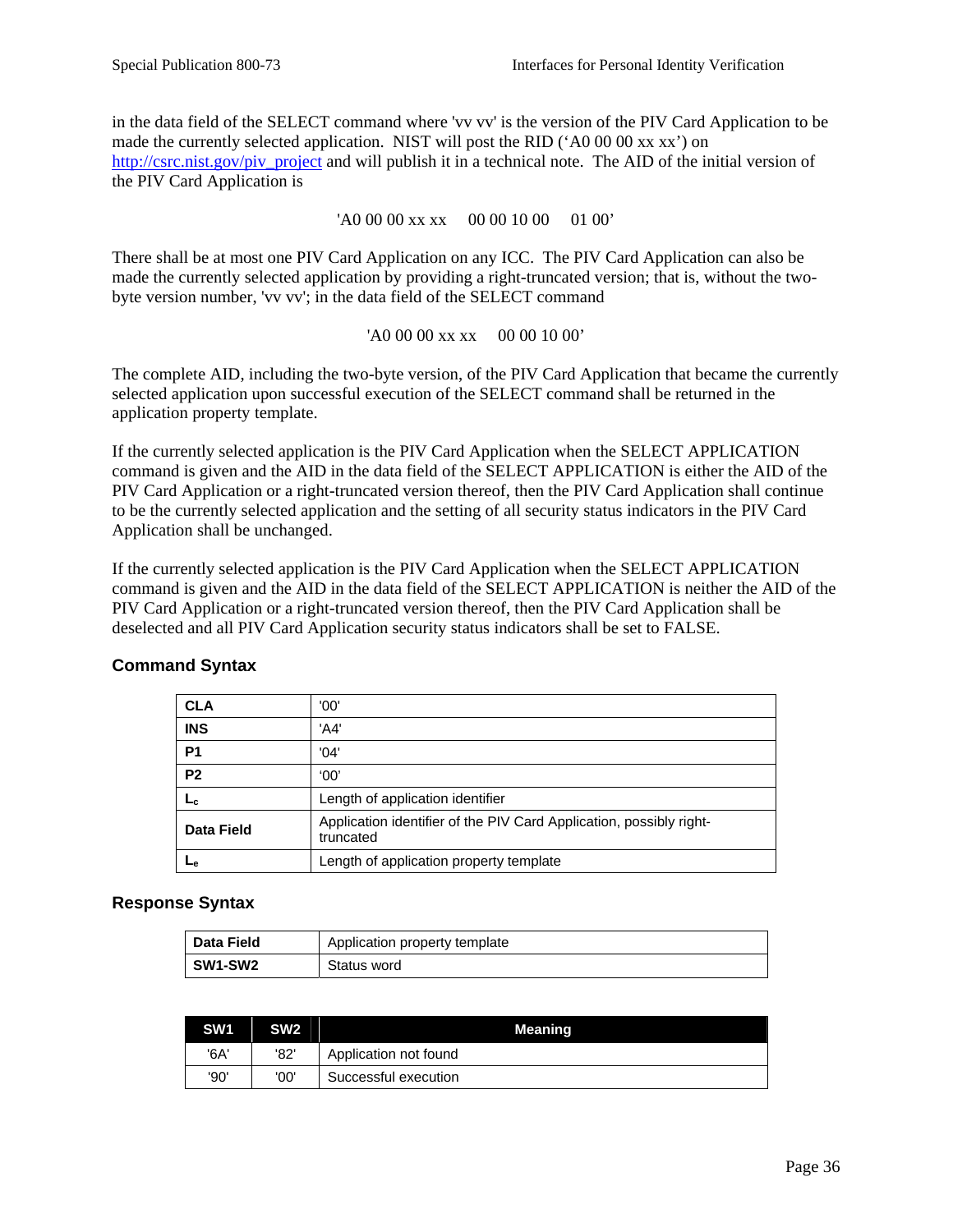in the data field of the SELECT command where 'vv vv' is the version of the PIV Card Application to be made the currently selected application. NIST will post the RID ('A0 00 00 xx xx') on [http://csrc.nist.gov/piv\\_project](http://csrc.nist.gov/piv_project) and will publish it in a technical note. The AID of the initial version of the PIV Card Application is

'A0 00 00 xx xx 00 00 10 00 01 00'

There shall be at most one PIV Card Application on any ICC. The PIV Card Application can also be made the currently selected application by providing a right-truncated version; that is, without the twobyte version number, 'vv vv'; in the data field of the SELECT command

'A0 00 00 xx xx 00 00 10 00'

The complete AID, including the two-byte version, of the PIV Card Application that became the currently selected application upon successful execution of the SELECT command shall be returned in the application property template.

If the currently selected application is the PIV Card Application when the SELECT APPLICATION command is given and the AID in the data field of the SELECT APPLICATION is either the AID of the PIV Card Application or a right-truncated version thereof, then the PIV Card Application shall continue to be the currently selected application and the setting of all security status indicators in the PIV Card Application shall be unchanged.

If the currently selected application is the PIV Card Application when the SELECT APPLICATION command is given and the AID in the data field of the SELECT APPLICATION is neither the AID of the PIV Card Application or a right-truncated version thereof, then the PIV Card Application shall be deselected and all PIV Card Application security status indicators shall be set to FALSE.

| <b>CLA</b>     | '00'                                                                             |
|----------------|----------------------------------------------------------------------------------|
| <b>INS</b>     | 'A4'                                                                             |
| <b>P1</b>      | '04'                                                                             |
| P <sub>2</sub> | '00'                                                                             |
| L <sub>C</sub> | Length of application identifier                                                 |
| Data Field     | Application identifier of the PIV Card Application, possibly right-<br>truncated |
| ⊾е             | Length of application property template                                          |

## **Command Syntax**

#### **Response Syntax**

| <b>Data Field</b> | Application property template |
|-------------------|-------------------------------|
| SW1-SW2           | Status word                   |

| SW <sub>1</sub> | <b>SW<sub>2</sub></b> | Meaning               |
|-----------------|-----------------------|-----------------------|
| '6A'            | '82'                  | Application not found |
| '90'            | '00'                  | Successful execution  |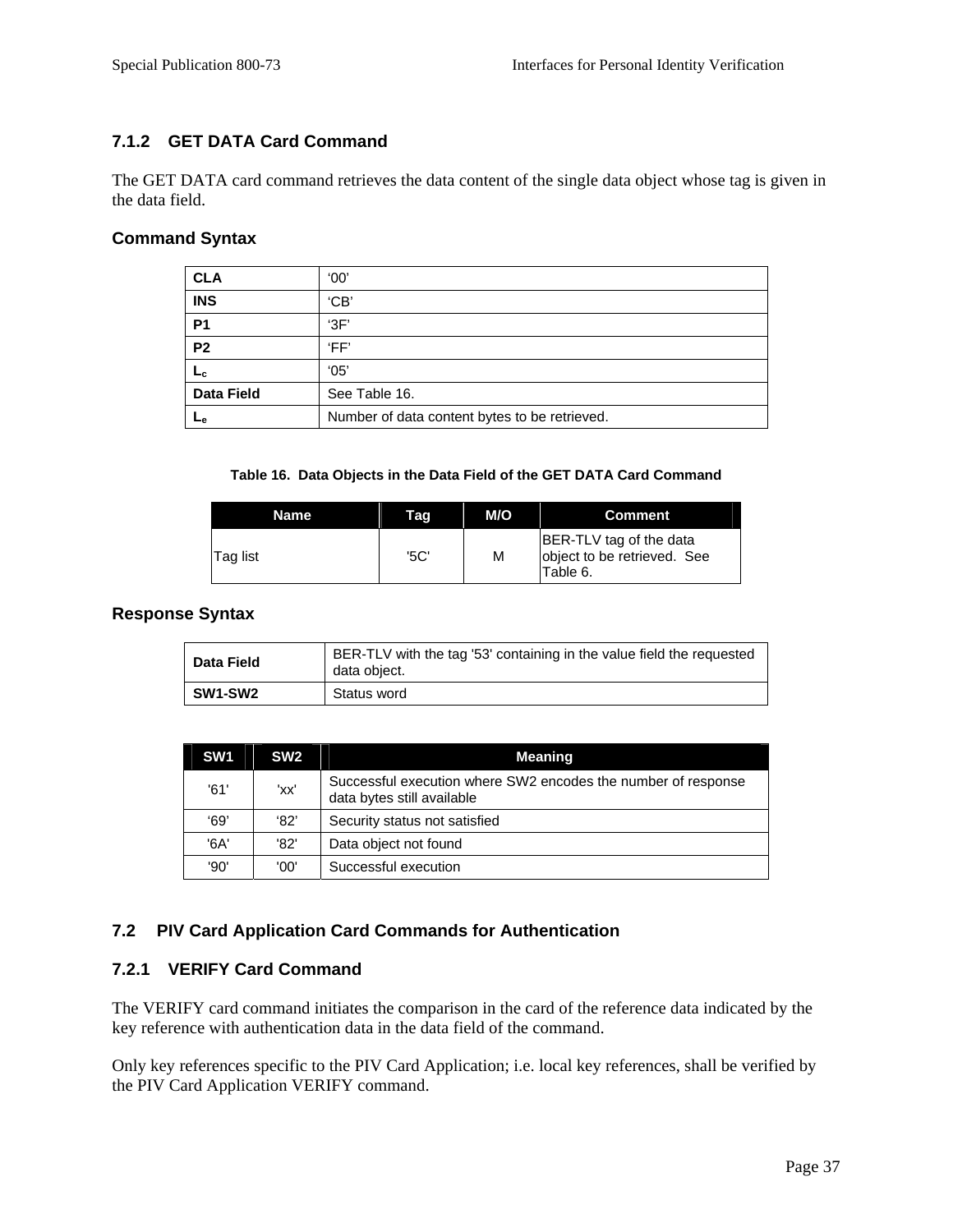## **7.1.2 GET DATA Card Command**

The GET DATA card command retrieves the data content of the single data object whose tag is given in the data field.

#### **Command Syntax**

| <b>CLA</b>        | '00'                                          |
|-------------------|-----------------------------------------------|
| <b>INS</b>        | 'CB                                           |
| <b>P1</b>         | 3F'                                           |
| P <sub>2</sub>    | 'FF'                                          |
| Lс                | '05'                                          |
| <b>Data Field</b> | See Table 16.                                 |
| مـا               | Number of data content bytes to be retrieved. |

#### **Table 16. Data Objects in the Data Field of the GET DATA Card Command**

| Name            | Tag  | M/O | Comment                                                            |
|-----------------|------|-----|--------------------------------------------------------------------|
| <b>Tag list</b> | '5C' | M   | BER-TLV tag of the data<br>object to be retrieved. See<br>Table 6. |

#### **Response Syntax**

| Data Field | BER-TLV with the tag '53' containing in the value field the requested<br>data object. |
|------------|---------------------------------------------------------------------------------------|
| SW1-SW2    | Status word                                                                           |

| SW <sub>1</sub> | SW <sub>2</sub> | Meaning                                                                                     |
|-----------------|-----------------|---------------------------------------------------------------------------------------------|
| '61'            | 'xx'            | Successful execution where SW2 encodes the number of response<br>data bytes still available |
| 69'             | '82'            | Security status not satisfied                                                               |
| '6A'            | '82'            | Data object not found                                                                       |
| '90'            | '00'            | Successful execution                                                                        |

#### **7.2 PIV Card Application Card Commands for Authentication**

#### **7.2.1 VERIFY Card Command**

The VERIFY card command initiates the comparison in the card of the reference data indicated by the key reference with authentication data in the data field of the command.

Only key references specific to the PIV Card Application; i.e. local key references, shall be verified by the PIV Card Application VERIFY command.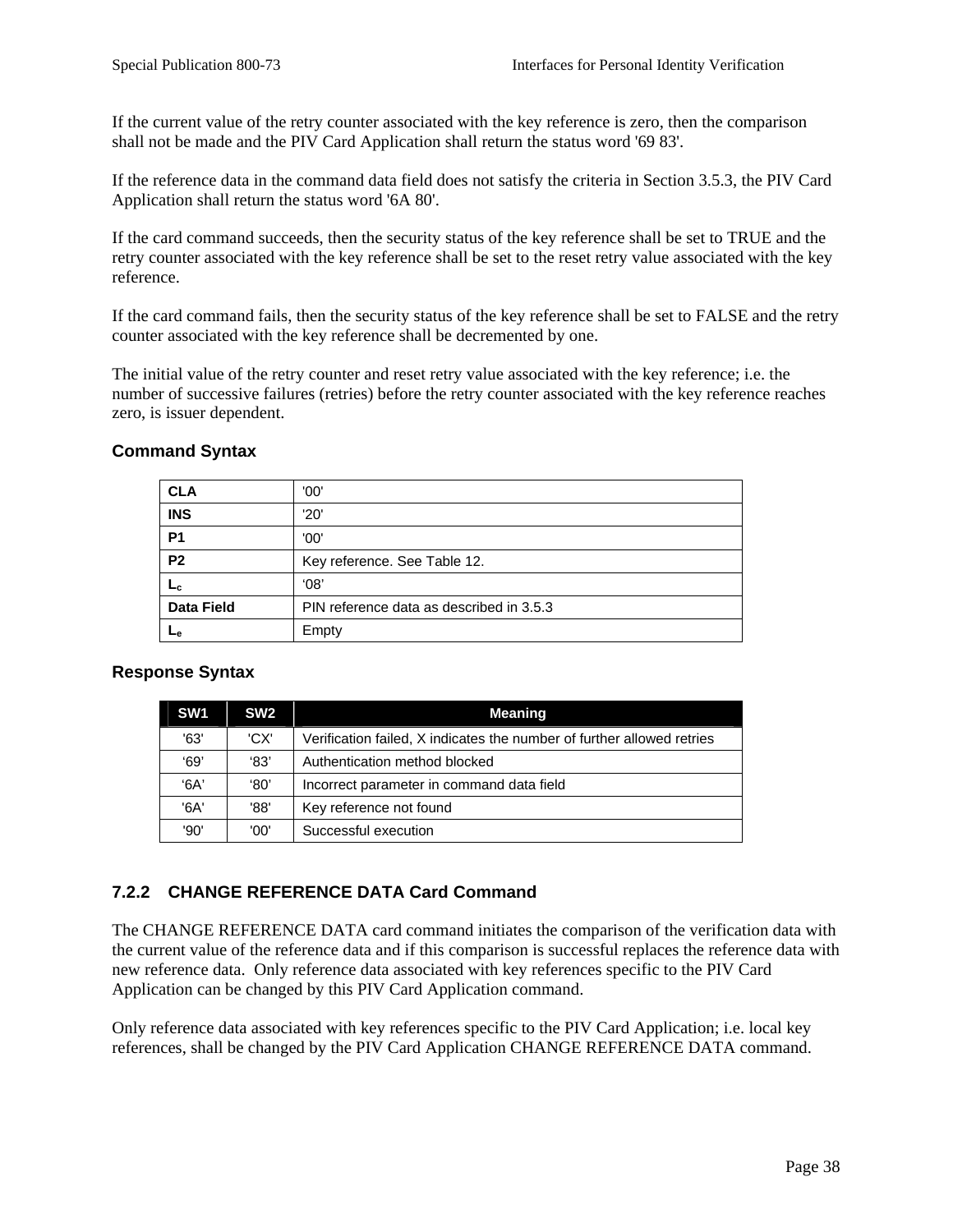If the current value of the retry counter associated with the key reference is zero, then the comparison shall not be made and the PIV Card Application shall return the status word '69 83'.

If the reference data in the command data field does not satisfy the criteria in Section 3.5.3, the PIV Card Application shall return the status word '6A 80'.

If the card command succeeds, then the security status of the key reference shall be set to TRUE and the retry counter associated with the key reference shall be set to the reset retry value associated with the key reference.

If the card command fails, then the security status of the key reference shall be set to FALSE and the retry counter associated with the key reference shall be decremented by one.

The initial value of the retry counter and reset retry value associated with the key reference; i.e. the number of successive failures (retries) before the retry counter associated with the key reference reaches zero, is issuer dependent.

| <b>CLA</b>        | '00'                                     |
|-------------------|------------------------------------------|
| <b>INS</b>        | '20'                                     |
| P <sub>1</sub>    | '00'                                     |
| P <sub>2</sub>    | Key reference. See Table 12.             |
| $L_c$             | 08'                                      |
| <b>Data Field</b> | PIN reference data as described in 3.5.3 |
| ⊶∟                | Empty                                    |

#### **Command Syntax**

#### **Response Syntax**

| SW <sub>1</sub> | SW <sub>2</sub> | Meaning                                                                |
|-----------------|-----------------|------------------------------------------------------------------------|
| '63'            | 'CX'            | Verification failed, X indicates the number of further allowed retries |
| '69'            | '83'            | Authentication method blocked                                          |
| $A^3$           | $^{\circ}80'$   | Incorrect parameter in command data field                              |
| '6A'            | '88'            | Key reference not found                                                |
| '90'            | '00'            | Successful execution                                                   |

## **7.2.2 CHANGE REFERENCE DATA Card Command**

The CHANGE REFERENCE DATA card command initiates the comparison of the verification data with the current value of the reference data and if this comparison is successful replaces the reference data with new reference data. Only reference data associated with key references specific to the PIV Card Application can be changed by this PIV Card Application command.

Only reference data associated with key references specific to the PIV Card Application; i.e. local key references, shall be changed by the PIV Card Application CHANGE REFERENCE DATA command.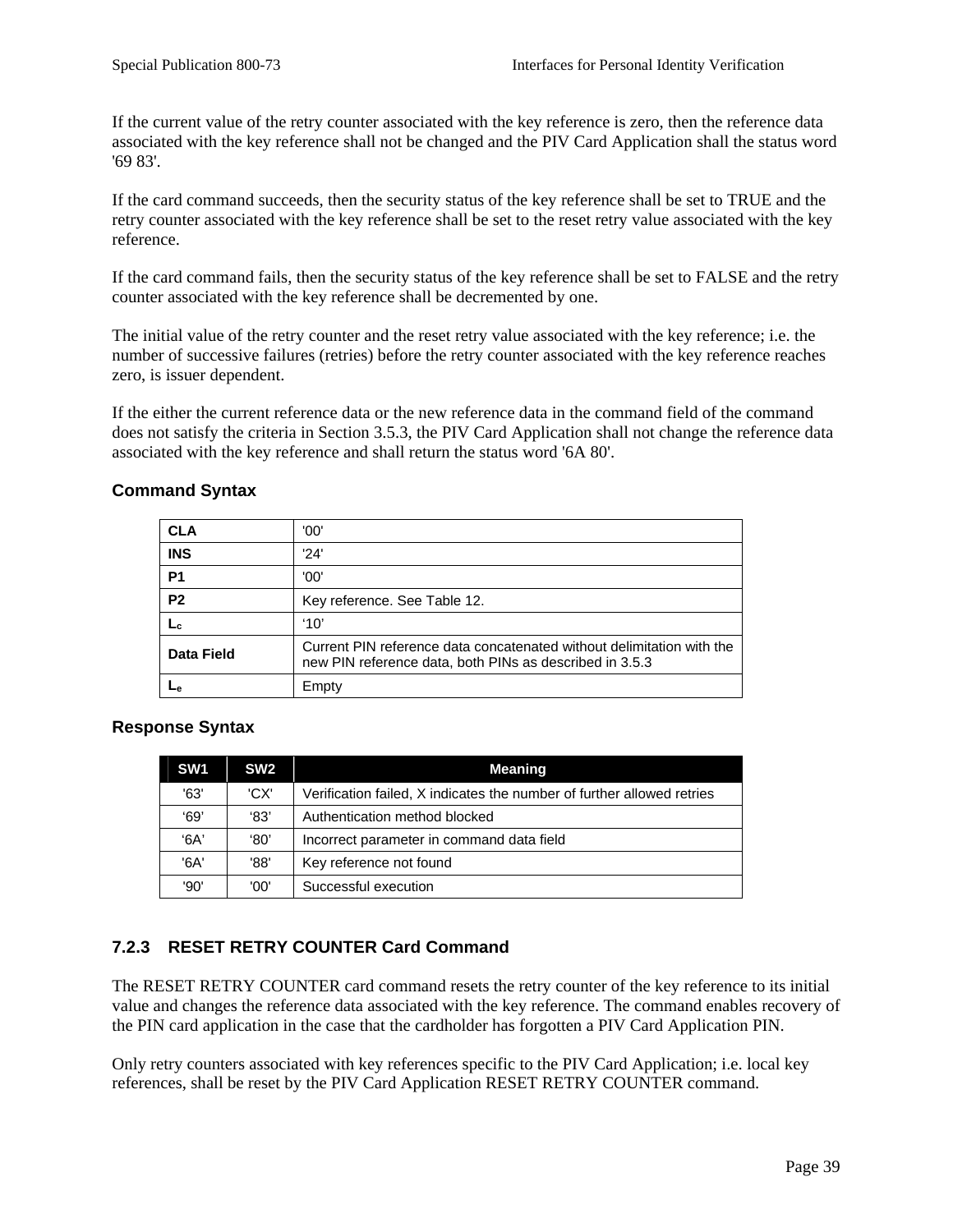If the current value of the retry counter associated with the key reference is zero, then the reference data associated with the key reference shall not be changed and the PIV Card Application shall the status word '69 83'.

If the card command succeeds, then the security status of the key reference shall be set to TRUE and the retry counter associated with the key reference shall be set to the reset retry value associated with the key reference.

If the card command fails, then the security status of the key reference shall be set to FALSE and the retry counter associated with the key reference shall be decremented by one.

The initial value of the retry counter and the reset retry value associated with the key reference; i.e. the number of successive failures (retries) before the retry counter associated with the key reference reaches zero, is issuer dependent.

If the either the current reference data or the new reference data in the command field of the command does not satisfy the criteria in Section 3.5.3, the PIV Card Application shall not change the reference data associated with the key reference and shall return the status word '6A 80'.

#### **Command Syntax**

| <b>CLA</b>     | '00'                                                                                                                             |
|----------------|----------------------------------------------------------------------------------------------------------------------------------|
| <b>INS</b>     | '24'                                                                                                                             |
| P <sub>1</sub> | '00'                                                                                                                             |
| P <sub>2</sub> | Key reference. See Table 12.                                                                                                     |
|                | '10'                                                                                                                             |
| Data Field     | Current PIN reference data concatenated without delimitation with the<br>new PIN reference data, both PINs as described in 3.5.3 |
|                | Empty                                                                                                                            |

#### **Response Syntax**

| SW <sub>1</sub> | SW <sub>2</sub> | <b>Meaning</b>                                                         |
|-----------------|-----------------|------------------------------------------------------------------------|
| '63'            | 'CX'            | Verification failed, X indicates the number of further allowed retries |
| 69'             | '83'            | Authentication method blocked                                          |
| $A^3$           | '80'            | Incorrect parameter in command data field                              |
| '6A'            | '88'            | Key reference not found                                                |
| '90'            | '00'            | Successful execution                                                   |

## **7.2.3 RESET RETRY COUNTER Card Command**

The RESET RETRY COUNTER card command resets the retry counter of the key reference to its initial value and changes the reference data associated with the key reference. The command enables recovery of the PIN card application in the case that the cardholder has forgotten a PIV Card Application PIN.

Only retry counters associated with key references specific to the PIV Card Application; i.e. local key references, shall be reset by the PIV Card Application RESET RETRY COUNTER command.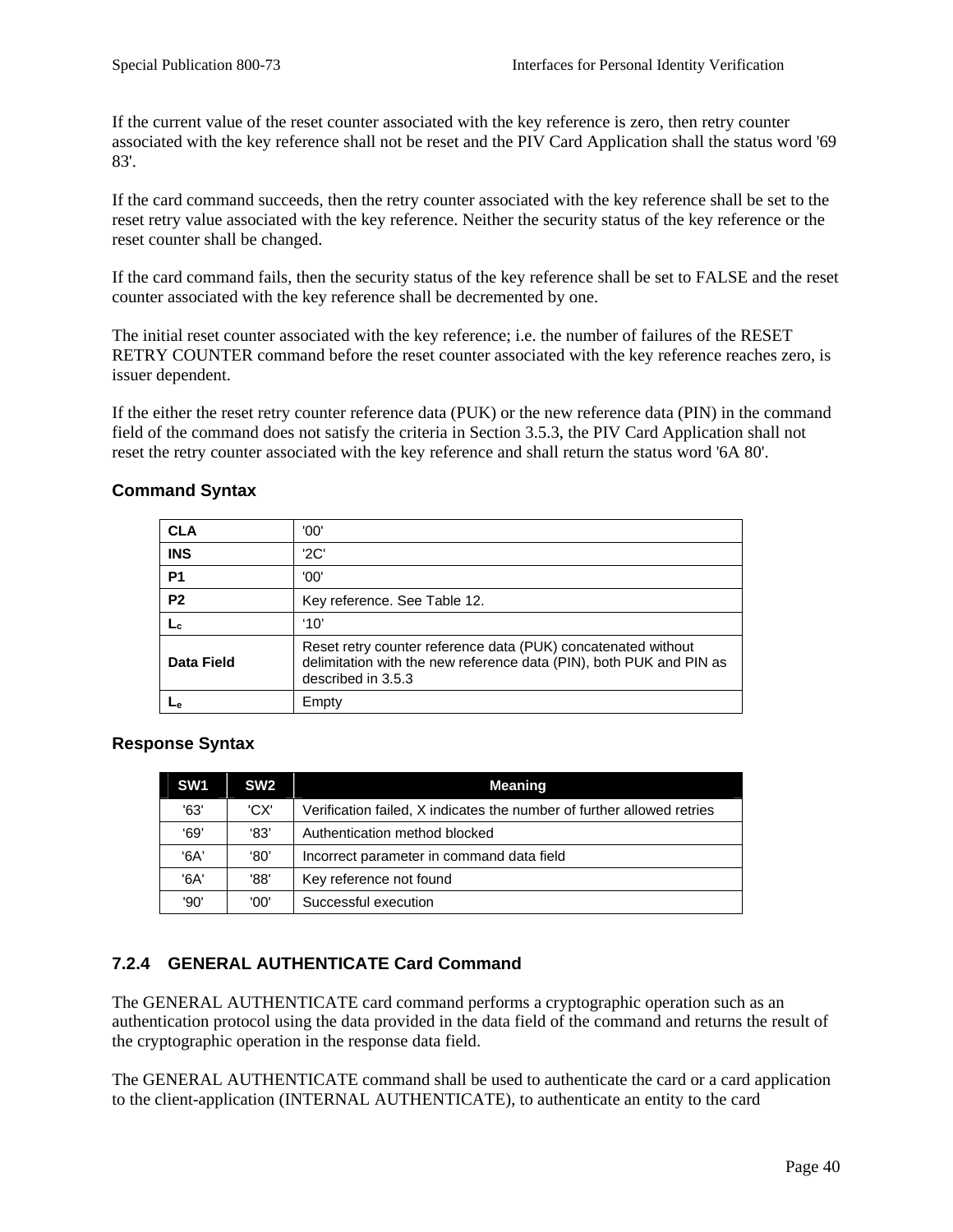If the current value of the reset counter associated with the key reference is zero, then retry counter associated with the key reference shall not be reset and the PIV Card Application shall the status word '69 83'.

If the card command succeeds, then the retry counter associated with the key reference shall be set to the reset retry value associated with the key reference. Neither the security status of the key reference or the reset counter shall be changed.

If the card command fails, then the security status of the key reference shall be set to FALSE and the reset counter associated with the key reference shall be decremented by one.

The initial reset counter associated with the key reference; i.e. the number of failures of the RESET RETRY COUNTER command before the reset counter associated with the key reference reaches zero, is issuer dependent.

If the either the reset retry counter reference data (PUK) or the new reference data (PIN) in the command field of the command does not satisfy the criteria in Section 3.5.3, the PIV Card Application shall not reset the retry counter associated with the key reference and shall return the status word '6A 80'.

## **Command Syntax**

| <b>CLA</b>     | '00'                                                                                                                                                       |
|----------------|------------------------------------------------------------------------------------------------------------------------------------------------------------|
| <b>INS</b>     | '2C'                                                                                                                                                       |
| P <sub>1</sub> | '00'                                                                                                                                                       |
| P <sub>2</sub> | Key reference. See Table 12.                                                                                                                               |
|                | '10'                                                                                                                                                       |
| Data Field     | Reset retry counter reference data (PUK) concatenated without<br>delimitation with the new reference data (PIN), both PUK and PIN as<br>described in 3.5.3 |
|                | Empty                                                                                                                                                      |

#### **Response Syntax**

| SW <sub>1</sub> | SW <sub>2</sub> | <b>Meaning</b>                                                         |
|-----------------|-----------------|------------------------------------------------------------------------|
| '63'            | 'CX'            | Verification failed, X indicates the number of further allowed retries |
| '69'            | '83'            | Authentication method blocked                                          |
| $A^3$           | '80'            | Incorrect parameter in command data field                              |
| 'A              | '88'            | Key reference not found                                                |
| '90'            | '00'            | Successful execution                                                   |

## **7.2.4 GENERAL AUTHENTICATE Card Command**

The GENERAL AUTHENTICATE card command performs a cryptographic operation such as an authentication protocol using the data provided in the data field of the command and returns the result of the cryptographic operation in the response data field.

The GENERAL AUTHENTICATE command shall be used to authenticate the card or a card application to the client-application (INTERNAL AUTHENTICATE), to authenticate an entity to the card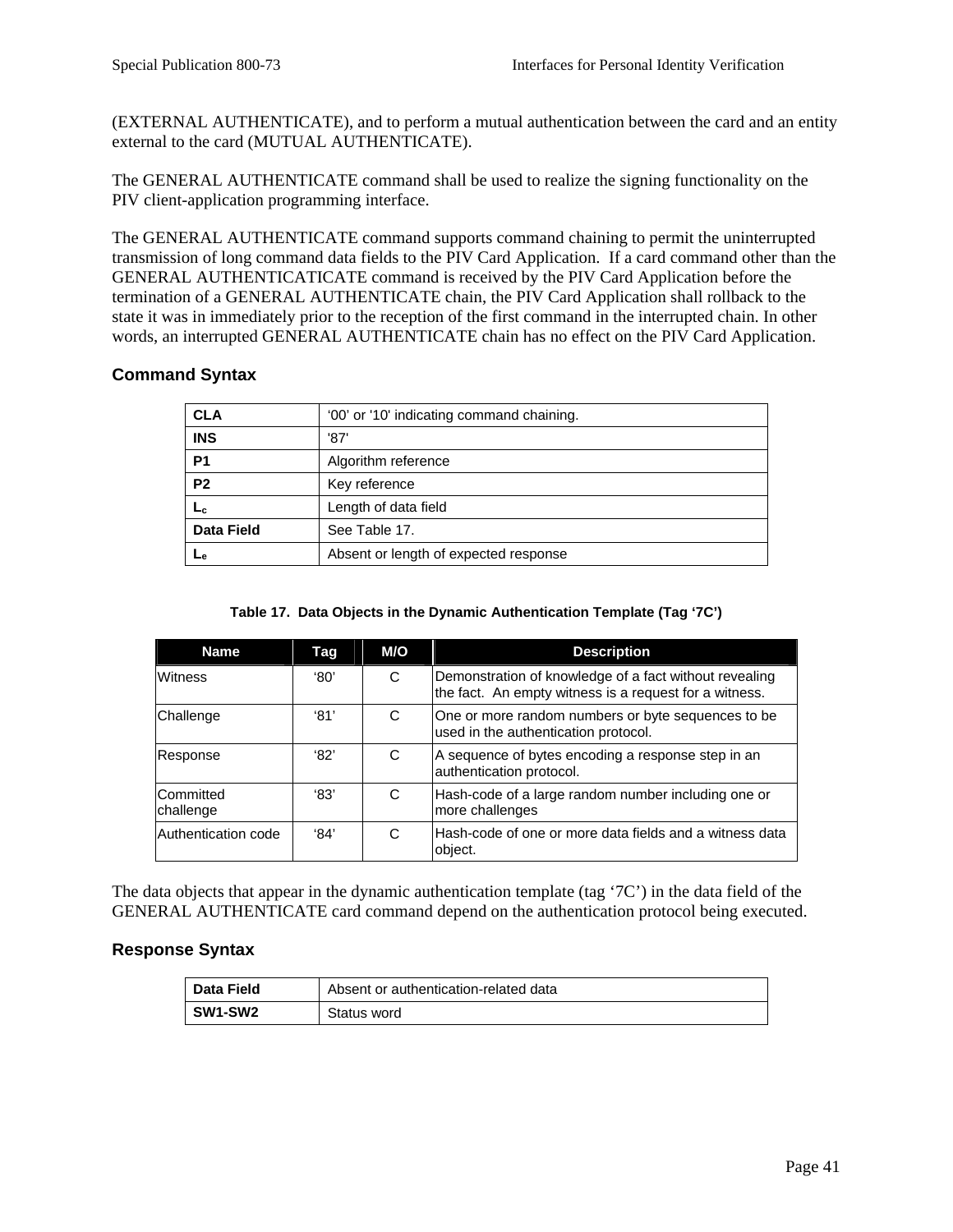(EXTERNAL AUTHENTICATE), and to perform a mutual authentication between the card and an entity external to the card (MUTUAL AUTHENTICATE).

The GENERAL AUTHENTICATE command shall be used to realize the signing functionality on the PIV client-application programming interface.

The GENERAL AUTHENTICATE command supports command chaining to permit the uninterrupted transmission of long command data fields to the PIV Card Application. If a card command other than the GENERAL AUTHENTICATICATE command is received by the PIV Card Application before the termination of a GENERAL AUTHENTICATE chain, the PIV Card Application shall rollback to the state it was in immediately prior to the reception of the first command in the interrupted chain. In other words, an interrupted GENERAL AUTHENTICATE chain has no effect on the PIV Card Application.

#### **Command Syntax**

| <b>CLA</b>        | '00' or '10' indicating command chaining. |  |  |
|-------------------|-------------------------------------------|--|--|
| <b>INS</b>        | '87'                                      |  |  |
| P <sub>1</sub>    | Algorithm reference                       |  |  |
| <b>P2</b>         | Key reference                             |  |  |
| ∟շ                | Length of data field                      |  |  |
| <b>Data Field</b> | See Table 17.                             |  |  |
| ⊾е                | Absent or length of expected response     |  |  |

#### **Table 17. Data Objects in the Dynamic Authentication Template (Tag '7C')**

| <b>Name</b>            | Tag  | M/O | <b>Description</b>                                                                                               |
|------------------------|------|-----|------------------------------------------------------------------------------------------------------------------|
| Witness                | '80' | C   | Demonstration of knowledge of a fact without revealing<br>the fact. An empty witness is a request for a witness. |
| Challenge              | '81' | C   | One or more random numbers or byte sequences to be<br>used in the authentication protocol.                       |
| Response               | '82' | C   | A sequence of bytes encoding a response step in an<br>authentication protocol.                                   |
| Committed<br>challenge | 83'  | C   | Hash-code of a large random number including one or<br>more challenges                                           |
| Authentication code    | 94'  | C   | Hash-code of one or more data fields and a witness data<br>object.                                               |

The data objects that appear in the dynamic authentication template (tag '7C') in the data field of the GENERAL AUTHENTICATE card command depend on the authentication protocol being executed.

#### **Response Syntax**

| Data Field | Absent or authentication-related data |
|------------|---------------------------------------|
| SW1-SW2    | Status word                           |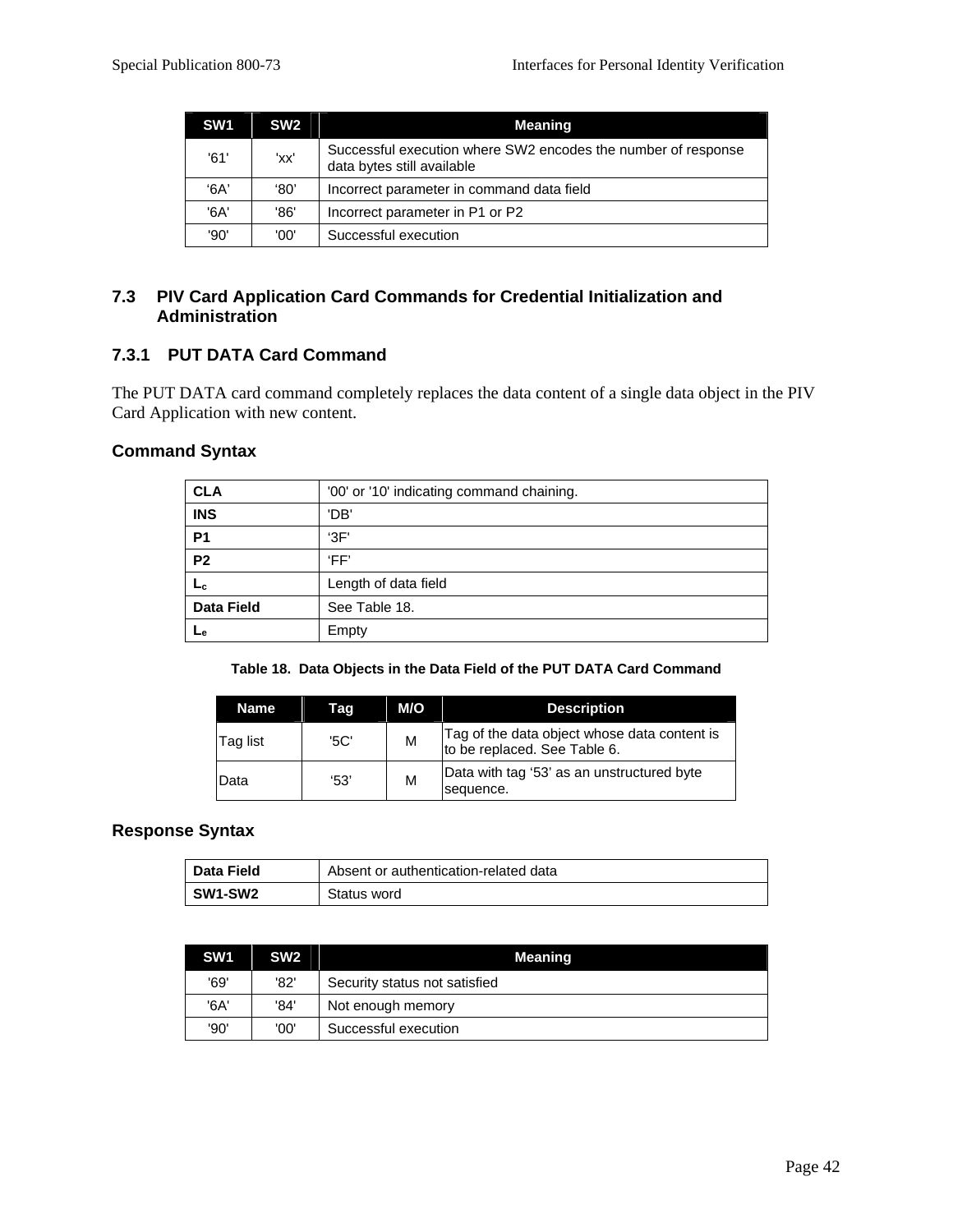| SW <sub>1</sub> | SW <sub>2</sub> | <b>Meaning</b>                                                                              |  |  |
|-----------------|-----------------|---------------------------------------------------------------------------------------------|--|--|
| '61'            | 'xx'            | Successful execution where SW2 encodes the number of response<br>data bytes still available |  |  |
| '6A'            | '80'            | Incorrect parameter in command data field                                                   |  |  |
| '6A'            | '86'            | Incorrect parameter in P1 or P2                                                             |  |  |
| '90'            | '00'            | Successful execution                                                                        |  |  |

#### **7.3 PIV Card Application Card Commands for Credential Initialization and Administration**

#### **7.3.1 PUT DATA Card Command**

The PUT DATA card command completely replaces the data content of a single data object in the PIV Card Application with new content.

## **Command Syntax**

| <b>CLA</b>        | '00' or '10' indicating command chaining. |
|-------------------|-------------------------------------------|
| <b>INS</b>        | 'DB'                                      |
| <b>P1</b>         | 3F                                        |
| P <sub>2</sub>    | 'FF'                                      |
| Lc                | Length of data field                      |
| <b>Data Field</b> | See Table 18.                             |
| ∟е                | Empty                                     |

|  |  | Table 18. Data Objects in the Data Field of the PUT DATA Card Command |  |
|--|--|-----------------------------------------------------------------------|--|
|  |  |                                                                       |  |

| Name     | Tag  | M/O | <b>Description</b>                                                           |
|----------|------|-----|------------------------------------------------------------------------------|
| Tag list | '5C' | M   | Tag of the data object whose data content is<br>to be replaced. See Table 6. |
| Data     | 53'  | M   | Data with tag '53' as an unstructured byte<br>sequence.                      |

#### **Response Syntax**

| Data Field | Absent or authentication-related data |
|------------|---------------------------------------|
| SW1-SW2    | Status word                           |

| SW <sub>1</sub> | SW <sub>2</sub> | Meaning                       |
|-----------------|-----------------|-------------------------------|
| '69'            | '82'            | Security status not satisfied |
| '6A'            | '84'            | Not enough memory             |
| '90'            | '00'            | Successful execution          |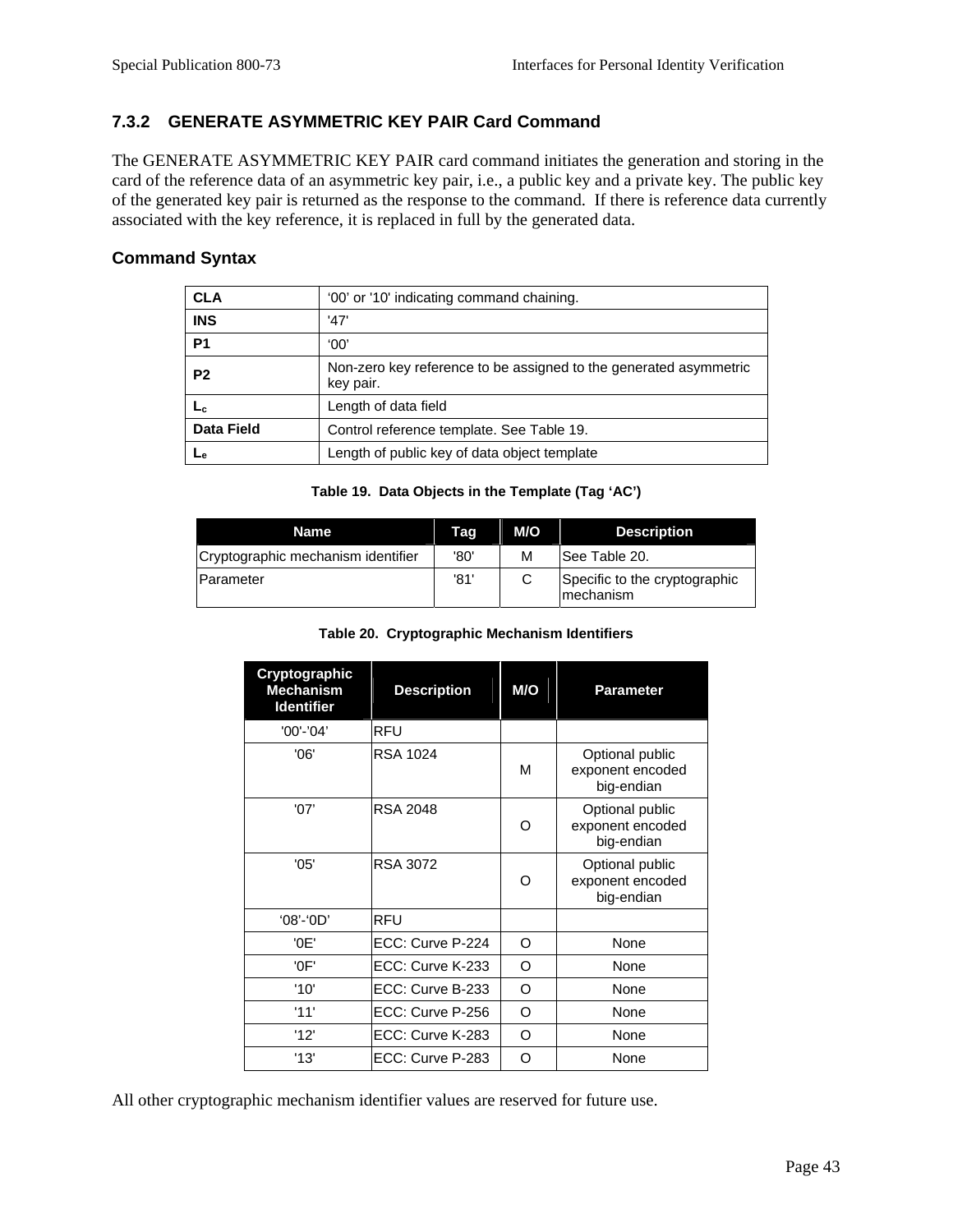### **7.3.2 GENERATE ASYMMETRIC KEY PAIR Card Command**

The GENERATE ASYMMETRIC KEY PAIR card command initiates the generation and storing in the card of the reference data of an asymmetric key pair, i.e., a public key and a private key. The public key of the generated key pair is returned as the response to the command. If there is reference data currently associated with the key reference, it is replaced in full by the generated data.

#### **Command Syntax**

| <b>CLA</b>        | '00' or '10' indicating command chaining.                                      |
|-------------------|--------------------------------------------------------------------------------|
| <b>INS</b>        | '47'                                                                           |
| P <sub>1</sub>    | '00'                                                                           |
| P <sub>2</sub>    | Non-zero key reference to be assigned to the generated asymmetric<br>key pair. |
| ∟с                | Length of data field                                                           |
| <b>Data Field</b> | Control reference template. See Table 19.                                      |
|                   | Length of public key of data object template                                   |

**Table 19. Data Objects in the Template (Tag 'AC')** 

| Name                               | Tag  | M/O | <b>Description</b>                          |
|------------------------------------|------|-----|---------------------------------------------|
| Cryptographic mechanism identifier | '80' | М   | <b>See Table 20.</b>                        |
| <b>Parameter</b>                   | '81' | C   | Specific to the cryptographic<br>Imechanism |

#### **Table 20. Cryptographic Mechanism Identifiers**

| Cryptographic<br><b>Mechanism</b><br><b>Identifier</b> | <b>Description</b> | M/O      | <b>Parameter</b>                                  |
|--------------------------------------------------------|--------------------|----------|---------------------------------------------------|
| '00'-'04'                                              | <b>RFU</b>         |          |                                                   |
| '06'                                                   | <b>RSA 1024</b>    | м        | Optional public<br>exponent encoded<br>big-endian |
| '07'                                                   | <b>RSA 2048</b>    | $\Omega$ | Optional public<br>exponent encoded<br>big-endian |
| '05'                                                   | RSA 3072           | $\Omega$ | Optional public<br>exponent encoded<br>big-endian |
| $'08'$ -'0D'                                           | RFU                |          |                                                   |
| '0E'                                                   | ECC: Curve P-224   | O        | None                                              |
| '0F'                                                   | ECC: Curve K-233   | O        | None                                              |
| '10'                                                   | ECC: Curve B-233   | O        | None                                              |
| '11'                                                   | ECC: Curve P-256   | O        | None                                              |
| '12'                                                   | ECC: Curve K-283   | O        | None                                              |
| '13'                                                   | ECC: Curve P-283   | Ω        | None                                              |

All other cryptographic mechanism identifier values are reserved for future use.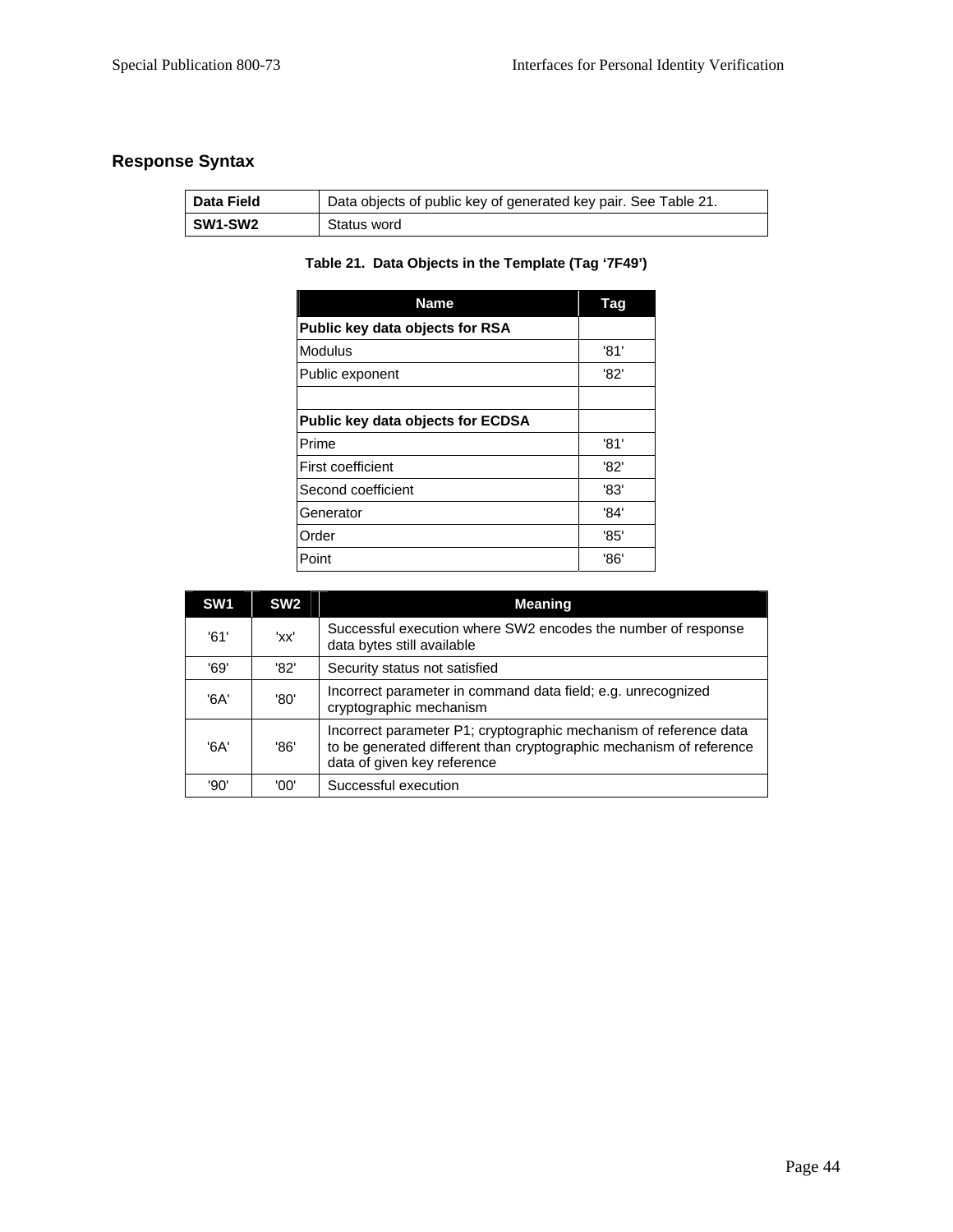## **Response Syntax**

| <b>Data Field</b> | Data objects of public key of generated key pair. See Table 21. |
|-------------------|-----------------------------------------------------------------|
| SW1-SW2           | Status word                                                     |

## **Table 21. Data Objects in the Template (Tag '7F49')**

| <b>Name</b>                              | Tag  |
|------------------------------------------|------|
| Public key data objects for RSA          |      |
| <b>Modulus</b>                           | '81' |
| Public exponent                          | '82' |
|                                          |      |
| <b>Public key data objects for ECDSA</b> |      |
| Prime                                    | '81' |
| <b>First coefficient</b>                 | '82' |
| Second coefficient                       | '83' |
| Generator                                | '84' |
| Order                                    | '85' |
| Point                                    | '86' |

| SW <sub>1</sub> | SW <sub>2</sub> | <b>Meaning</b>                                                                                                                                                          |
|-----------------|-----------------|-------------------------------------------------------------------------------------------------------------------------------------------------------------------------|
| '61'            | 'xx'            | Successful execution where SW2 encodes the number of response<br>data bytes still available                                                                             |
| '69'            | '82'            | Security status not satisfied                                                                                                                                           |
| '6A'            | '80'            | Incorrect parameter in command data field; e.g. unrecognized<br>cryptographic mechanism                                                                                 |
| '6A'            | '86'            | Incorrect parameter P1; cryptographic mechanism of reference data<br>to be generated different than cryptographic mechanism of reference<br>data of given key reference |
| '90'            | '00'            | Successful execution                                                                                                                                                    |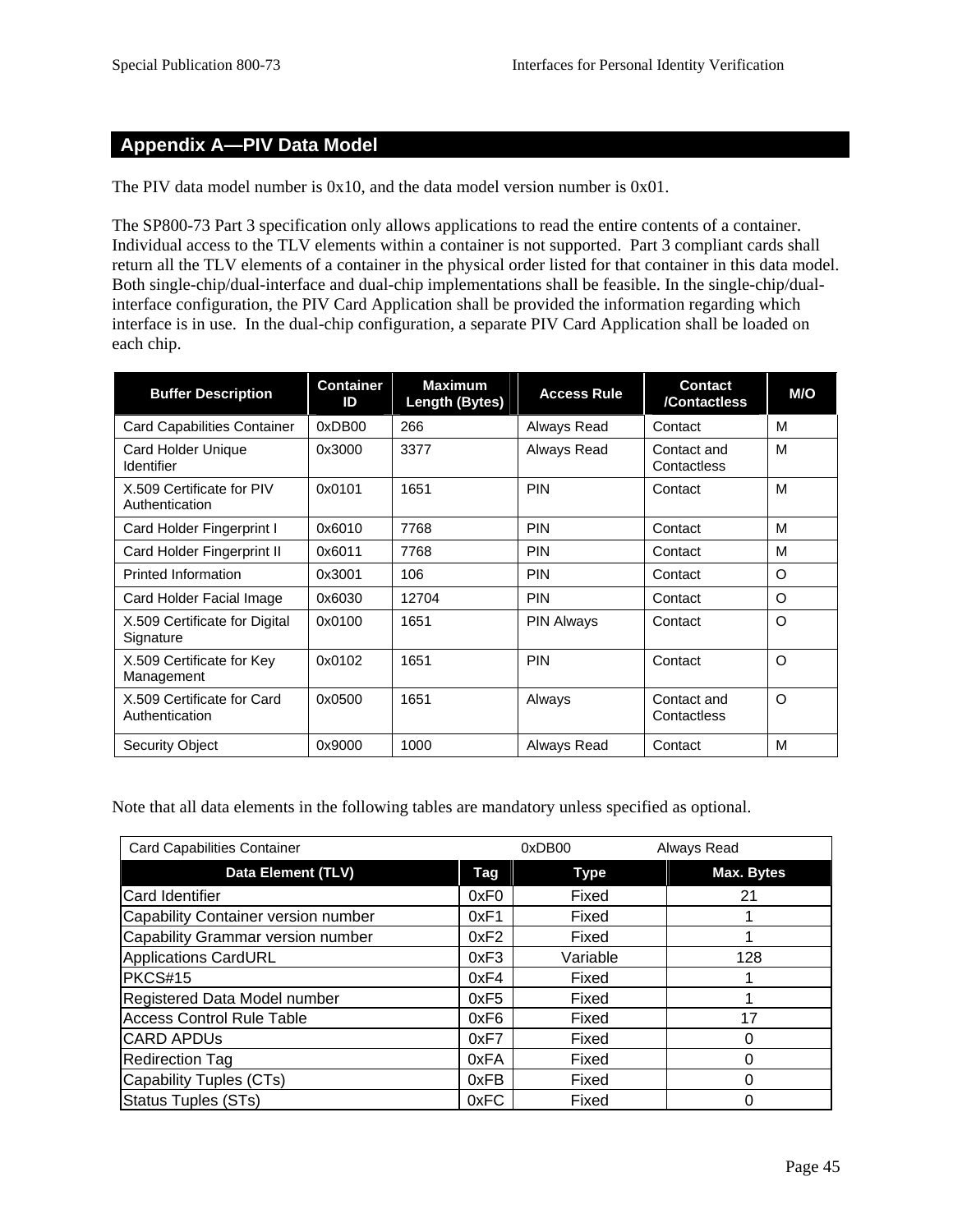## **Appendix A—PIV Data Model**

The PIV data model number is 0x10, and the data model version number is 0x01.

The SP800-73 Part 3 specification only allows applications to read the entire contents of a container. Individual access to the TLV elements within a container is not supported. Part 3 compliant cards shall return all the TLV elements of a container in the physical order listed for that container in this data model. Both single-chip/dual-interface and dual-chip implementations shall be feasible. In the single-chip/dualinterface configuration, the PIV Card Application shall be provided the information regarding which interface is in use. In the dual-chip configuration, a separate PIV Card Application shall be loaded on each chip.

| <b>Buffer Description</b>                    | <b>Container</b><br>ID | <b>Maximum</b><br>Length (Bytes) | <b>Access Rule</b> | Contact<br>/Contactless    | M/O      |
|----------------------------------------------|------------------------|----------------------------------|--------------------|----------------------------|----------|
| <b>Card Capabilities Container</b>           | 0xDB00                 | 266                              | Always Read        | Contact                    | M        |
| Card Holder Unique<br>Identifier             | 0x3000                 | 3377                             | Always Read        | Contact and<br>Contactless | M        |
| X.509 Certificate for PIV<br>Authentication  | 0x0101                 | 1651                             | <b>PIN</b>         | Contact                    | M        |
| Card Holder Fingerprint I                    | 0x6010                 | 7768                             | <b>PIN</b>         | Contact                    | M        |
| Card Holder Fingerprint II                   | 0x6011                 | 7768                             | <b>PIN</b>         | Contact                    | М        |
| <b>Printed Information</b>                   | 0x3001                 | 106                              | <b>PIN</b>         | Contact                    | O        |
| Card Holder Facial Image                     | 0x6030                 | 12704                            | <b>PIN</b>         | Contact                    | $\circ$  |
| X.509 Certificate for Digital<br>Signature   | 0x0100                 | 1651                             | <b>PIN Always</b>  | Contact                    | $\Omega$ |
| X.509 Certificate for Key<br>Management      | 0x0102                 | 1651                             | <b>PIN</b>         | Contact                    | O        |
| X.509 Certificate for Card<br>Authentication | 0x0500                 | 1651                             | Always             | Contact and<br>Contactless | O        |
| <b>Security Object</b>                       | 0x9000                 | 1000                             | Always Read        | Contact                    | M        |

Note that all data elements in the following tables are mandatory unless specified as optional.

| <b>Card Capabilities Container</b>  |      | 0xDB00      | Always Read |
|-------------------------------------|------|-------------|-------------|
| <b>Data Element (TLV)</b>           | Tag  | <b>Type</b> | Max. Bytes  |
| <b>Card Identifier</b>              | 0xF0 | Fixed       | 21          |
| Capability Container version number | 0xF1 | Fixed       |             |
| Capability Grammar version number   | 0xF2 | Fixed       |             |
| <b>Applications CardURL</b>         | 0xF3 | Variable    | 128         |
| PKCS#15                             | 0xF4 | Fixed       |             |
| Registered Data Model number        | 0xF5 | Fixed       |             |
| <b>Access Control Rule Table</b>    | 0xF6 | Fixed       | 17          |
| <b>CARD APDUS</b>                   | 0xF7 | Fixed       | 0           |
| <b>Redirection Tag</b>              | 0xFA | Fixed       | 0           |
| Capability Tuples (CTs)             | 0xFB | Fixed       | 0           |
| <b>Status Tuples (STs)</b>          | 0xFC | Fixed       | 0           |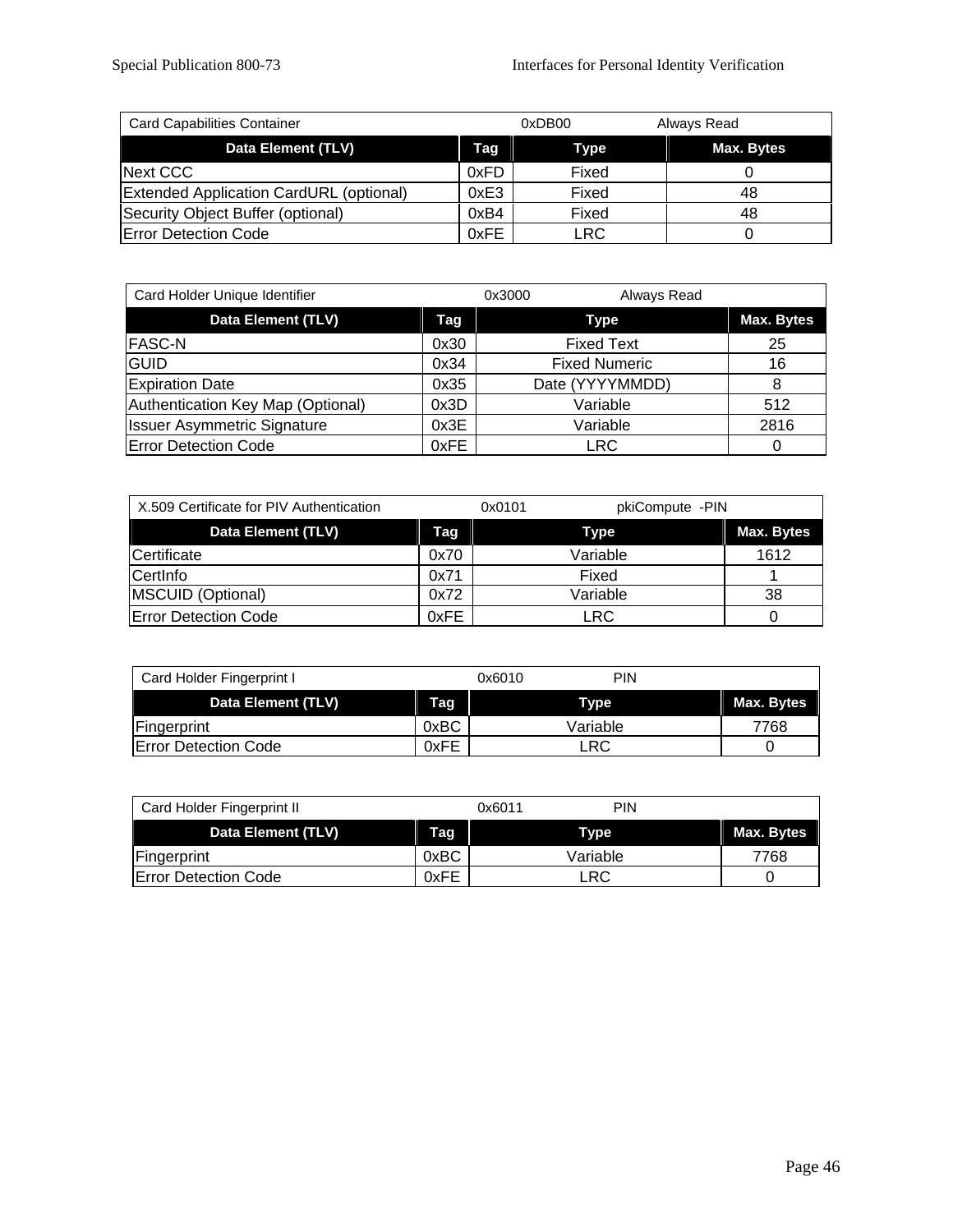| <b>Card Capabilities Container</b>             |      | 0xDB00     | Always Read |  |
|------------------------------------------------|------|------------|-------------|--|
| Data Element (TLV)                             | Tag  | Type       | Max. Bytes  |  |
| Next CCC                                       | 0xFD | Fixed      |             |  |
| <b>Extended Application CardURL (optional)</b> | 0xE3 | Fixed      | 48          |  |
| Security Object Buffer (optional)              | 0xB4 | Fixed      | 48          |  |
| <b>Error Detection Code</b>                    | 0xFE | <b>LRC</b> |             |  |

| Card Holder Unique Identifier      |      | Always Read<br>0x3000 |                   |
|------------------------------------|------|-----------------------|-------------------|
| <b>Data Element (TLV)</b>          | Tag  | <b>Type</b>           | <b>Max. Bytes</b> |
| <b>FASC-N</b>                      | 0x30 | <b>Fixed Text</b>     | 25                |
| GUID                               | 0x34 | <b>Fixed Numeric</b>  | 16                |
| <b>Expiration Date</b>             | 0x35 | Date (YYYYMMDD)       |                   |
| Authentication Key Map (Optional)  | 0x3D | Variable              | 512               |
| <b>Issuer Asymmetric Signature</b> | 0x3E | Variable              | 2816              |
| <b>Error Detection Code</b>        | 0xFE | <b>LRC</b>            |                   |

| X.509 Certificate for PIV Authentication |      | pkiCompute -PIN<br>0x0101 |            |
|------------------------------------------|------|---------------------------|------------|
| Data Element (TLV)                       | Tag  | Type                      | Max. Bytes |
| Certificate                              | 0x70 | Variable                  | 1612       |
| CertInfo                                 | 0x71 | Fixed                     |            |
| MSCUID (Optional)                        | 0x72 | Variable                  | 38         |
| <b>Error Detection Code</b>              | 0xFE | LRC                       |            |

| Card Holder Fingerprint I   |      | 0x6010 | <b>PIN</b> |            |
|-----------------------------|------|--------|------------|------------|
| Data Element (TLV)          | Tag  |        | Type       | Max. Bytes |
| Fingerprint                 | 0xBC |        | Variable   | 7768       |
| <b>Error Detection Code</b> | 0xFE |        | LRC        |            |

| Card Holder Fingerprint II  |      | PIN<br>0x6011 |            |
|-----------------------------|------|---------------|------------|
| Data Element (TLV)          | Tag  | Type          | Max. Bytes |
| Fingerprint                 | 0xBC | Variable      | 7768       |
| <b>Error Detection Code</b> | 0xFE | ∟RC           |            |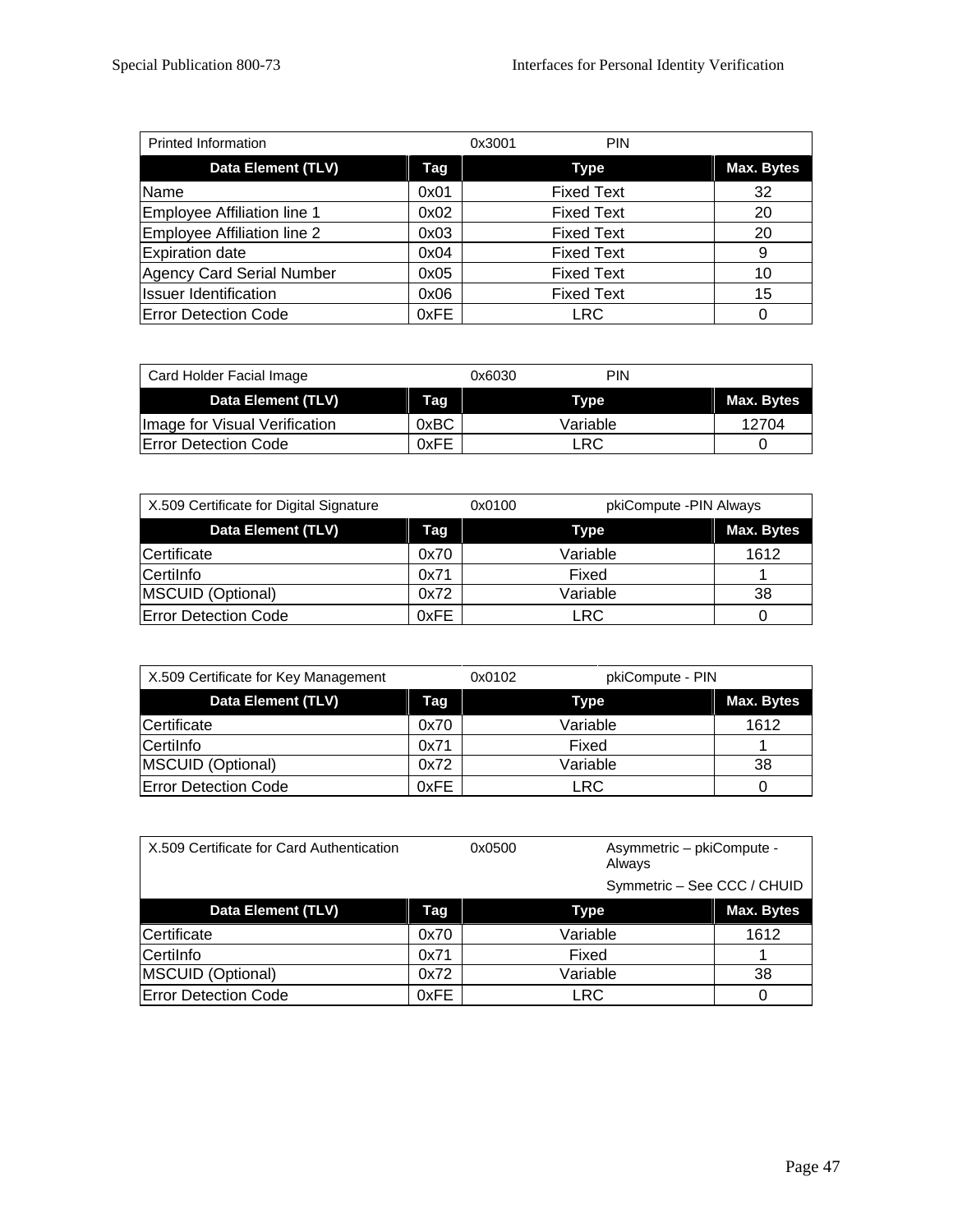| <b>Printed Information</b>   |      | <b>PIN</b><br>0x3001 |                   |
|------------------------------|------|----------------------|-------------------|
| Data Element (TLV)           | Tag  | <b>Type</b>          | <b>Max. Bytes</b> |
| Name                         | 0x01 | <b>Fixed Text</b>    | 32                |
| Employee Affiliation line 1  | 0x02 | <b>Fixed Text</b>    | 20                |
| Employee Affiliation line 2  | 0x03 | <b>Fixed Text</b>    | 20                |
| <b>Expiration date</b>       | 0x04 | <b>Fixed Text</b>    | 9                 |
| Agency Card Serial Number    | 0x05 | <b>Fixed Text</b>    | 10                |
| <b>Issuer Identification</b> | 0x06 | <b>Fixed Text</b>    | 15                |
| <b>Error Detection Code</b>  | 0xFE | LRC                  |                   |

| Card Holder Facial Image      |      | 0x6030   | PIN |            |
|-------------------------------|------|----------|-----|------------|
| Data Element (TLV)            | Tag  | Type     |     | Max. Bytes |
| Image for Visual Verification | 0xBC | Variable |     | 12704      |
| <b>Error Detection Code</b>   | 0xFE | LRC      |     |            |

| X.509 Certificate for Digital Signature |      | pkiCompute - PIN Always<br>0x0100 |            |
|-----------------------------------------|------|-----------------------------------|------------|
| Data Element (TLV)                      | Taq  | <b>Type</b>                       | Max. Bytes |
| Certificate                             | 0x70 | Variable                          | 1612       |
| Certilnfo                               | 0x71 | Fixed                             |            |
| <b>MSCUID (Optional)</b>                | 0x72 | Variable                          | 38         |
| <b>Error Detection Code</b>             | 0xFE | LRC                               |            |

| X.509 Certificate for Key Management |      | pkiCompute - PIN<br>0x0102 |            |
|--------------------------------------|------|----------------------------|------------|
| Data Element (TLV)                   | Tag  | Type                       | Max. Bytes |
| Certificate                          | 0x70 | Variable                   | 1612       |
| Certilnfo                            | 0x71 | Fixed                      |            |
| MSCUID (Optional)                    | 0x72 | Variable                   | 38         |
| <b>Error Detection Code</b>          | 0xFE | LRC.                       |            |

| X.509 Certificate for Card Authentication |      | 0x0500      | Asymmetric - pkiCompute -<br>Always |            |
|-------------------------------------------|------|-------------|-------------------------------------|------------|
|                                           |      |             | Symmetric - See CCC / CHUID         |            |
| Data Element (TLV)                        | Tag  | <b>Type</b> |                                     | Max. Bytes |
| Certificate                               | 0x70 | Variable    |                                     | 1612       |
| Certilnfo                                 | 0x71 | Fixed       |                                     |            |
| MSCUID (Optional)                         | 0x72 | Variable    |                                     | 38         |
| <b>Error Detection Code</b>               | 0xFE | <b>LRC</b>  |                                     | O          |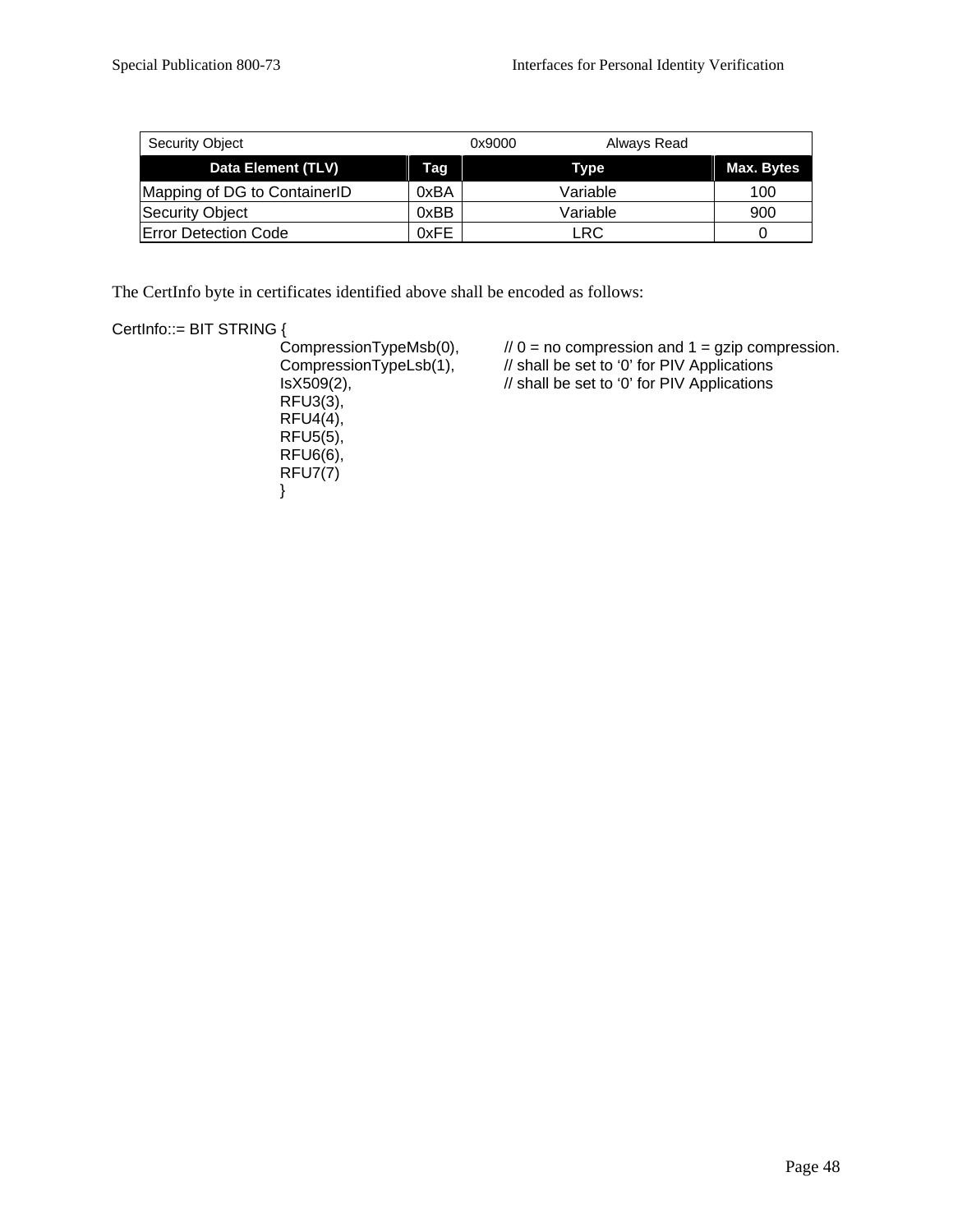| <b>Security Object</b>       |      | 0x9000<br>Always Read |            |
|------------------------------|------|-----------------------|------------|
| Data Element (TLV)           | Tag  | <b>Type</b>           | Max. Bytes |
| Mapping of DG to ContainerID | 0xBA | Variable              | 100        |
| Security Object              | 0xBB | Variable              | 900        |
| <b>IError Detection Code</b> | 0xFE | LRC                   |            |

The CertInfo byte in certificates identified above shall be encoded as follows:

# CertInfo::= BIT STRING {<br>CompressionTypeMsb(0),

 RFU3(3), RFU4(4), RFU5(5), RFU6(6), RFU7(7) }

CompressionTypeMsb(0),  $\frac{1}{0}$  = no compression and 1 = gzip compression.<br>CompressionTypeLsb(1),  $\frac{1}{1}$  shall be set to '0' for PIV Applications // shall be set to '0' for PIV Applications  $1$ shall be set to '0' for PIV Applications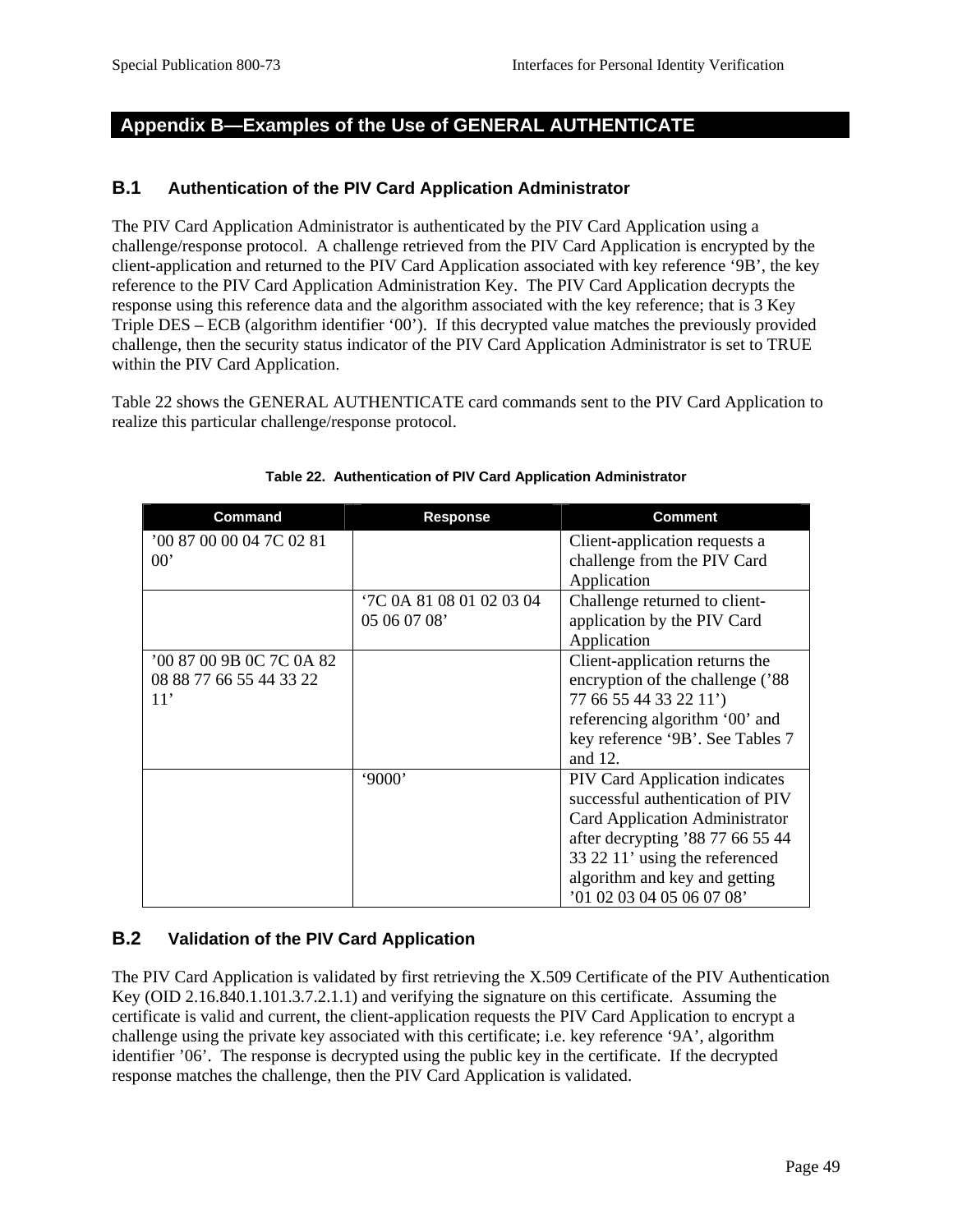## **Appendix B—Examples of the Use of GENERAL AUTHENTICATE**

#### **B.1 Authentication of the PIV Card Application Administrator**

The PIV Card Application Administrator is authenticated by the PIV Card Application using a challenge/response protocol. A challenge retrieved from the PIV Card Application is encrypted by the client-application and returned to the PIV Card Application associated with key reference '9B', the key reference to the PIV Card Application Administration Key. The PIV Card Application decrypts the response using this reference data and the algorithm associated with the key reference; that is 3 Key Triple DES – ECB (algorithm identifier '00'). If this decrypted value matches the previously provided challenge, then the security status indicator of the PIV Card Application Administrator is set to TRUE within the PIV Card Application.

Table 22 shows the GENERAL AUTHENTICATE card commands sent to the PIV Card Application to realize this particular challenge/response protocol.

| Command                  | <b>Response</b>          | <b>Comment</b>                        |
|--------------------------|--------------------------|---------------------------------------|
| '00 87 00 00 04 7C 02 81 |                          | Client-application requests a         |
| $00^{\circ}$             |                          | challenge from the PIV Card           |
|                          |                          | Application                           |
|                          | '7C 0A 81 08 01 02 03 04 | Challenge returned to client-         |
|                          | 05 06 07 08'             | application by the PIV Card           |
|                          |                          | Application                           |
| '00 87 00 9B 0C 7C 0A 82 |                          | Client-application returns the        |
| 08 88 77 66 55 44 33 22  |                          | encryption of the challenge ('88      |
| 11'                      |                          | 77 66 55 44 33 22 11')                |
|                          |                          | referencing algorithm '00' and        |
|                          |                          | key reference '9B'. See Tables 7      |
|                          |                          | and 12.                               |
|                          | '9000'                   | <b>PIV Card Application indicates</b> |
|                          |                          | successful authentication of PIV      |
|                          |                          | Card Application Administrator        |
|                          |                          | after decrypting '88 77 66 55 44      |
|                          |                          | 33 22 11' using the referenced        |
|                          |                          | algorithm and key and getting         |
|                          |                          | '01 02 03 04 05 06 07 08'             |

#### **Table 22. Authentication of PIV Card Application Administrator**

#### **B.2 Validation of the PIV Card Application**

The PIV Card Application is validated by first retrieving the X.509 Certificate of the PIV Authentication Key (OID 2.16.840.1.101.3.7.2.1.1) and verifying the signature on this certificate. Assuming the certificate is valid and current, the client-application requests the PIV Card Application to encrypt a challenge using the private key associated with this certificate; i.e. key reference '9A', algorithm identifier '06'. The response is decrypted using the public key in the certificate. If the decrypted response matches the challenge, then the PIV Card Application is validated.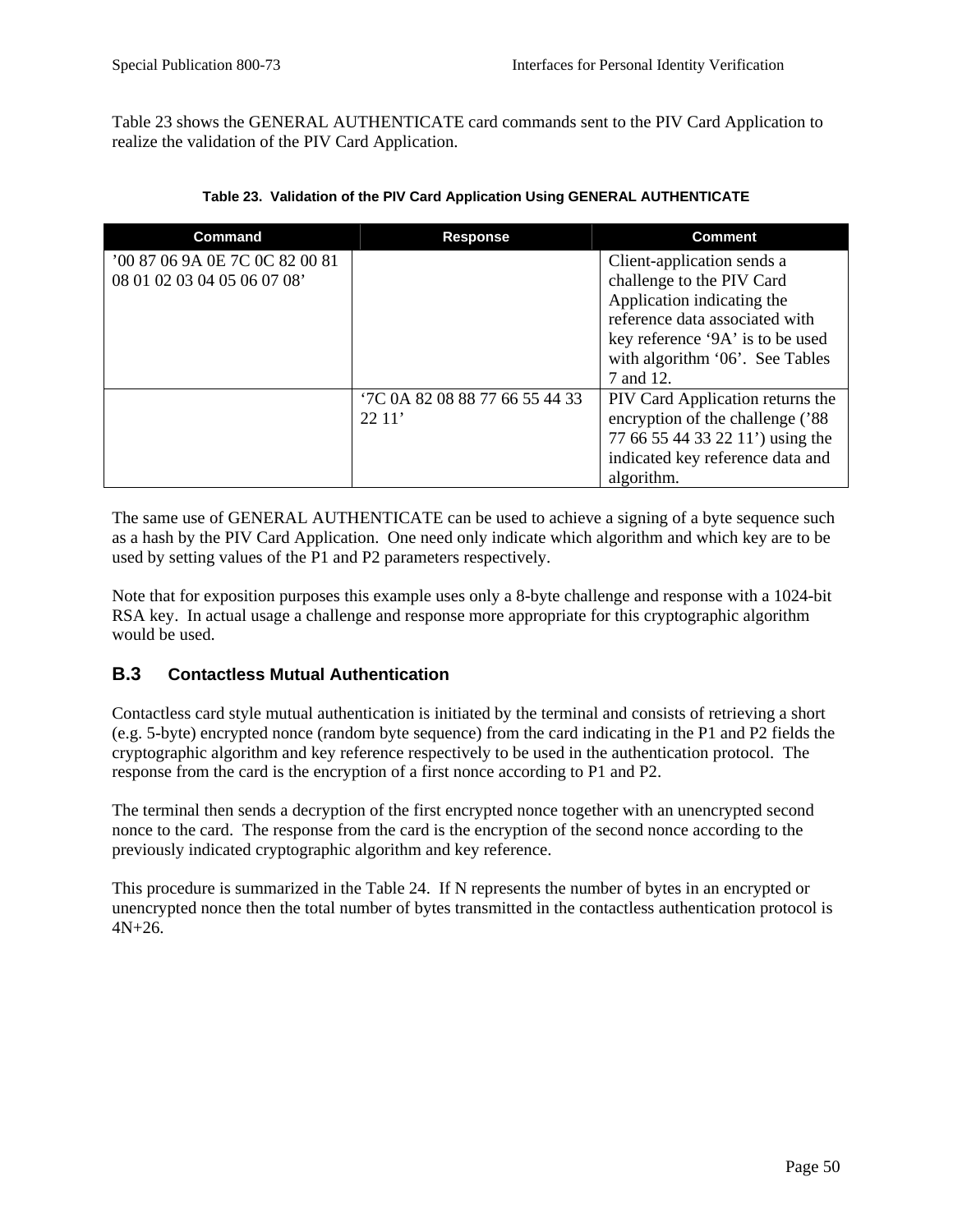Table 23 shows the GENERAL AUTHENTICATE card commands sent to the PIV Card Application to realize the validation of the PIV Card Application.

| <b>Command</b>                 | <b>Response</b>               | <b>Comment</b>                    |
|--------------------------------|-------------------------------|-----------------------------------|
| '00 87 06 9A 0E 7C 0C 82 00 81 |                               | Client-application sends a        |
| 08 01 02 03 04 05 06 07 08'    |                               | challenge to the PIV Card         |
|                                |                               | Application indicating the        |
|                                |                               | reference data associated with    |
|                                |                               | key reference '9A' is to be used  |
|                                |                               | with algorithm '06'. See Tables   |
|                                |                               | 7 and 12.                         |
|                                | TC 0A 82 08 88 77 66 55 44 33 | PIV Card Application returns the  |
|                                | 2211'                         | encryption of the challenge ('88) |
|                                |                               | 77 66 55 44 33 22 11') using the  |
|                                |                               | indicated key reference data and  |
|                                |                               | algorithm.                        |

**Table 23. Validation of the PIV Card Application Using GENERAL AUTHENTICATE** 

The same use of GENERAL AUTHENTICATE can be used to achieve a signing of a byte sequence such as a hash by the PIV Card Application. One need only indicate which algorithm and which key are to be used by setting values of the P1 and P2 parameters respectively.

Note that for exposition purposes this example uses only a 8-byte challenge and response with a 1024-bit RSA key. In actual usage a challenge and response more appropriate for this cryptographic algorithm would be used.

#### **B.3 Contactless Mutual Authentication**

Contactless card style mutual authentication is initiated by the terminal and consists of retrieving a short (e.g. 5-byte) encrypted nonce (random byte sequence) from the card indicating in the P1 and P2 fields the cryptographic algorithm and key reference respectively to be used in the authentication protocol. The response from the card is the encryption of a first nonce according to P1 and P2.

The terminal then sends a decryption of the first encrypted nonce together with an unencrypted second nonce to the card. The response from the card is the encryption of the second nonce according to the previously indicated cryptographic algorithm and key reference.

This procedure is summarized in the Table 24. If N represents the number of bytes in an encrypted or unencrypted nonce then the total number of bytes transmitted in the contactless authentication protocol is 4N+26.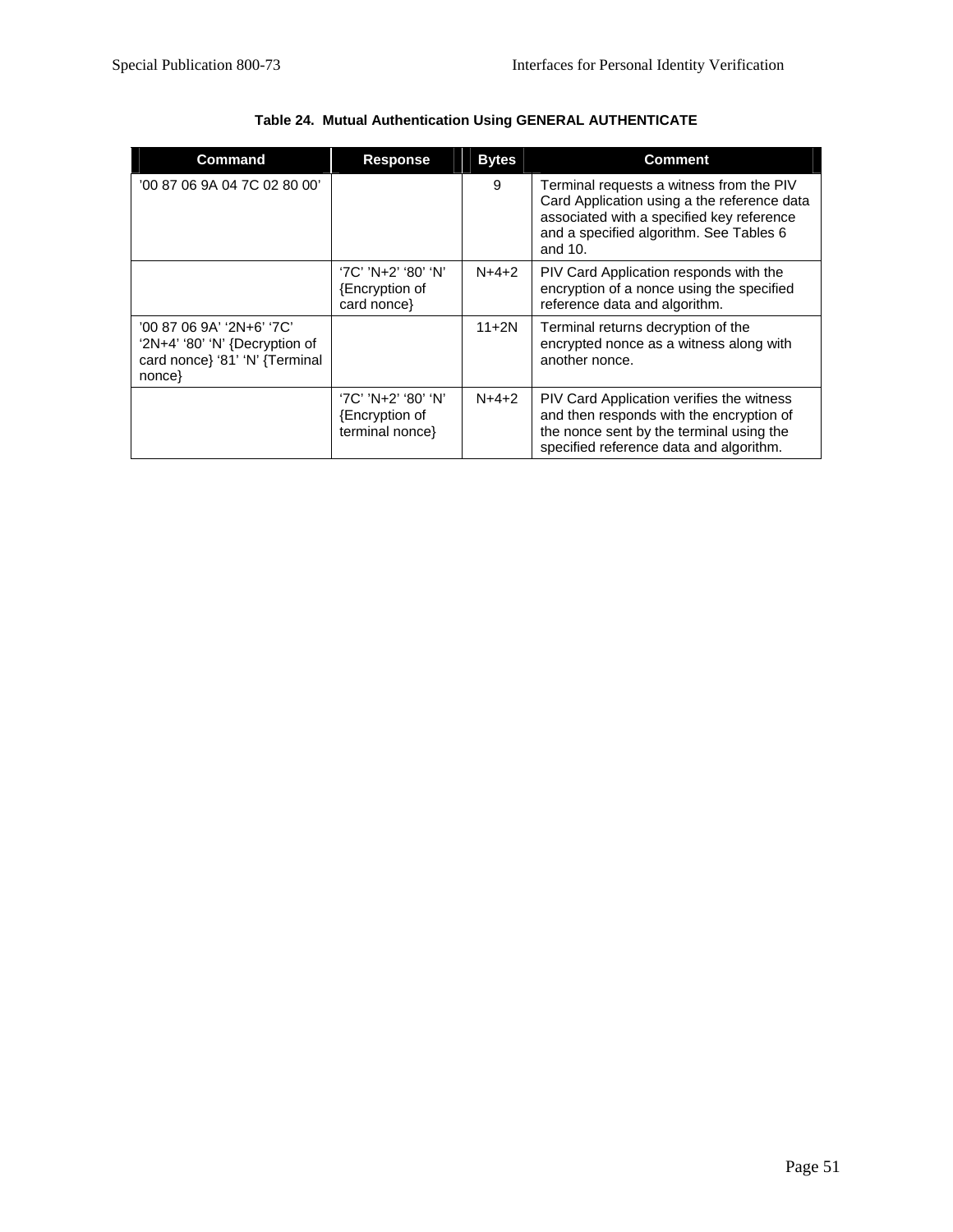| <b>Command</b>                                                                                            | <b>Response</b>                                         | <b>Bytes</b> | <b>Comment</b>                                                                                                                                                                                |
|-----------------------------------------------------------------------------------------------------------|---------------------------------------------------------|--------------|-----------------------------------------------------------------------------------------------------------------------------------------------------------------------------------------------|
| '00 87 06 9A 04 7C 02 80 00'                                                                              |                                                         | 9            | Terminal requests a witness from the PIV<br>Card Application using a the reference data<br>associated with a specified key reference<br>and a specified algorithm. See Tables 6<br>and $10$ . |
|                                                                                                           | '7C' 'N+2' '80' 'N'<br>{Encryption of<br>card nonce     | $N+4+2$      | PIV Card Application responds with the<br>encryption of a nonce using the specified<br>reference data and algorithm.                                                                          |
| '00 87 06 9A' '2N+6' '7C'<br>' $2N+4$ ' '80' 'N' {Decryption of<br>card nonce} '81' 'N' {Terminal<br>none |                                                         | $11 + 2N$    | Terminal returns decryption of the<br>encrypted nonce as a witness along with<br>another nonce.                                                                                               |
|                                                                                                           | '7C' 'N+2' '80' 'N'<br>Encryption of<br>terminal nonce} | $N+4+2$      | PIV Card Application verifies the witness<br>and then responds with the encryption of<br>the nonce sent by the terminal using the<br>specified reference data and algorithm.                  |

## **Table 24. Mutual Authentication Using GENERAL AUTHENTICATE**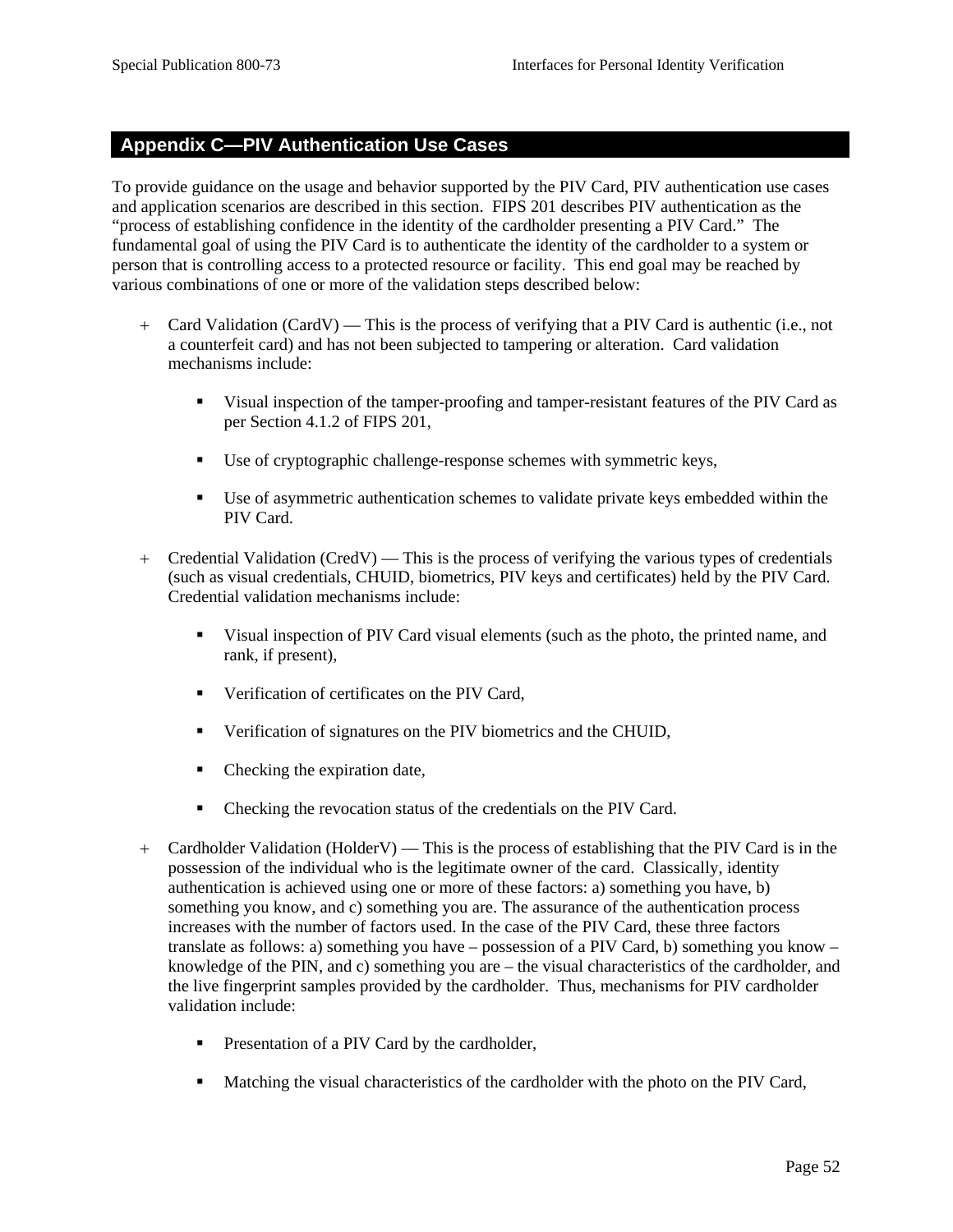### **Appendix C—PIV Authentication Use Cases**

To provide guidance on the usage and behavior supported by the PIV Card, PIV authentication use cases and application scenarios are described in this section. FIPS 201 describes PIV authentication as the "process of establishing confidence in the identity of the cardholder presenting a PIV Card." The fundamental goal of using the PIV Card is to authenticate the identity of the cardholder to a system or person that is controlling access to a protected resource or facility. This end goal may be reached by various combinations of one or more of the validation steps described below:

- + Card Validation (CardV) This is the process of verifying that a PIV Card is authentic (i.e., not a counterfeit card) and has not been subjected to tampering or alteration. Card validation mechanisms include:
	- Visual inspection of the tamper-proofing and tamper-resistant features of the PIV Card as per Section 4.1.2 of FIPS 201,
	- Use of cryptographic challenge-response schemes with symmetric keys,
	- Use of asymmetric authentication schemes to validate private keys embedded within the PIV Card.
- + Credential Validation (CredV) This is the process of verifying the various types of credentials (such as visual credentials, CHUID, biometrics, PIV keys and certificates) held by the PIV Card. Credential validation mechanisms include:
	- Visual inspection of PIV Card visual elements (such as the photo, the printed name, and rank, if present),
	- **•** Verification of certificates on the PIV Card,
	- Verification of signatures on the PIV biometrics and the CHUID,
	- Checking the expiration date,
	- Checking the revocation status of the credentials on the PIV Card.
- + Cardholder Validation (HolderV) This is the process of establishing that the PIV Card is in the possession of the individual who is the legitimate owner of the card. Classically, identity authentication is achieved using one or more of these factors: a) something you have, b) something you know, and c) something you are. The assurance of the authentication process increases with the number of factors used. In the case of the PIV Card, these three factors translate as follows: a) something you have – possession of a PIV Card, b) something you know – knowledge of the PIN, and c) something you are – the visual characteristics of the cardholder, and the live fingerprint samples provided by the cardholder. Thus, mechanisms for PIV cardholder validation include:
	- **Presentation of a PIV Card by the cardholder,**
	- Matching the visual characteristics of the cardholder with the photo on the PIV Card,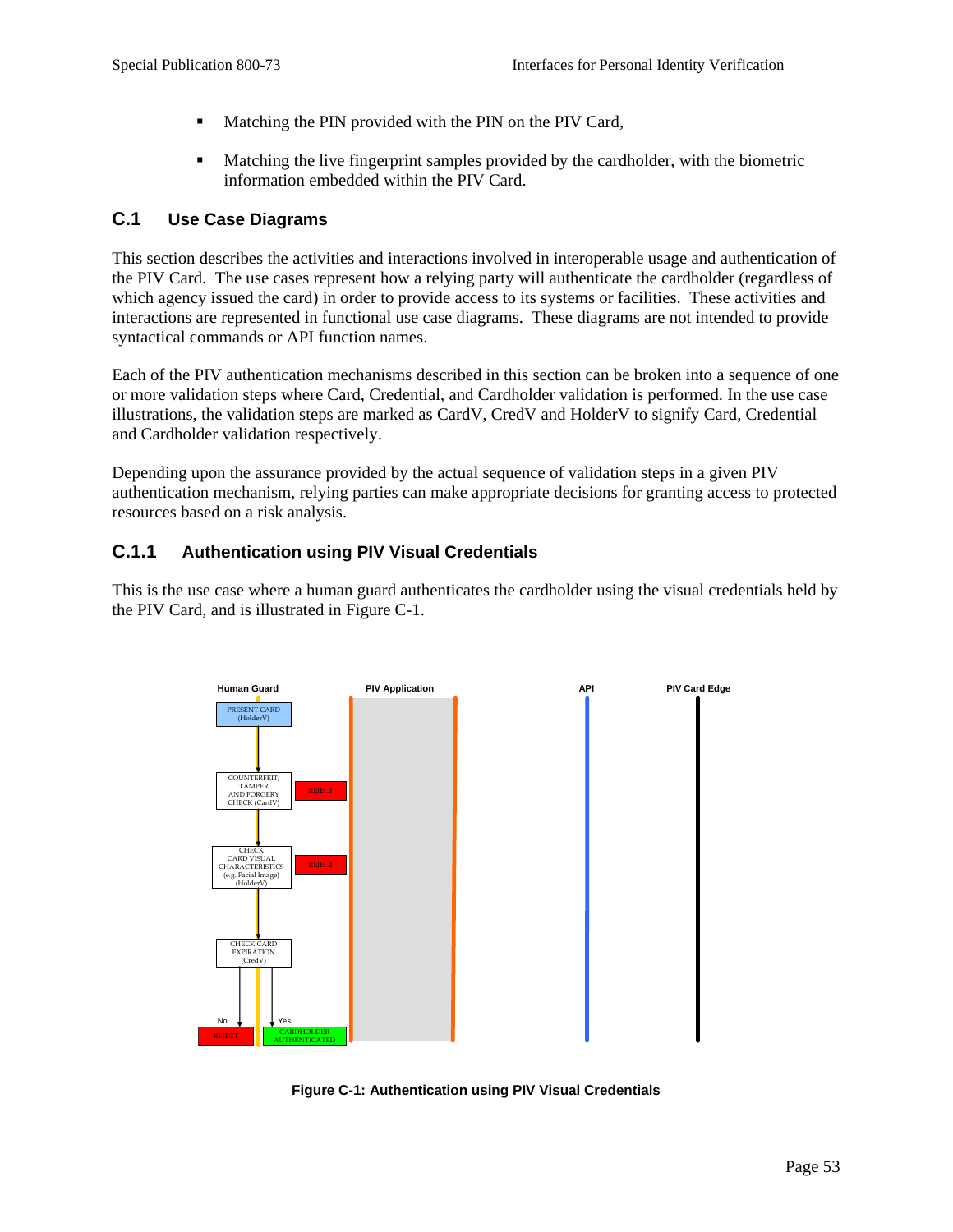- **Matching the PIN provided with the PIN on the PIV Card,**
- Matching the live fingerprint samples provided by the cardholder, with the biometric information embedded within the PIV Card.

#### **C.1 Use Case Diagrams**

This section describes the activities and interactions involved in interoperable usage and authentication of the PIV Card. The use cases represent how a relying party will authenticate the cardholder (regardless of which agency issued the card) in order to provide access to its systems or facilities. These activities and interactions are represented in functional use case diagrams. These diagrams are not intended to provide syntactical commands or API function names.

Each of the PIV authentication mechanisms described in this section can be broken into a sequence of one or more validation steps where Card, Credential, and Cardholder validation is performed. In the use case illustrations, the validation steps are marked as CardV, CredV and HolderV to signify Card, Credential and Cardholder validation respectively.

Depending upon the assurance provided by the actual sequence of validation steps in a given PIV authentication mechanism, relying parties can make appropriate decisions for granting access to protected resources based on a risk analysis.

## **C.1.1 Authentication using PIV Visual Credentials**

This is the use case where a human guard authenticates the cardholder using the visual credentials held by the PIV Card, and is illustrated in Figure C-1.



**Figure C-1: Authentication using PIV Visual Credentials**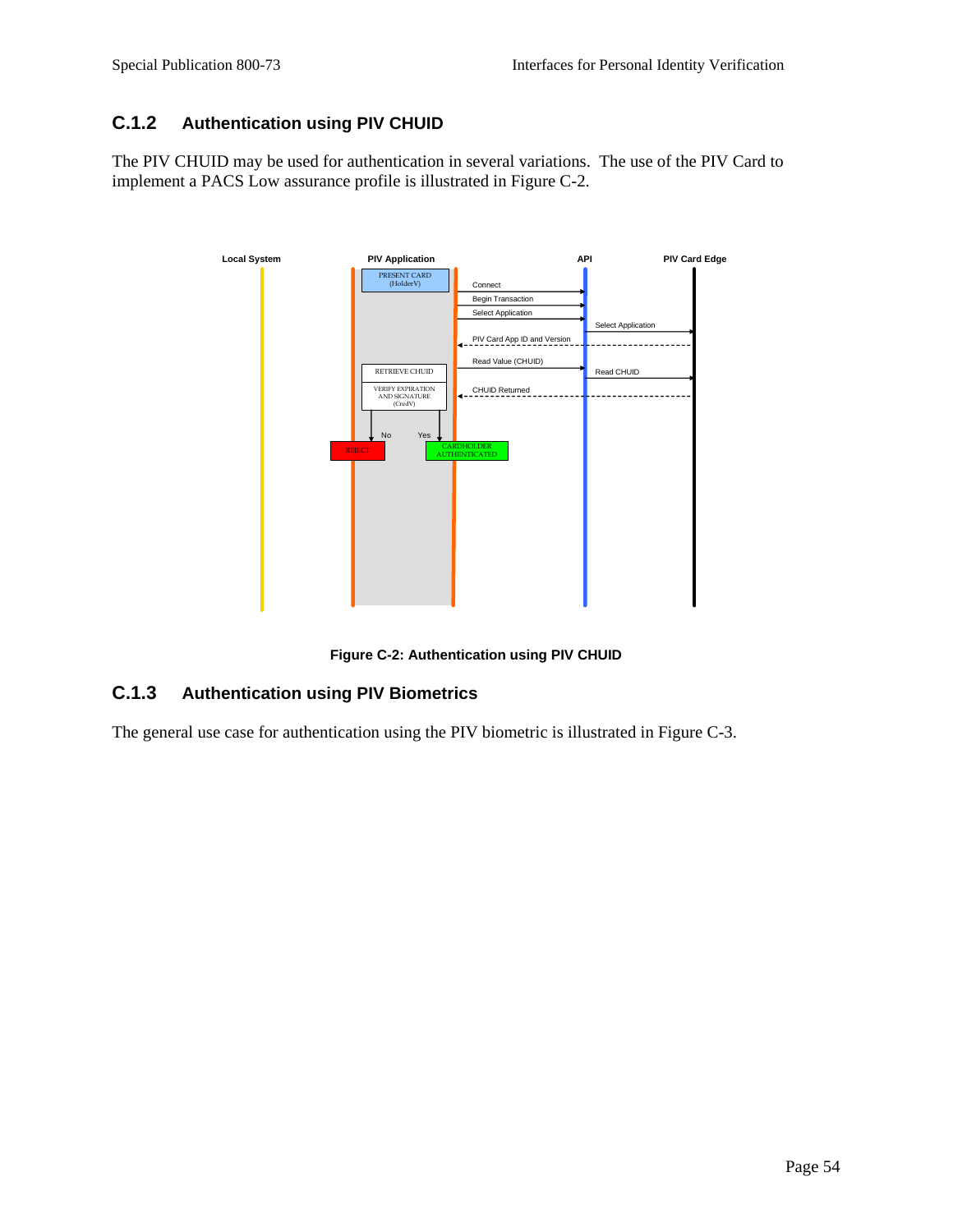## **C.1.2 Authentication using PIV CHUID**

The PIV CHUID may be used for authentication in several variations. The use of the PIV Card to implement a PACS Low assurance profile is illustrated in Figure C-2.



**Figure C-2: Authentication using PIV CHUID** 

## **C.1.3 Authentication using PIV Biometrics**

The general use case for authentication using the PIV biometric is illustrated in Figure C-3.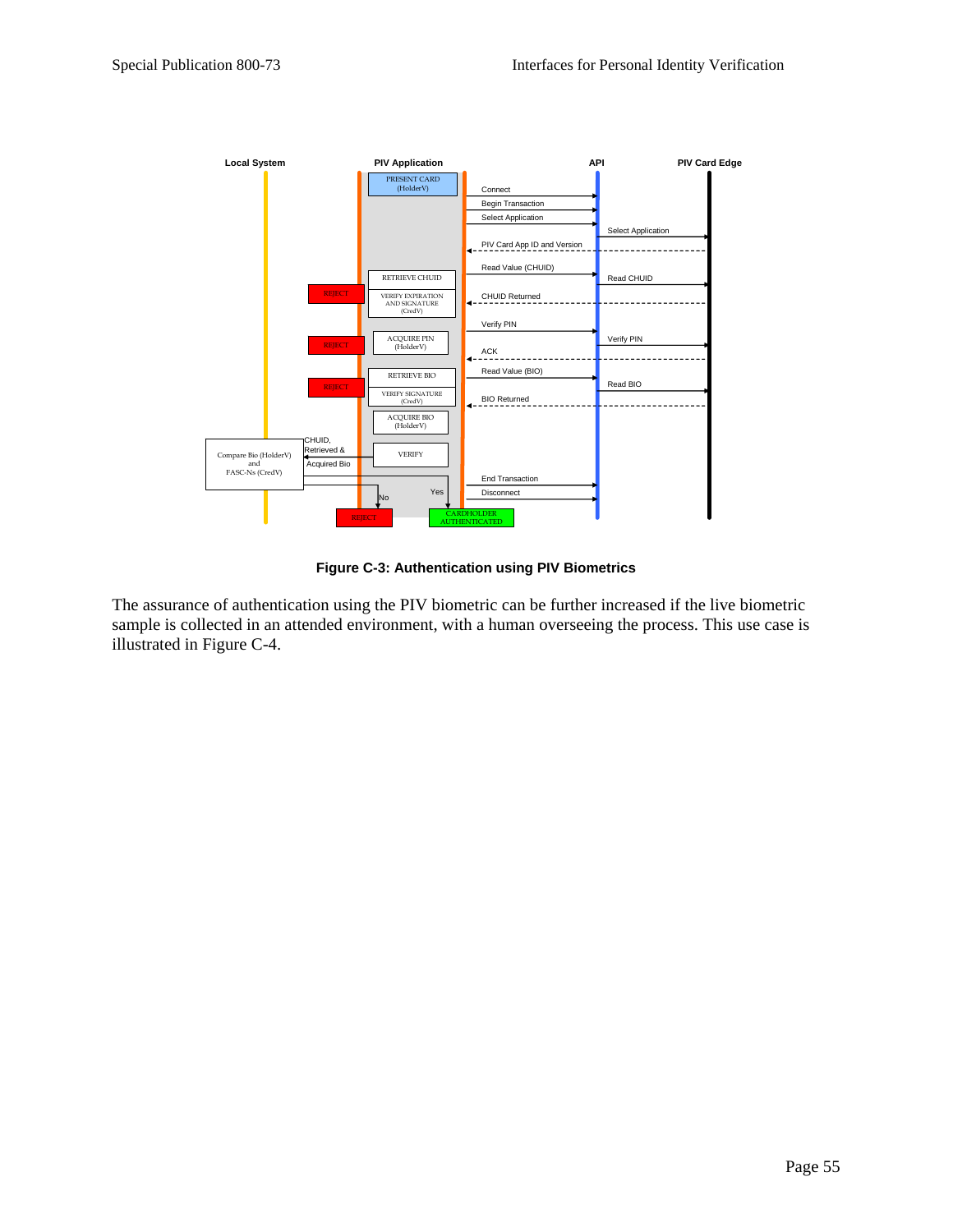

**Figure C-3: Authentication using PIV Biometrics**

The assurance of authentication using the PIV biometric can be further increased if the live biometric sample is collected in an attended environment, with a human overseeing the process. This use case is illustrated in Figure C-4.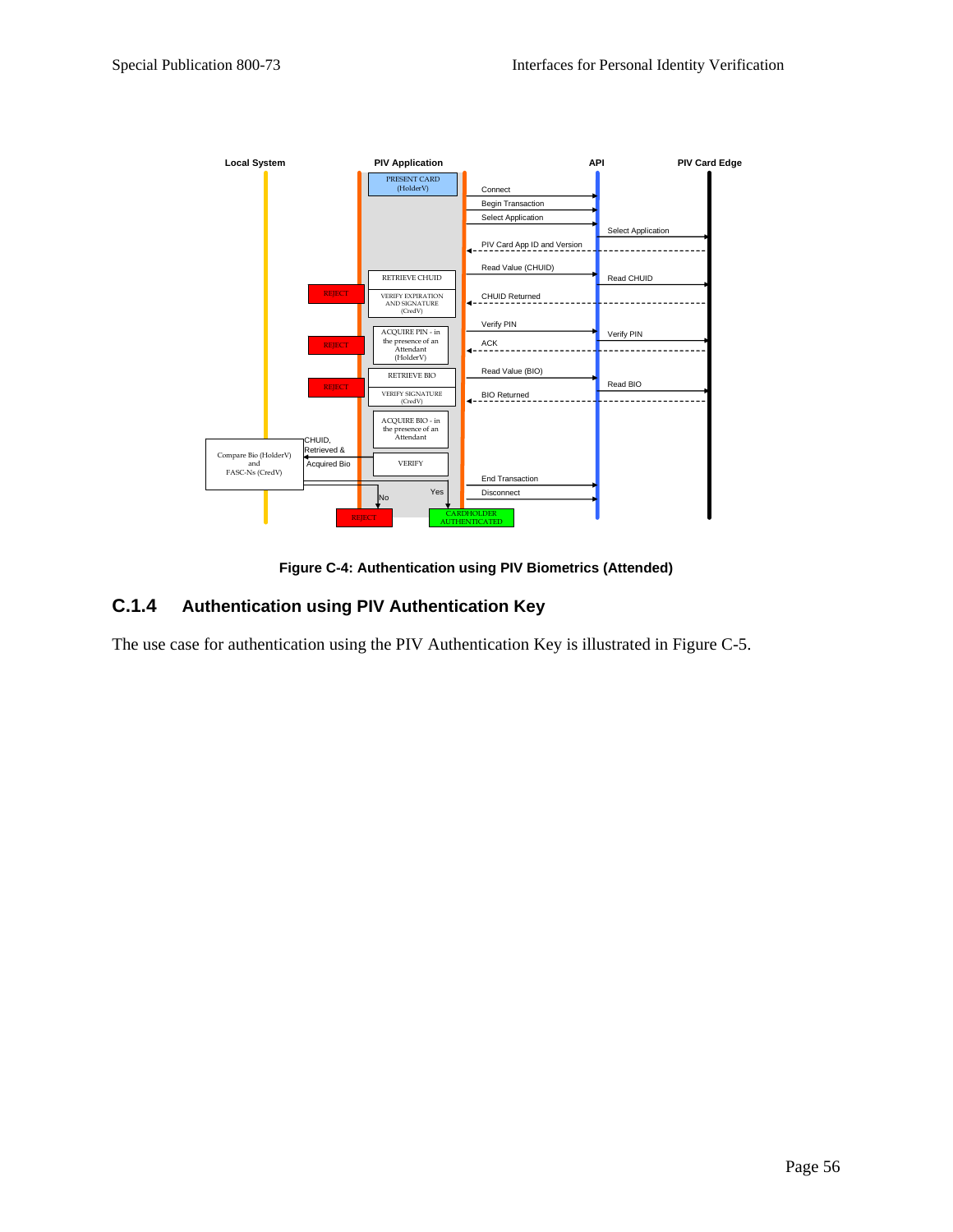

**Figure C-4: Authentication using PIV Biometrics (Attended)** 

## **C.1.4 Authentication using PIV Authentication Key**

The use case for authentication using the PIV Authentication Key is illustrated in Figure C-5.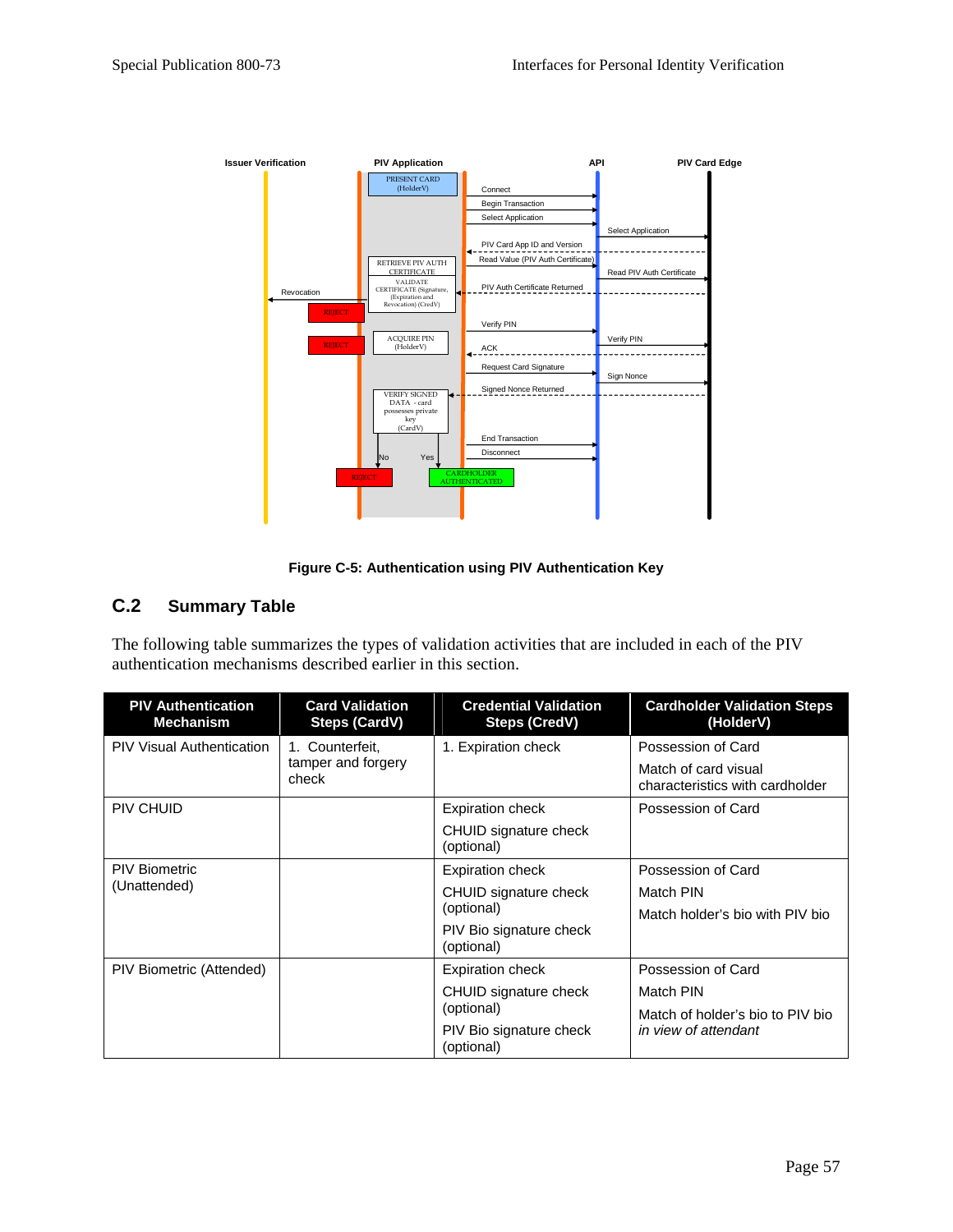

**Figure C-5: Authentication using PIV Authentication Key** 

## **C.2 Summary Table**

The following table summarizes the types of validation activities that are included in each of the PIV authentication mechanisms described earlier in this section.

| <b>PIV Authentication</b><br><b>Mechanism</b> | <b>Card Validation</b><br><b>Steps (CardV)</b> | <b>Credential Validation</b><br><b>Steps (CredV)</b> | <b>Cardholder Validation Steps</b><br>(HolderV)         |
|-----------------------------------------------|------------------------------------------------|------------------------------------------------------|---------------------------------------------------------|
| <b>PIV Visual Authentication</b>              | 1. Counterfeit,                                | 1. Expiration check                                  | Possession of Card                                      |
|                                               | tamper and forgery<br>check                    |                                                      | Match of card visual<br>characteristics with cardholder |
| PIV CHUID                                     |                                                | Expiration check                                     | Possession of Card                                      |
|                                               |                                                | CHUID signature check<br>(optional)                  |                                                         |
| <b>PIV Biometric</b>                          |                                                | <b>Expiration check</b>                              | Possession of Card                                      |
| (Unattended)                                  |                                                | CHUID signature check                                | Match PIN                                               |
|                                               |                                                | (optional)                                           | Match holder's bio with PIV bio                         |
|                                               |                                                | PIV Bio signature check<br>(optional)                |                                                         |
| PIV Biometric (Attended)                      |                                                | <b>Expiration check</b>                              | Possession of Card                                      |
|                                               |                                                | CHUID signature check                                | Match PIN                                               |
|                                               |                                                | (optional)                                           | Match of holder's bio to PIV bio                        |
|                                               |                                                | PIV Bio signature check<br>(optional)                | in view of attendant                                    |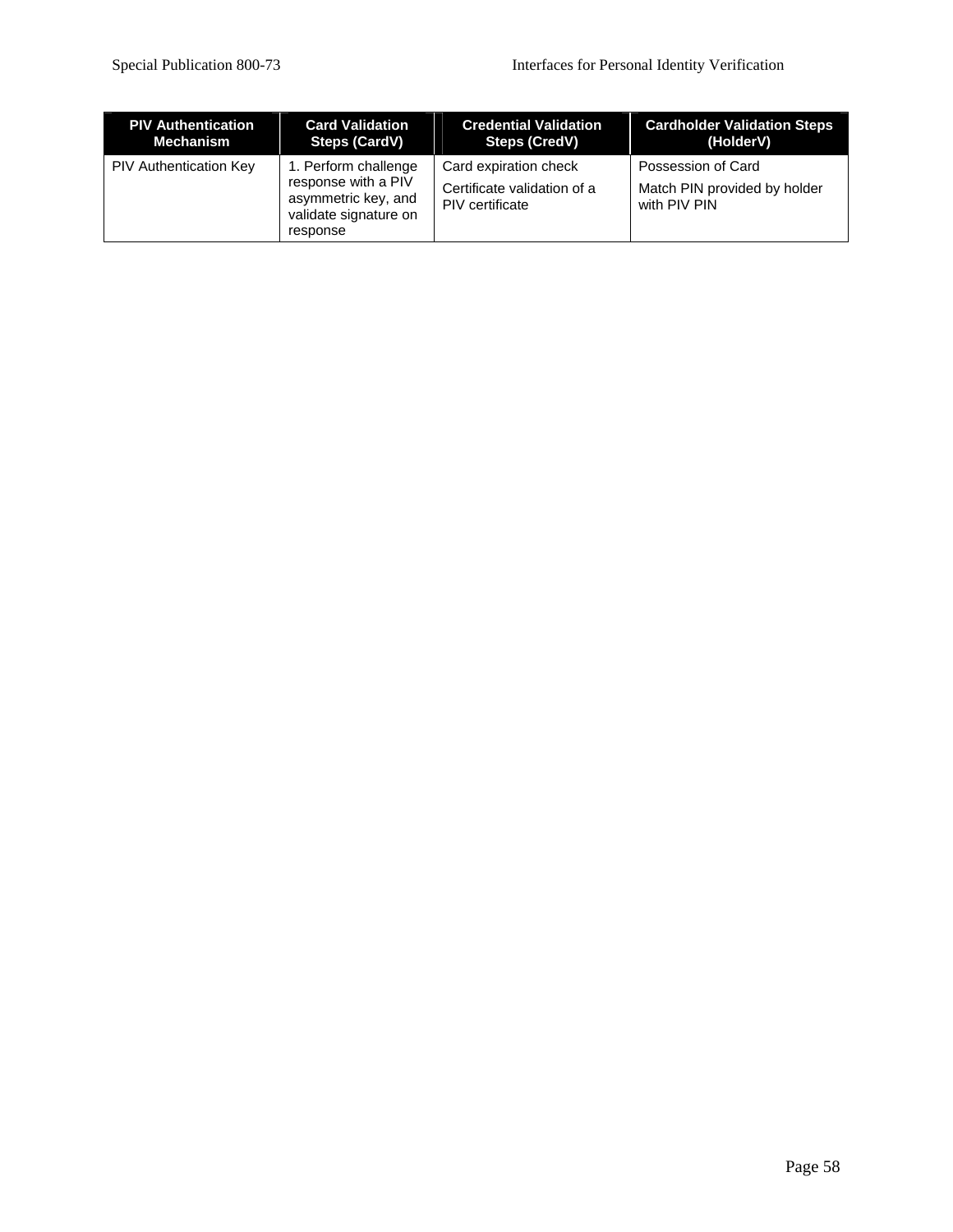| <b>PIV Authentication</b>     | <b>Card Validation</b>                                                                                  | <b>Credential Validation</b>                                            | <b>Cardholder Validation Steps</b>                                 |
|-------------------------------|---------------------------------------------------------------------------------------------------------|-------------------------------------------------------------------------|--------------------------------------------------------------------|
| Mechanism                     | <b>Steps (CardV)</b>                                                                                    | Steps (CredV)                                                           | (HolderV)                                                          |
| <b>PIV Authentication Key</b> | 1. Perform challenge<br>response with a PIV<br>asymmetric key, and<br>validate signature on<br>response | Card expiration check<br>Certificate validation of a<br>PIV certificate | Possession of Card<br>Match PIN provided by holder<br>with PIV PIN |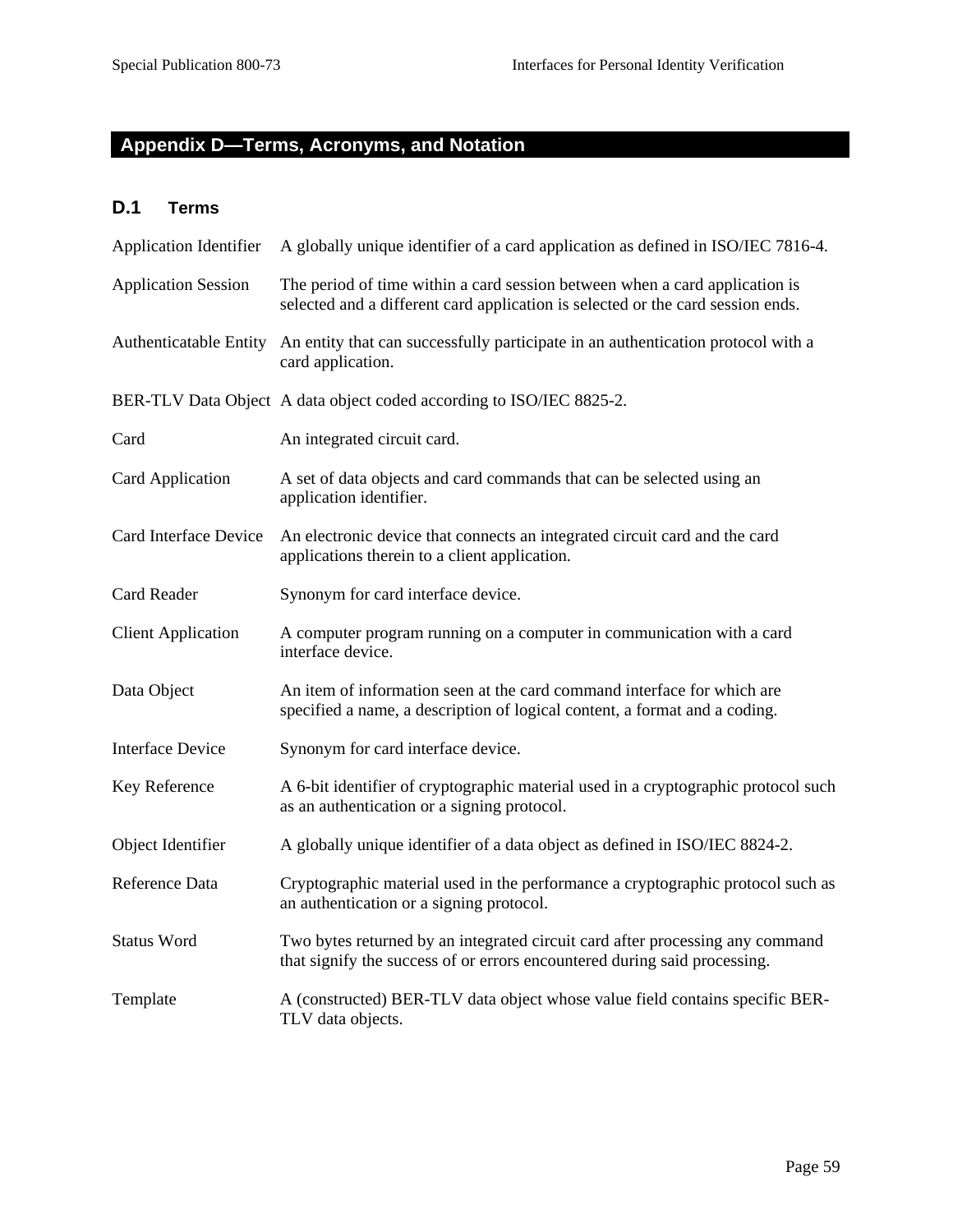## **Appendix D—Terms, Acronyms, and Notation**

## **D.1 Terms**

| <b>Application Identifier</b> | A globally unique identifier of a card application as defined in ISO/IEC 7816-4.                                                                               |
|-------------------------------|----------------------------------------------------------------------------------------------------------------------------------------------------------------|
| <b>Application Session</b>    | The period of time within a card session between when a card application is<br>selected and a different card application is selected or the card session ends. |
| <b>Authenticatable Entity</b> | An entity that can successfully participate in an authentication protocol with a<br>card application.                                                          |
|                               | BER-TLV Data Object A data object coded according to ISO/IEC 8825-2.                                                                                           |
| Card                          | An integrated circuit card.                                                                                                                                    |
| Card Application              | A set of data objects and card commands that can be selected using an<br>application identifier.                                                               |
| Card Interface Device         | An electronic device that connects an integrated circuit card and the card<br>applications therein to a client application.                                    |
| Card Reader                   | Synonym for card interface device.                                                                                                                             |
| <b>Client Application</b>     | A computer program running on a computer in communication with a card<br>interface device.                                                                     |
| Data Object                   | An item of information seen at the card command interface for which are<br>specified a name, a description of logical content, a format and a coding.          |
| <b>Interface Device</b>       | Synonym for card interface device.                                                                                                                             |
| Key Reference                 | A 6-bit identifier of cryptographic material used in a cryptographic protocol such<br>as an authentication or a signing protocol.                              |
| Object Identifier             | A globally unique identifier of a data object as defined in ISO/IEC 8824-2.                                                                                    |
| Reference Data                | Cryptographic material used in the performance a cryptographic protocol such as<br>an authentication or a signing protocol.                                    |
| <b>Status Word</b>            | Two bytes returned by an integrated circuit card after processing any command<br>that signify the success of or errors encountered during said processing.     |
| Template                      | A (constructed) BER-TLV data object whose value field contains specific BER-<br>TLV data objects.                                                              |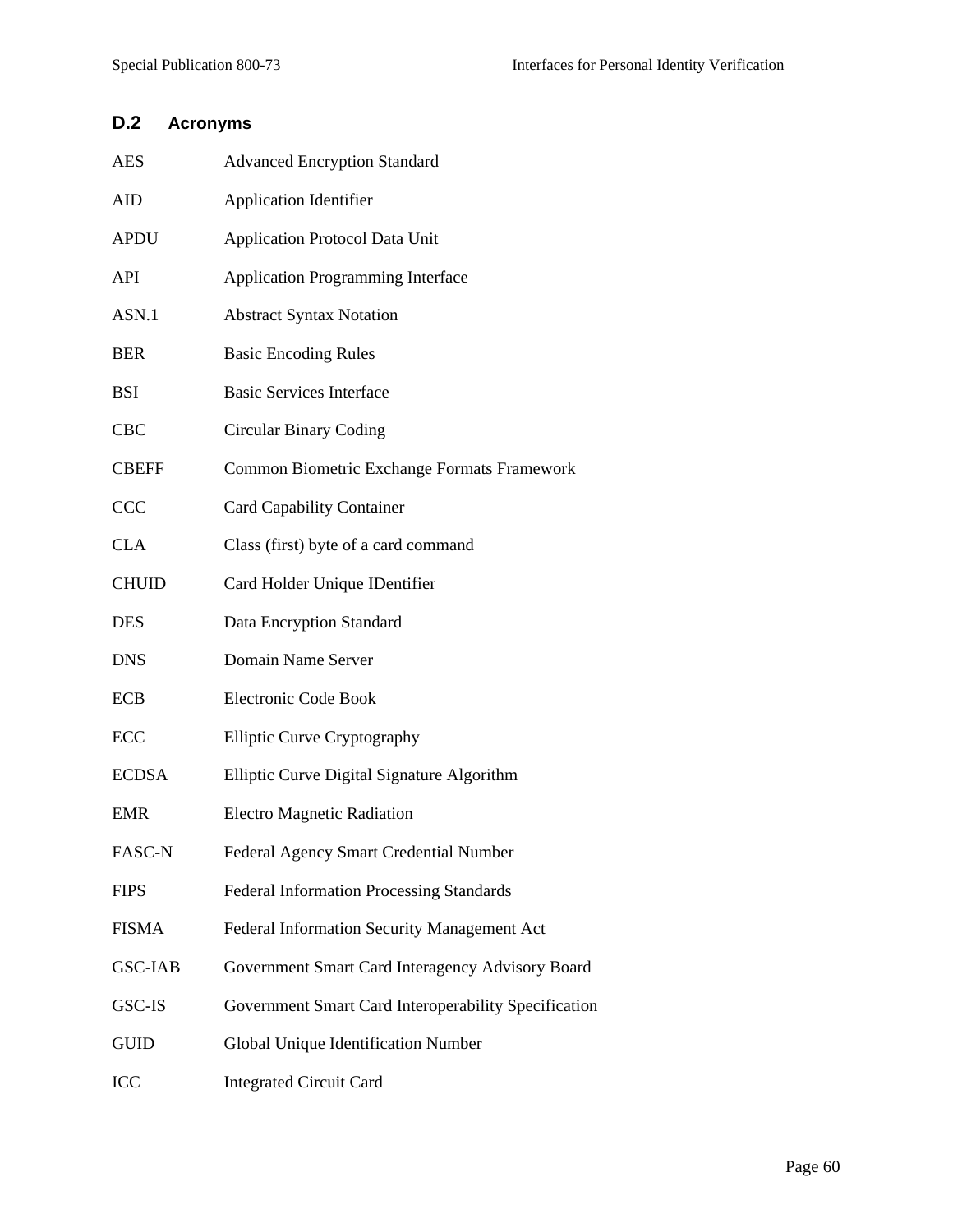## **D.2 Acronyms**

| AES            | <b>Advanced Encryption Standard</b>                  |
|----------------|------------------------------------------------------|
| AID            | <b>Application Identifier</b>                        |
| APDU           | <b>Application Protocol Data Unit</b>                |
| API            | <b>Application Programming Interface</b>             |
| ASN.1          | <b>Abstract Syntax Notation</b>                      |
| BER            | <b>Basic Encoding Rules</b>                          |
| BSI            | <b>Basic Services Interface</b>                      |
| CBC            | <b>Circular Binary Coding</b>                        |
| <b>CBEFF</b>   | Common Biometric Exchange Formats Framework          |
| CCC            | <b>Card Capability Container</b>                     |
| <b>CLA</b>     | Class (first) byte of a card command                 |
| CHUID          | Card Holder Unique IDentifier                        |
| DES            | Data Encryption Standard                             |
| <b>DNS</b>     | Domain Name Server                                   |
| ECB            | Electronic Code Book                                 |
| ECC            | <b>Elliptic Curve Cryptography</b>                   |
| <b>ECDSA</b>   | Elliptic Curve Digital Signature Algorithm           |
| EMR            | <b>Electro Magnetic Radiation</b>                    |
| FASC-N         | Federal Agency Smart Credential Number               |
| <b>FIPS</b>    | <b>Federal Information Processing Standards</b>      |
| FISMA          | Federal Information Security Management Act          |
| <b>GSC-IAB</b> | Government Smart Card Interagency Advisory Board     |
| GSC-IS         | Government Smart Card Interoperability Specification |
| GUID           | Global Unique Identification Number                  |
| ICC            | <b>Integrated Circuit Card</b>                       |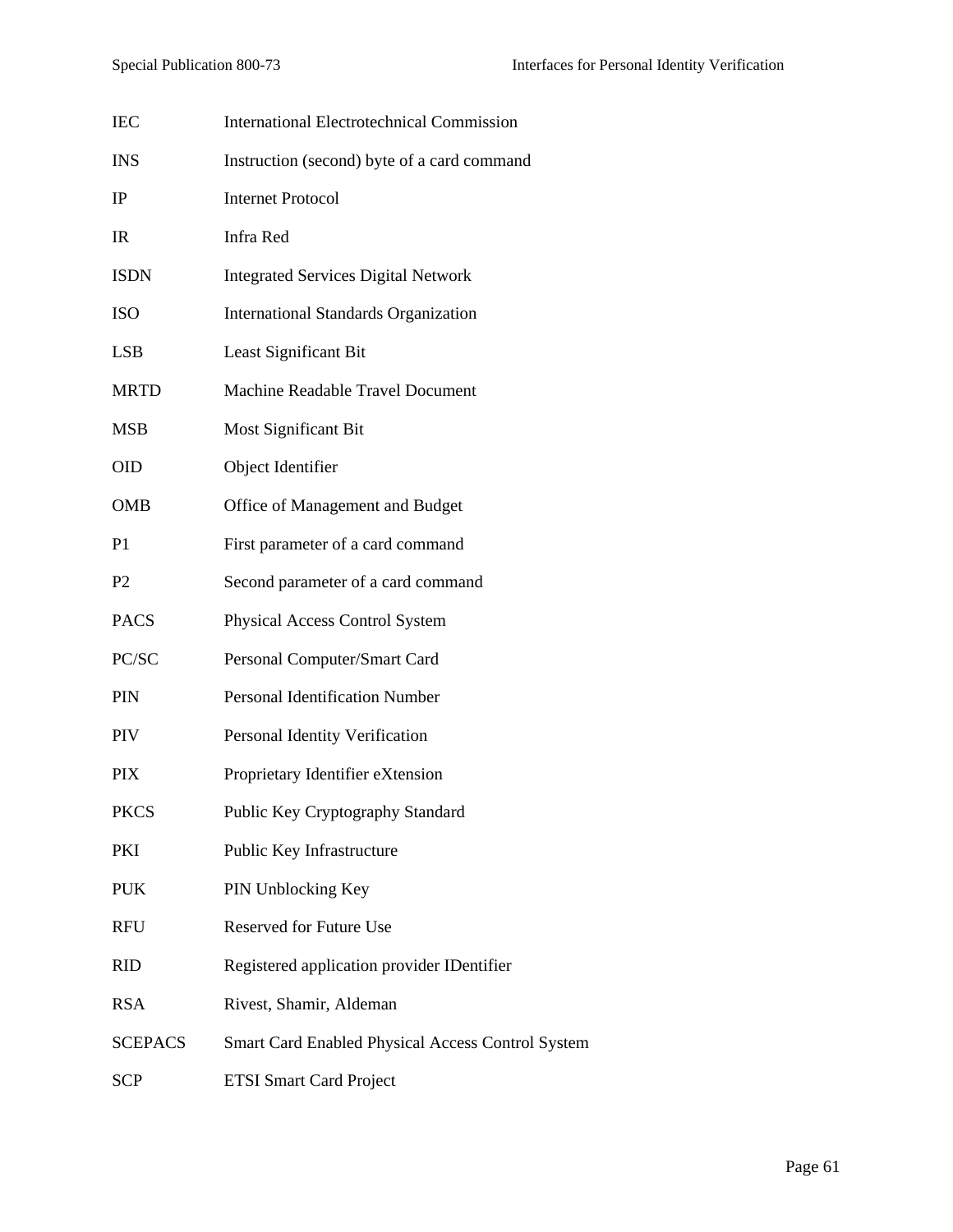| <b>IEC</b>     | <b>International Electrotechnical Commission</b>         |
|----------------|----------------------------------------------------------|
| <b>INS</b>     | Instruction (second) byte of a card command              |
| IP             | <b>Internet Protocol</b>                                 |
| IR             | Infra Red                                                |
| <b>ISDN</b>    | <b>Integrated Services Digital Network</b>               |
| <b>ISO</b>     | <b>International Standards Organization</b>              |
| <b>LSB</b>     | Least Significant Bit                                    |
| <b>MRTD</b>    | <b>Machine Readable Travel Document</b>                  |
| <b>MSB</b>     | Most Significant Bit                                     |
| <b>OID</b>     | Object Identifier                                        |
| <b>OMB</b>     | Office of Management and Budget                          |
| P <sub>1</sub> | First parameter of a card command                        |
| P <sub>2</sub> | Second parameter of a card command                       |
| <b>PACS</b>    | Physical Access Control System                           |
| PC/SC          | Personal Computer/Smart Card                             |
| PIN            | <b>Personal Identification Number</b>                    |
| PIV            | Personal Identity Verification                           |
| PIX            | Proprietary Identifier eXtension                         |
| <b>PKCS</b>    | Public Key Cryptography Standard                         |
| PKI            | Public Key Infrastructure                                |
| <b>PUK</b>     | PIN Unblocking Key                                       |
| <b>RFU</b>     | Reserved for Future Use                                  |
| <b>RID</b>     | Registered application provider IDentifier               |
| <b>RSA</b>     | Rivest, Shamir, Aldeman                                  |
| <b>SCEPACS</b> | <b>Smart Card Enabled Physical Access Control System</b> |
| <b>SCP</b>     | <b>ETSI Smart Card Project</b>                           |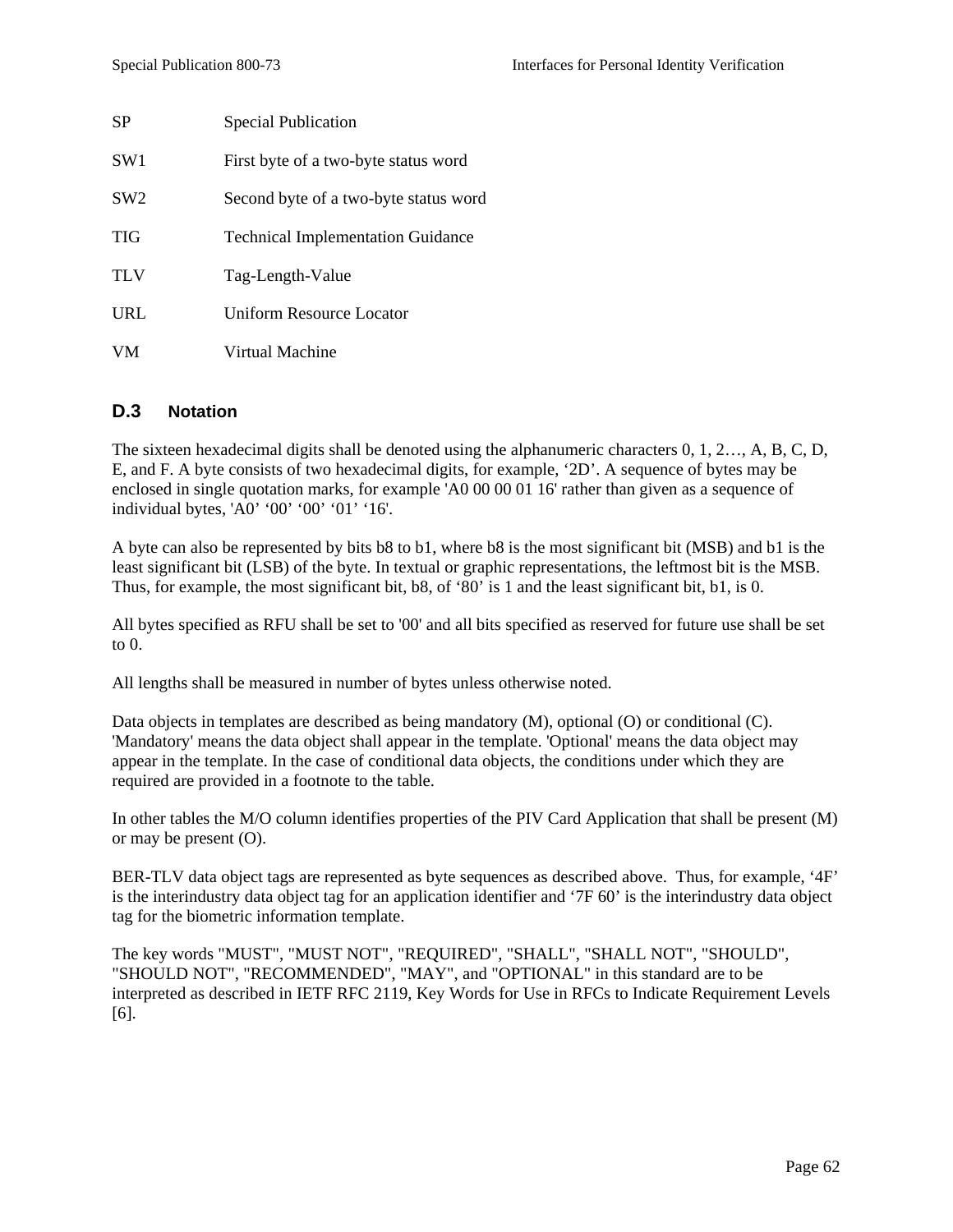| <b>SP</b>       | <b>Special Publication</b>               |
|-----------------|------------------------------------------|
| SW <sub>1</sub> | First byte of a two-byte status word     |
| SW2             | Second byte of a two-byte status word    |
| TIG             | <b>Technical Implementation Guidance</b> |
| TLV             | Tag-Length-Value                         |
| URL             | Uniform Resource Locator                 |
| <b>VM</b>       | Virtual Machine                          |

#### **D.3 Notation**

The sixteen hexadecimal digits shall be denoted using the alphanumeric characters 0, 1, 2…, A, B, C, D, E, and F. A byte consists of two hexadecimal digits, for example, '2D'. A sequence of bytes may be enclosed in single quotation marks, for example 'A0 00 00 01 16' rather than given as a sequence of individual bytes, 'A0' '00' '00' '01' '16'.

A byte can also be represented by bits b8 to b1, where b8 is the most significant bit (MSB) and b1 is the least significant bit (LSB) of the byte. In textual or graphic representations, the leftmost bit is the MSB. Thus, for example, the most significant bit, b8, of '80' is 1 and the least significant bit, b1, is 0.

All bytes specified as RFU shall be set to '00' and all bits specified as reserved for future use shall be set to  $0$ .

All lengths shall be measured in number of bytes unless otherwise noted.

Data objects in templates are described as being mandatory (M), optional (O) or conditional (C). 'Mandatory' means the data object shall appear in the template. 'Optional' means the data object may appear in the template. In the case of conditional data objects, the conditions under which they are required are provided in a footnote to the table.

In other tables the M/O column identifies properties of the PIV Card Application that shall be present (M) or may be present (O).

BER-TLV data object tags are represented as byte sequences as described above. Thus, for example, '4F' is the interindustry data object tag for an application identifier and '7F 60' is the interindustry data object tag for the biometric information template.

The key words "MUST", "MUST NOT", "REQUIRED", "SHALL", "SHALL NOT", "SHOULD", "SHOULD NOT", "RECOMMENDED", "MAY", and "OPTIONAL" in this standard are to be interpreted as described in IETF RFC 2119, Key Words for Use in RFCs to Indicate Requirement Levels [6].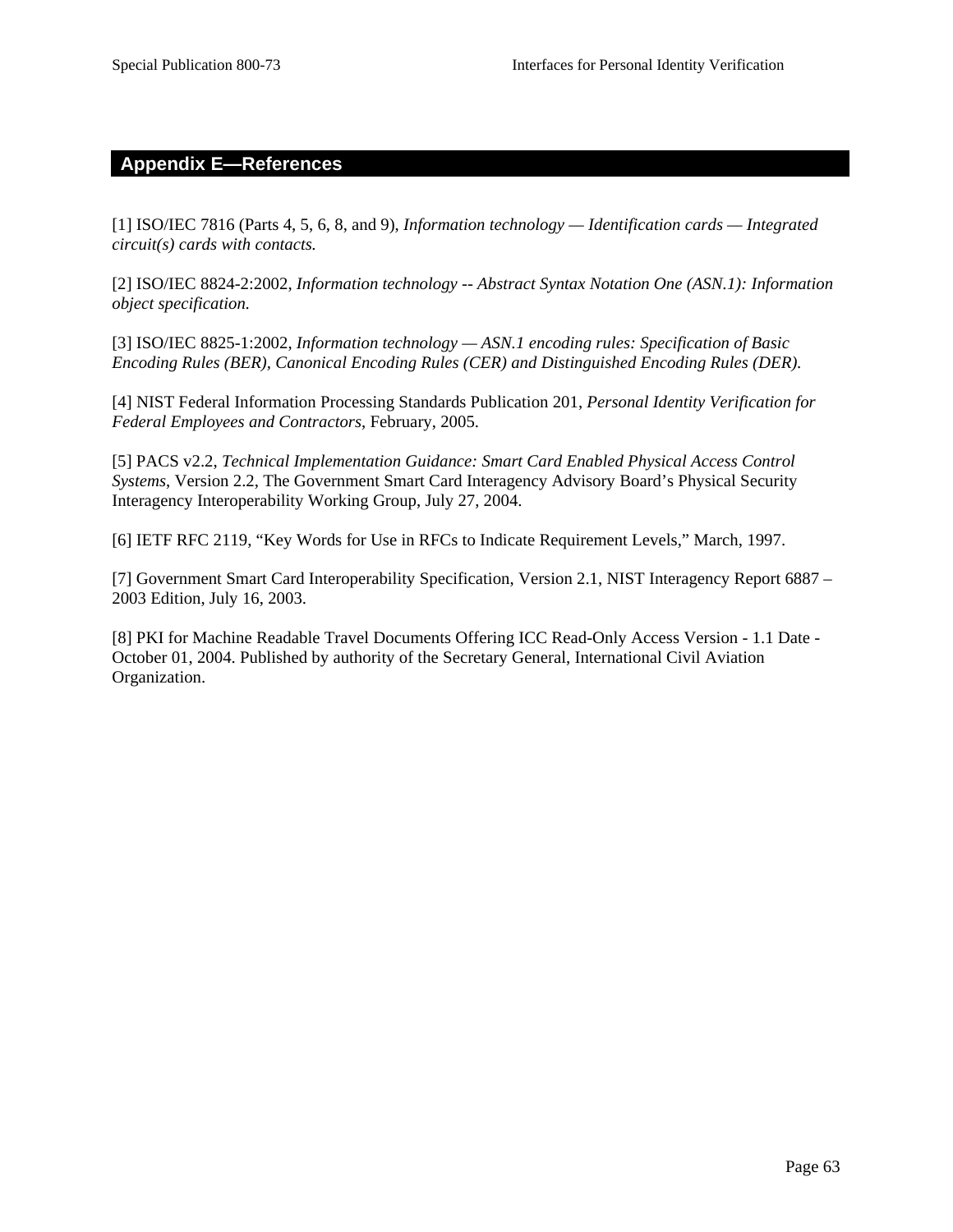#### **Appendix E—References**

[1] ISO/IEC 7816 (Parts 4, 5, 6, 8, and 9), *Information technology — Identification cards — Integrated circuit(s) cards with contacts.* 

[2] ISO/IEC 8824-2:2002, *Information technology -- Abstract Syntax Notation One (ASN.1): Information object specification.* 

[3] ISO/IEC 8825-1:2002, *Information technology — ASN.1 encoding rules: Specification of Basic Encoding Rules (BER), Canonical Encoding Rules (CER) and Distinguished Encoding Rules (DER).* 

[4] NIST Federal Information Processing Standards Publication 201, *Personal Identity Verification for Federal Employees and Contractors*, February, 2005.

[5] PACS v2.2, *Technical Implementation Guidance: Smart Card Enabled Physical Access Control Systems*, Version 2.2, The Government Smart Card Interagency Advisory Board's Physical Security Interagency Interoperability Working Group, July 27, 2004.

[6] IETF RFC 2119, "Key Words for Use in RFCs to Indicate Requirement Levels," March, 1997.

[7] Government Smart Card Interoperability Specification, Version 2.1, NIST Interagency Report 6887 – 2003 Edition, July 16, 2003.

[8] PKI for Machine Readable Travel Documents Offering ICC Read-Only Access Version - 1.1 Date - October 01, 2004. Published by authority of the Secretary General, International Civil Aviation Organization.